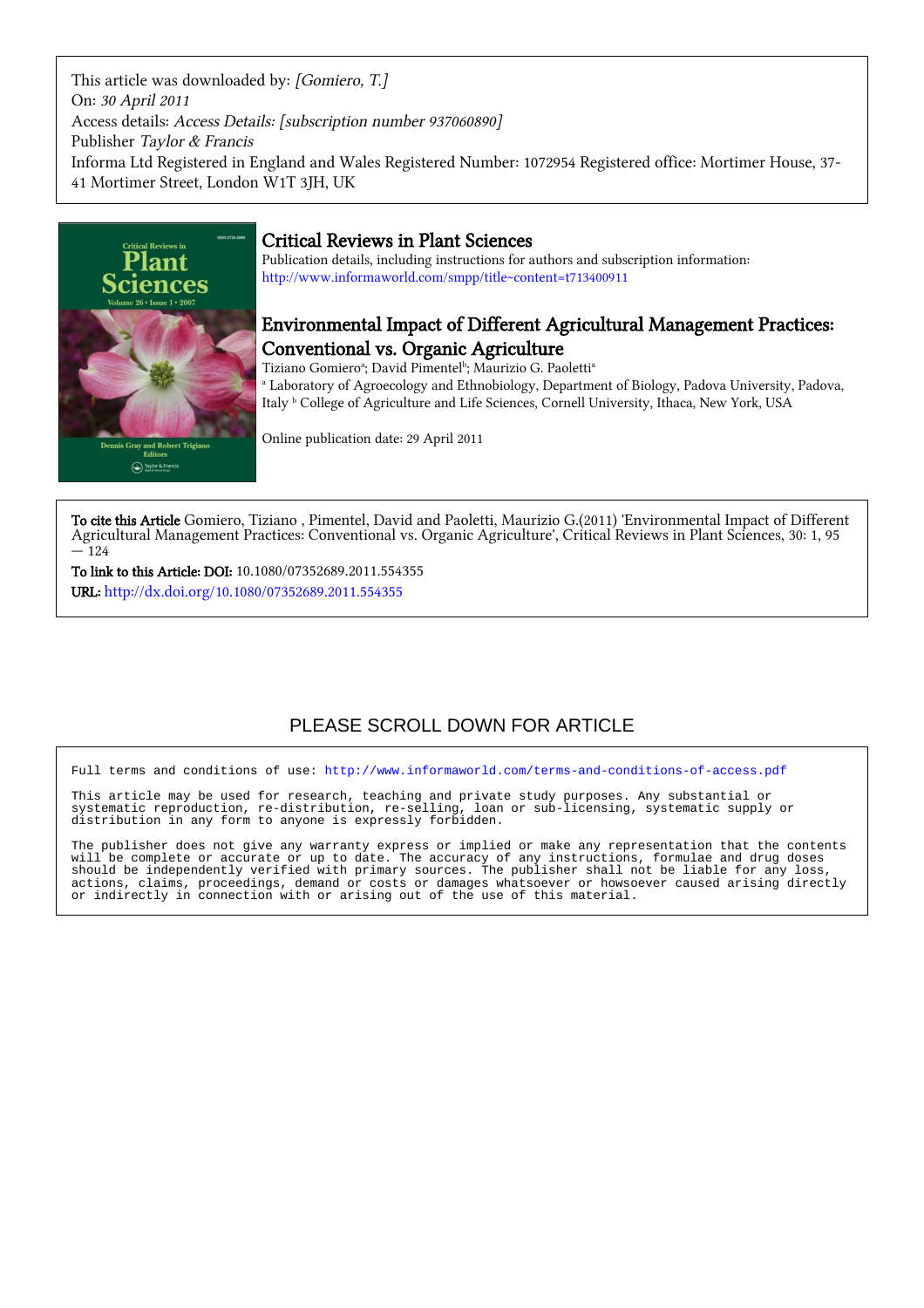This article was downloaded by: [Gomiero, T.] On: 30 April 2011 Access details: Access Details: [subscription number 937060890] Publisher Taylor & Francis Informa Ltd Registered in England and Wales Registered Number: 1072954 Registered office: Mortimer House, 37- 41 Mortimer Street, London W1T 3JH, UK



## Critical Reviews in Plant Sciences

Publication details, including instructions for authors and subscription information: <http://www.informaworld.com/smpp/title~content=t713400911>

## Environmental Impact of Different Agricultural Management Practices: Conventional vs. Organic Agriculture

Tiziano Gomiero<sup>a</sup>; David Pimentel<sup>b</sup>; Maurizio G. Paoletti<sup>a</sup>

a Laboratory of Agroecology and Ethnobiology, Department of Biology, Padova University, Padova, Italy <sup>b</sup> College of Agriculture and Life Sciences, Cornell University, Ithaca, New York, USA

Online publication date: 29 April 2011

To cite this Article Gomiero, Tiziano , Pimentel, David and Paoletti, Maurizio G.(2011) 'Environmental Impact of Different Agricultural Management Practices: Conventional vs. Organic Agriculture', Critical Reviews in Plant Sciences, 30: 1, 95  $-124$ 

To link to this Article: DOI: 10.1080/07352689.2011.554355 URL: <http://dx.doi.org/10.1080/07352689.2011.554355>

## PLEASE SCROLL DOWN FOR ARTICLE

Full terms and conditions of use:<http://www.informaworld.com/terms-and-conditions-of-access.pdf>

This article may be used for research, teaching and private study purposes. Any substantial or systematic reproduction, re-distribution, re-selling, loan or sub-licensing, systematic supply or distribution in any form to anyone is expressly forbidden.

The publisher does not give any warranty express or implied or make any representation that the contents will be complete or accurate or up to date. The accuracy of any instructions, formulae and drug doses should be independently verified with primary sources. The publisher shall not be liable for any loss, actions, claims, proceedings, demand or costs or damages whatsoever or howsoever caused arising directly or indirectly in connection with or arising out of the use of this material.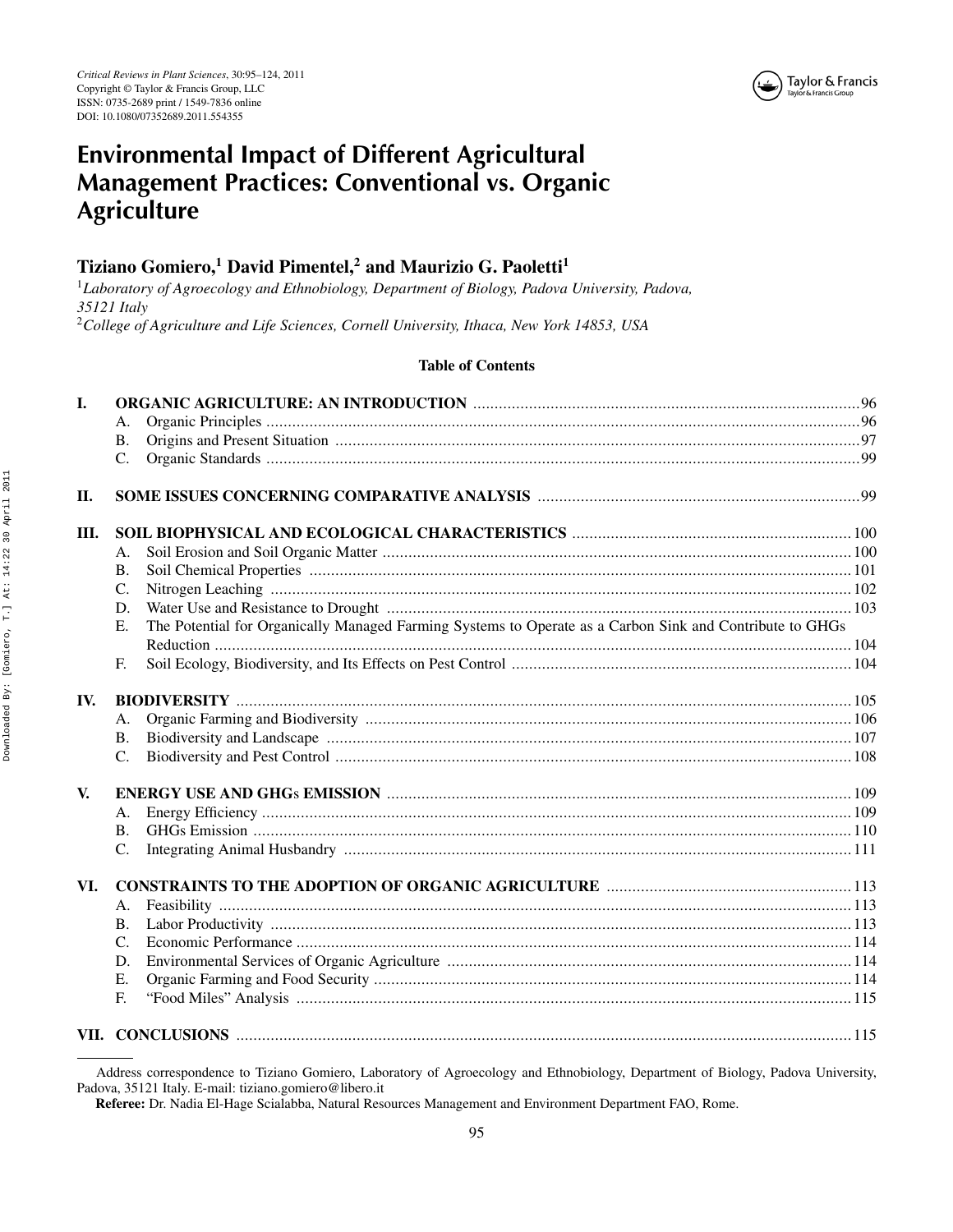

# **Environmental Impact of Different Agricultural Management Practices: Conventional vs. Organic Agriculture**

## Tiziano Gomiero,<sup>1</sup> David Pimentel,<sup>2</sup> and Maurizio G. Paoletti<sup>1</sup>

<sup>1</sup>*Laboratory of Agroecology and Ethnobiology, Department of Biology, Padova University, Padova, 35121 Italy*

<sup>2</sup>*College of Agriculture and Life Sciences, Cornell University, Ithaca, New York 14853, USA*

## **Table of Contents**

| I.  |                                                                                                                |  |
|-----|----------------------------------------------------------------------------------------------------------------|--|
|     | А.                                                                                                             |  |
|     | <b>B.</b>                                                                                                      |  |
|     | C.                                                                                                             |  |
| П.  |                                                                                                                |  |
| Ш.  |                                                                                                                |  |
|     | A.                                                                                                             |  |
|     | <b>B.</b>                                                                                                      |  |
|     | C.                                                                                                             |  |
|     | D.                                                                                                             |  |
|     | The Potential for Organically Managed Farming Systems to Operate as a Carbon Sink and Contribute to GHGs<br>Е. |  |
|     |                                                                                                                |  |
|     | F.                                                                                                             |  |
| IV. |                                                                                                                |  |
|     | А.                                                                                                             |  |
|     | <b>B.</b>                                                                                                      |  |
|     | $\mathcal{C}$ .                                                                                                |  |
|     |                                                                                                                |  |
| V.  |                                                                                                                |  |
|     | A.                                                                                                             |  |
|     | <b>B.</b>                                                                                                      |  |
|     | C.                                                                                                             |  |
| VI. |                                                                                                                |  |
|     | A.                                                                                                             |  |
|     | <b>B.</b>                                                                                                      |  |
|     | $\mathcal{C}$ .                                                                                                |  |
|     | D.                                                                                                             |  |
|     | E.                                                                                                             |  |
|     | F.                                                                                                             |  |
|     |                                                                                                                |  |
|     |                                                                                                                |  |
|     |                                                                                                                |  |

Downloaded By: [Gomiero, T.] At: 14:22 30 April 2011

Downloaded By: [Gomiero, T.] At: 14:22 30 April 2011

Address correspondence to Tiziano Gomiero, Laboratory of Agroecology and Ethnobiology, Department of Biology, Padova University, Padova, 35121 Italy. E-mail: tiziano.gomiero@libero.it

**Referee:** Dr. Nadia El-Hage Scialabba, Natural Resources Management and Environment Department FAO, Rome.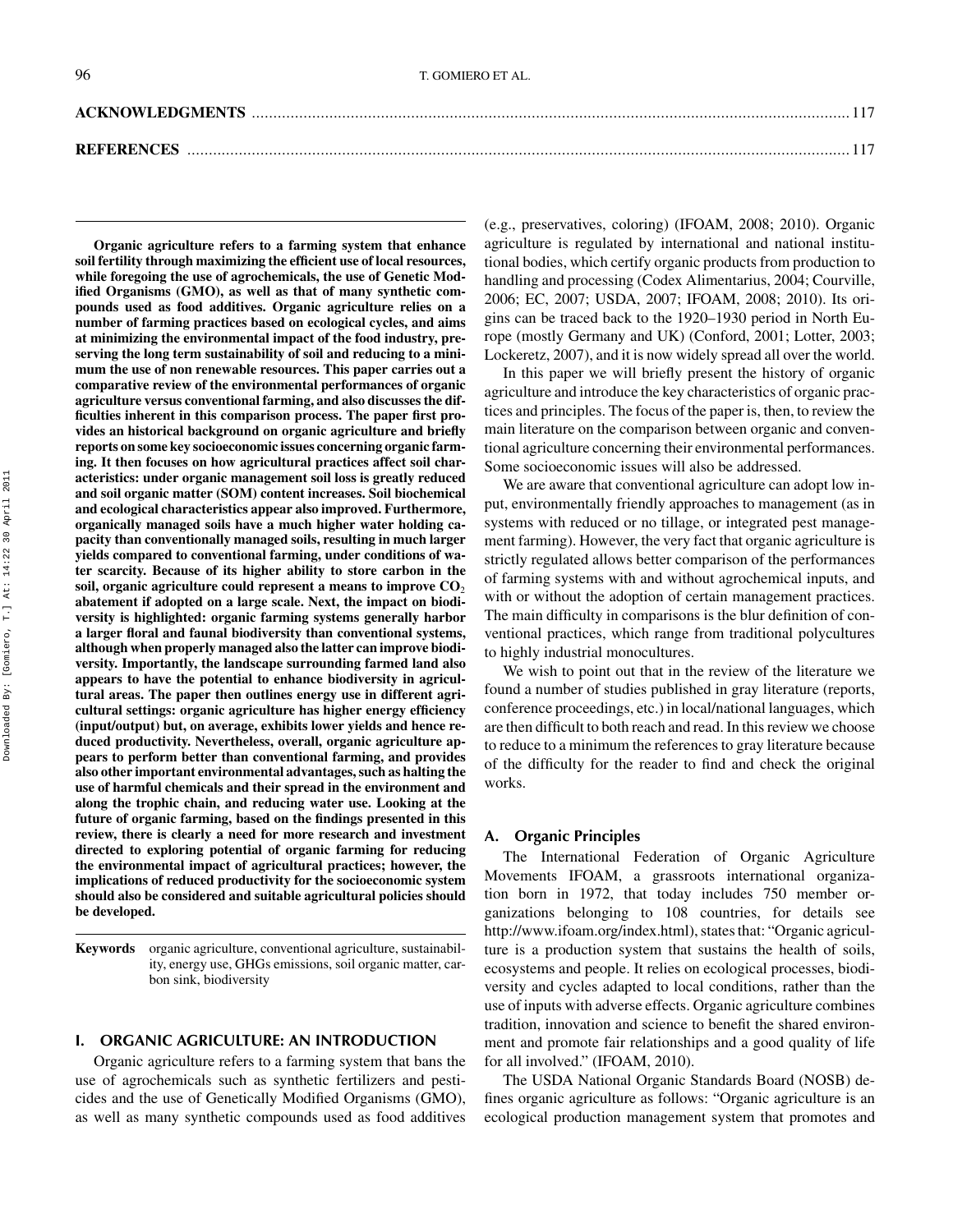**Organic agriculture refers to a farming system that enhance soil fertility through maximizing the efficient use of local resources, while foregoing the use of agrochemicals, the use of Genetic Modified Organisms (GMO), as well as that of many synthetic compounds used as food additives. Organic agriculture relies on a number of farming practices based on ecological cycles, and aims at minimizing the environmental impact of the food industry, preserving the long term sustainability of soil and reducing to a minimum the use of non renewable resources. This paper carries out a comparative review of the environmental performances of organic agriculture versus conventional farming, and also discusses the difficulties inherent in this comparison process. The paper first provides an historical background on organic agriculture and briefly reports on some key socioeconomic issues concerning organic farming. It then focuses on how agricultural practices affect soil characteristics: under organic management soil loss is greatly reduced and soil organic matter (SOM) content increases. Soil biochemical and ecological characteristics appear also improved. Furthermore, organically managed soils have a much higher water holding capacity than conventionally managed soils, resulting in much larger yields compared to conventional farming, under conditions of water scarcity. Because of its higher ability to store carbon in the soil, organic agriculture could represent a means to improve CO**<sup>2</sup> **abatement if adopted on a large scale. Next, the impact on biodiversity is highlighted: organic farming systems generally harbor a larger floral and faunal biodiversity than conventional systems, although when properly managed also the latter can improve biodiversity. Importantly, the landscape surrounding farmed land also appears to have the potential to enhance biodiversity in agricultural areas. The paper then outlines energy use in different agricultural settings: organic agriculture has higher energy efficiency (input/output) but, on average, exhibits lower yields and hence reduced productivity. Nevertheless, overall, organic agriculture appears to perform better than conventional farming, and provides also other important environmental advantages, such as halting the use of harmful chemicals and their spread in the environment and along the trophic chain, and reducing water use. Looking at the future of organic farming, based on the findings presented in this review, there is clearly a need for more research and investment directed to exploring potential of organic farming for reducing the environmental impact of agricultural practices; however, the implications of reduced productivity for the socioeconomic system should also be considered and suitable agricultural policies should be developed.**

**Keywords** organic agriculture, conventional agriculture, sustainability, energy use, GHGs emissions, soil organic matter, carbon sink, biodiversity

#### **I. ORGANIC AGRICULTURE: AN INTRODUCTION**

Organic agriculture refers to a farming system that bans the use of agrochemicals such as synthetic fertilizers and pesticides and the use of Genetically Modified Organisms (GMO), as well as many synthetic compounds used as food additives

(e.g., preservatives, coloring) (IFOAM, 2008; 2010). Organic agriculture is regulated by international and national institutional bodies, which certify organic products from production to handling and processing (Codex Alimentarius, 2004; Courville, 2006; EC, 2007; USDA, 2007; IFOAM, 2008; 2010). Its origins can be traced back to the 1920–1930 period in North Europe (mostly Germany and UK) (Conford, 2001; Lotter, 2003; Lockeretz, 2007), and it is now widely spread all over the world.

In this paper we will briefly present the history of organic agriculture and introduce the key characteristics of organic practices and principles. The focus of the paper is, then, to review the main literature on the comparison between organic and conventional agriculture concerning their environmental performances. Some socioeconomic issues will also be addressed.

We are aware that conventional agriculture can adopt low input, environmentally friendly approaches to management (as in systems with reduced or no tillage, or integrated pest management farming). However, the very fact that organic agriculture is strictly regulated allows better comparison of the performances of farming systems with and without agrochemical inputs, and with or without the adoption of certain management practices. The main difficulty in comparisons is the blur definition of conventional practices, which range from traditional polycultures to highly industrial monocultures.

We wish to point out that in the review of the literature we found a number of studies published in gray literature (reports, conference proceedings, etc.) in local/national languages, which are then difficult to both reach and read. In this review we choose to reduce to a minimum the references to gray literature because of the difficulty for the reader to find and check the original works.

### **A. Organic Principles**

The International Federation of Organic Agriculture Movements IFOAM, a grassroots international organization born in 1972, that today includes 750 member organizations belonging to 108 countries, for details see http://www.ifoam.org/index.html), states that: "Organic agriculture is a production system that sustains the health of soils, ecosystems and people. It relies on ecological processes, biodiversity and cycles adapted to local conditions, rather than the use of inputs with adverse effects. Organic agriculture combines tradition, innovation and science to benefit the shared environment and promote fair relationships and a good quality of life for all involved." (IFOAM, 2010).

The USDA National Organic Standards Board (NOSB) defines organic agriculture as follows: "Organic agriculture is an ecological production management system that promotes and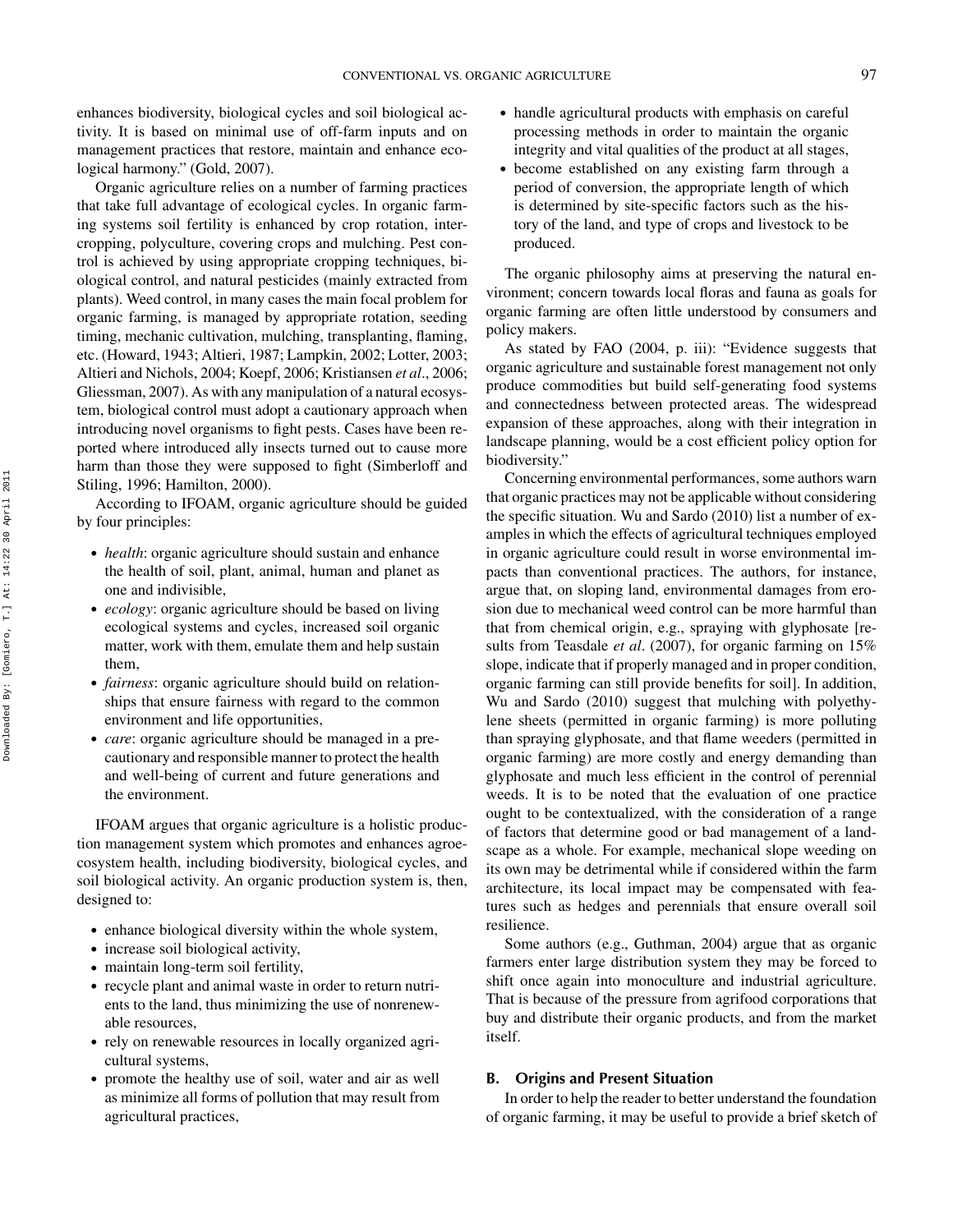enhances biodiversity, biological cycles and soil biological activity. It is based on minimal use of off-farm inputs and on management practices that restore, maintain and enhance ecological harmony." (Gold, 2007).

Organic agriculture relies on a number of farming practices that take full advantage of ecological cycles. In organic farming systems soil fertility is enhanced by crop rotation, intercropping, polyculture, covering crops and mulching. Pest control is achieved by using appropriate cropping techniques, biological control, and natural pesticides (mainly extracted from plants). Weed control, in many cases the main focal problem for organic farming, is managed by appropriate rotation, seeding timing, mechanic cultivation, mulching, transplanting, flaming, etc. (Howard, 1943; Altieri, 1987; Lampkin, 2002; Lotter, 2003; Altieri and Nichols, 2004; Koepf, 2006; Kristiansen *et al*., 2006; Gliessman, 2007). As with any manipulation of a natural ecosystem, biological control must adopt a cautionary approach when introducing novel organisms to fight pests. Cases have been reported where introduced ally insects turned out to cause more harm than those they were supposed to fight (Simberloff and Stiling, 1996; Hamilton, 2000).

According to IFOAM, organic agriculture should be guided by four principles:

- *health*: organic agriculture should sustain and enhance the health of soil, plant, animal, human and planet as one and indivisible,
- *ecology*: organic agriculture should be based on living ecological systems and cycles, increased soil organic matter, work with them, emulate them and help sustain them,
- *fairness*: organic agriculture should build on relationships that ensure fairness with regard to the common environment and life opportunities,
- *care*: organic agriculture should be managed in a precautionary and responsible manner to protect the health and well-being of current and future generations and the environment.

IFOAM argues that organic agriculture is a holistic production management system which promotes and enhances agroecosystem health, including biodiversity, biological cycles, and soil biological activity. An organic production system is, then, designed to:

- enhance biological diversity within the whole system,
- increase soil biological activity,
- maintain long-term soil fertility,
- recycle plant and animal waste in order to return nutrients to the land, thus minimizing the use of nonrenewable resources,
- rely on renewable resources in locally organized agricultural systems,
- promote the healthy use of soil, water and air as well as minimize all forms of pollution that may result from agricultural practices,
- handle agricultural products with emphasis on careful processing methods in order to maintain the organic integrity and vital qualities of the product at all stages,
- become established on any existing farm through a period of conversion, the appropriate length of which is determined by site-specific factors such as the history of the land, and type of crops and livestock to be produced.

The organic philosophy aims at preserving the natural environment; concern towards local floras and fauna as goals for organic farming are often little understood by consumers and policy makers.

As stated by FAO (2004, p. iii): "Evidence suggests that organic agriculture and sustainable forest management not only produce commodities but build self-generating food systems and connectedness between protected areas. The widespread expansion of these approaches, along with their integration in landscape planning, would be a cost efficient policy option for biodiversity."

Concerning environmental performances, some authors warn that organic practices may not be applicable without considering the specific situation. Wu and Sardo (2010) list a number of examples in which the effects of agricultural techniques employed in organic agriculture could result in worse environmental impacts than conventional practices. The authors, for instance, argue that, on sloping land, environmental damages from erosion due to mechanical weed control can be more harmful than that from chemical origin, e.g., spraying with glyphosate [results from Teasdale *et al*. (2007), for organic farming on 15% slope, indicate that if properly managed and in proper condition, organic farming can still provide benefits for soil]. In addition, Wu and Sardo (2010) suggest that mulching with polyethylene sheets (permitted in organic farming) is more polluting than spraying glyphosate, and that flame weeders (permitted in organic farming) are more costly and energy demanding than glyphosate and much less efficient in the control of perennial weeds. It is to be noted that the evaluation of one practice ought to be contextualized, with the consideration of a range of factors that determine good or bad management of a landscape as a whole. For example, mechanical slope weeding on its own may be detrimental while if considered within the farm architecture, its local impact may be compensated with features such as hedges and perennials that ensure overall soil resilience.

Some authors (e.g., Guthman, 2004) argue that as organic farmers enter large distribution system they may be forced to shift once again into monoculture and industrial agriculture. That is because of the pressure from agrifood corporations that buy and distribute their organic products, and from the market itself.

## **B. Origins and Present Situation**

In order to help the reader to better understand the foundation of organic farming, it may be useful to provide a brief sketch of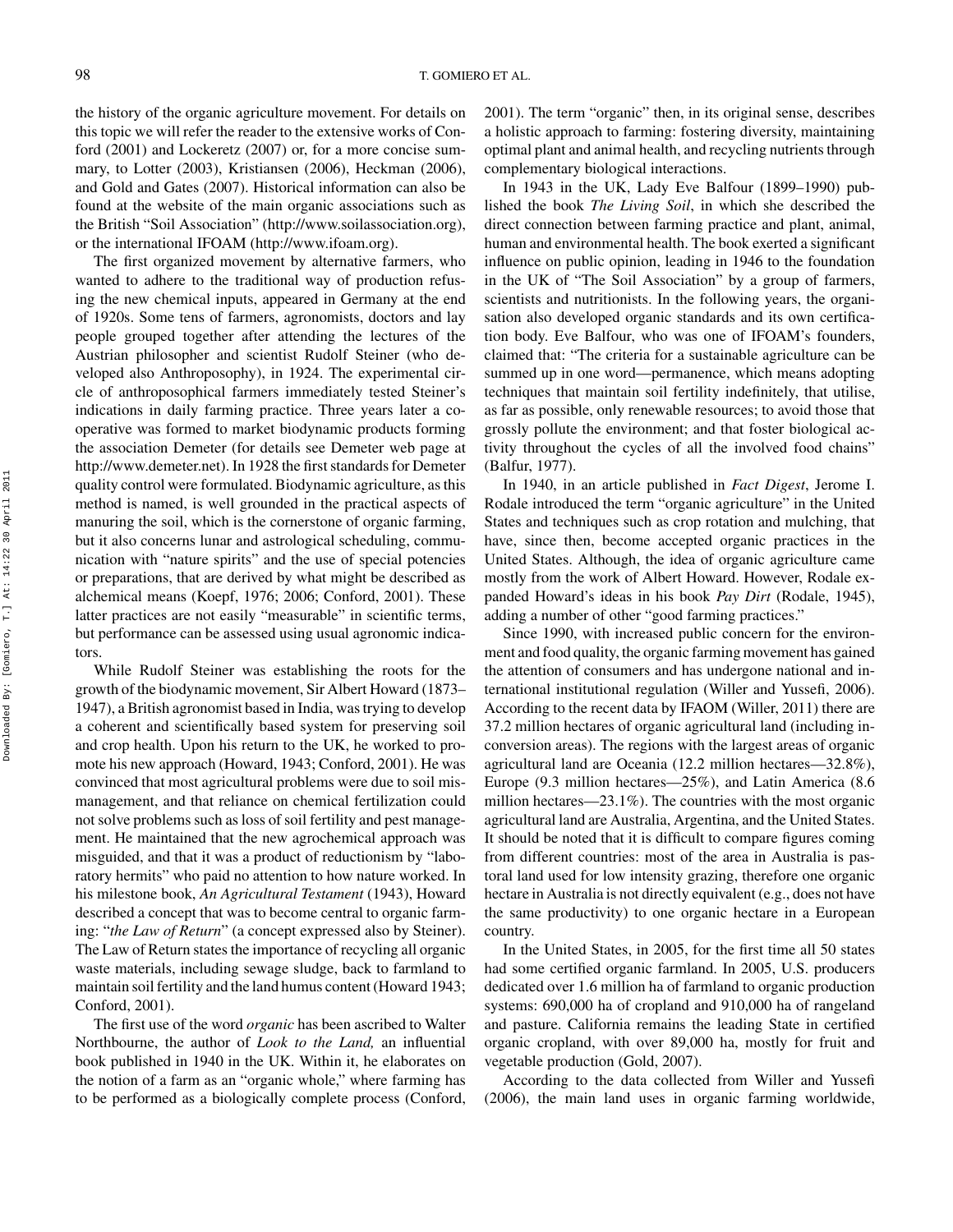the history of the organic agriculture movement. For details on this topic we will refer the reader to the extensive works of Conford (2001) and Lockeretz (2007) or, for a more concise summary, to Lotter (2003), Kristiansen (2006), Heckman (2006), and Gold and Gates (2007). Historical information can also be found at the website of the main organic associations such as the British "Soil Association" (http://www.soilassociation.org), or the international IFOAM (http://www.ifoam.org).

The first organized movement by alternative farmers, who wanted to adhere to the traditional way of production refusing the new chemical inputs, appeared in Germany at the end of 1920s. Some tens of farmers, agronomists, doctors and lay people grouped together after attending the lectures of the Austrian philosopher and scientist Rudolf Steiner (who developed also Anthroposophy), in 1924. The experimental circle of anthroposophical farmers immediately tested Steiner's indications in daily farming practice. Three years later a cooperative was formed to market biodynamic products forming the association Demeter (for details see Demeter web page at http://www.demeter.net). In 1928 the first standards for Demeter quality control were formulated. Biodynamic agriculture, as this method is named, is well grounded in the practical aspects of manuring the soil, which is the cornerstone of organic farming, but it also concerns lunar and astrological scheduling, communication with "nature spirits" and the use of special potencies or preparations, that are derived by what might be described as alchemical means (Koepf, 1976; 2006; Conford, 2001). These latter practices are not easily "measurable" in scientific terms, but performance can be assessed using usual agronomic indicators.

While Rudolf Steiner was establishing the roots for the growth of the biodynamic movement, Sir Albert Howard (1873– 1947), a British agronomist based in India, was trying to develop a coherent and scientifically based system for preserving soil and crop health. Upon his return to the UK, he worked to promote his new approach (Howard, 1943; Conford, 2001). He was convinced that most agricultural problems were due to soil mismanagement, and that reliance on chemical fertilization could not solve problems such as loss of soil fertility and pest management. He maintained that the new agrochemical approach was misguided, and that it was a product of reductionism by "laboratory hermits" who paid no attention to how nature worked. In his milestone book, *An Agricultural Testament* (1943), Howard described a concept that was to become central to organic farming: "*the Law of Return*" (a concept expressed also by Steiner). The Law of Return states the importance of recycling all organic waste materials, including sewage sludge, back to farmland to maintain soil fertility and the land humus content (Howard 1943; Conford, 2001).

The first use of the word *organic* has been ascribed to Walter Northbourne, the author of *Look to the Land,* an influential book published in 1940 in the UK. Within it, he elaborates on the notion of a farm as an "organic whole," where farming has to be performed as a biologically complete process (Conford, 2001). The term "organic" then, in its original sense, describes a holistic approach to farming: fostering diversity, maintaining optimal plant and animal health, and recycling nutrients through complementary biological interactions.

In 1943 in the UK, Lady Eve Balfour (1899–1990) published the book *The Living Soil*, in which she described the direct connection between farming practice and plant, animal, human and environmental health. The book exerted a significant influence on public opinion, leading in 1946 to the foundation in the UK of "The Soil Association" by a group of farmers, scientists and nutritionists. In the following years, the organisation also developed organic standards and its own certification body. Eve Balfour, who was one of IFOAM's founders, claimed that: "The criteria for a sustainable agriculture can be summed up in one word—permanence, which means adopting techniques that maintain soil fertility indefinitely, that utilise, as far as possible, only renewable resources; to avoid those that grossly pollute the environment; and that foster biological activity throughout the cycles of all the involved food chains" (Balfur, 1977).

In 1940, in an article published in *Fact Digest*, Jerome I. Rodale introduced the term "organic agriculture" in the United States and techniques such as crop rotation and mulching, that have, since then, become accepted organic practices in the United States. Although, the idea of organic agriculture came mostly from the work of Albert Howard. However, Rodale expanded Howard's ideas in his book *Pay Dirt* (Rodale, 1945), adding a number of other "good farming practices."

Since 1990, with increased public concern for the environment and food quality, the organic farming movement has gained the attention of consumers and has undergone national and international institutional regulation (Willer and Yussefi, 2006). According to the recent data by IFAOM (Willer, 2011) there are 37.2 million hectares of organic agricultural land (including inconversion areas). The regions with the largest areas of organic agricultural land are Oceania (12.2 million hectares—32.8%), Europe (9.3 million hectares—25%), and Latin America (8.6 million hectares—23.1%). The countries with the most organic agricultural land are Australia, Argentina, and the United States. It should be noted that it is difficult to compare figures coming from different countries: most of the area in Australia is pastoral land used for low intensity grazing, therefore one organic hectare in Australia is not directly equivalent (e.g., does not have the same productivity) to one organic hectare in a European country.

In the United States, in 2005, for the first time all 50 states had some certified organic farmland. In 2005, U.S. producers dedicated over 1.6 million ha of farmland to organic production systems: 690,000 ha of cropland and 910,000 ha of rangeland and pasture. California remains the leading State in certified organic cropland, with over 89,000 ha, mostly for fruit and vegetable production (Gold, 2007).

According to the data collected from Willer and Yussefi (2006), the main land uses in organic farming worldwide,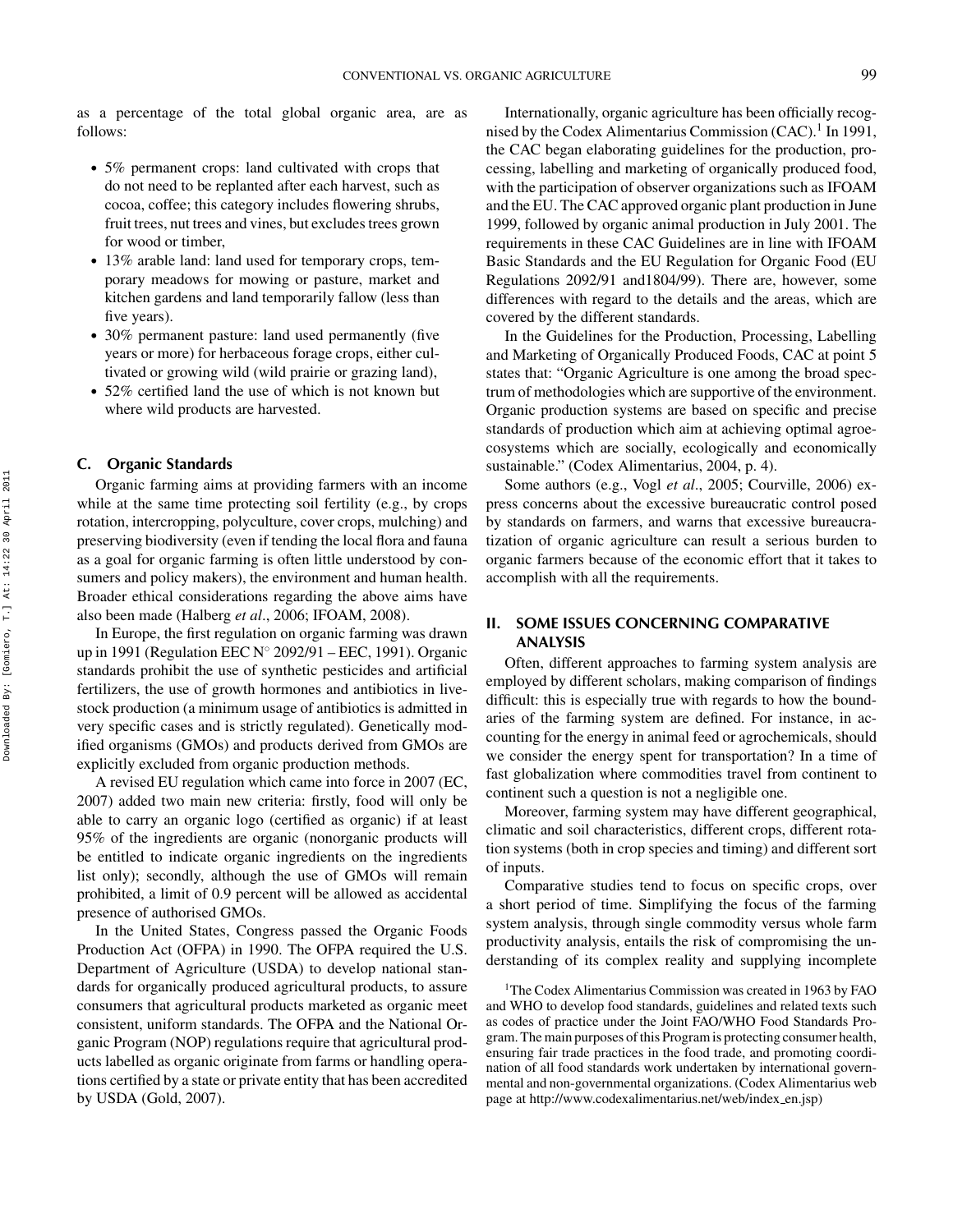as a percentage of the total global organic area, are as follows:

- 5% permanent crops: land cultivated with crops that do not need to be replanted after each harvest, such as cocoa, coffee; this category includes flowering shrubs, fruit trees, nut trees and vines, but excludes trees grown for wood or timber,
- 13% arable land: land used for temporary crops, temporary meadows for mowing or pasture, market and kitchen gardens and land temporarily fallow (less than five years).
- 30% permanent pasture: land used permanently (five years or more) for herbaceous forage crops, either cultivated or growing wild (wild prairie or grazing land),
- 52% certified land the use of which is not known but where wild products are harvested.

#### **C. Organic Standards**

Organic farming aims at providing farmers with an income while at the same time protecting soil fertility (e.g., by crops rotation, intercropping, polyculture, cover crops, mulching) and preserving biodiversity (even if tending the local flora and fauna as a goal for organic farming is often little understood by consumers and policy makers), the environment and human health. Broader ethical considerations regarding the above aims have also been made (Halberg *et al*., 2006; IFOAM, 2008).

In Europe, the first regulation on organic farming was drawn up in 1991 (Regulation EEC N◦ 2092/91 – EEC, 1991). Organic standards prohibit the use of synthetic pesticides and artificial fertilizers, the use of growth hormones and antibiotics in livestock production (a minimum usage of antibiotics is admitted in very specific cases and is strictly regulated). Genetically modified organisms (GMOs) and products derived from GMOs are explicitly excluded from organic production methods.

A revised EU regulation which came into force in 2007 (EC, 2007) added two main new criteria: firstly, food will only be able to carry an organic logo (certified as organic) if at least 95% of the ingredients are organic (nonorganic products will be entitled to indicate organic ingredients on the ingredients list only); secondly, although the use of GMOs will remain prohibited, a limit of 0.9 percent will be allowed as accidental presence of authorised GMOs.

In the United States, Congress passed the Organic Foods Production Act (OFPA) in 1990. The OFPA required the U.S. Department of Agriculture (USDA) to develop national standards for organically produced agricultural products, to assure consumers that agricultural products marketed as organic meet consistent, uniform standards. The OFPA and the National Organic Program (NOP) regulations require that agricultural products labelled as organic originate from farms or handling operations certified by a state or private entity that has been accredited by USDA (Gold, 2007).

Internationally, organic agriculture has been officially recognised by the Codex Alimentarius Commission (CAC).<sup>1</sup> In 1991, the CAC began elaborating guidelines for the production, processing, labelling and marketing of organically produced food, with the participation of observer organizations such as IFOAM and the EU. The CAC approved organic plant production in June 1999, followed by organic animal production in July 2001. The requirements in these CAC Guidelines are in line with IFOAM Basic Standards and the EU Regulation for Organic Food (EU Regulations 2092/91 and1804/99). There are, however, some differences with regard to the details and the areas, which are covered by the different standards.

In the Guidelines for the Production, Processing, Labelling and Marketing of Organically Produced Foods, CAC at point 5 states that: "Organic Agriculture is one among the broad spectrum of methodologies which are supportive of the environment. Organic production systems are based on specific and precise standards of production which aim at achieving optimal agroecosystems which are socially, ecologically and economically sustainable." (Codex Alimentarius, 2004, p. 4).

Some authors (e.g., Vogl *et al*., 2005; Courville, 2006) express concerns about the excessive bureaucratic control posed by standards on farmers, and warns that excessive bureaucratization of organic agriculture can result a serious burden to organic farmers because of the economic effort that it takes to accomplish with all the requirements.

## **II. SOME ISSUES CONCERNING COMPARATIVE ANALYSIS**

Often, different approaches to farming system analysis are employed by different scholars, making comparison of findings difficult: this is especially true with regards to how the boundaries of the farming system are defined. For instance, in accounting for the energy in animal feed or agrochemicals, should we consider the energy spent for transportation? In a time of fast globalization where commodities travel from continent to continent such a question is not a negligible one.

Moreover, farming system may have different geographical, climatic and soil characteristics, different crops, different rotation systems (both in crop species and timing) and different sort of inputs.

Comparative studies tend to focus on specific crops, over a short period of time. Simplifying the focus of the farming system analysis, through single commodity versus whole farm productivity analysis, entails the risk of compromising the understanding of its complex reality and supplying incomplete

<sup>1</sup>The Codex Alimentarius Commission was created in 1963 by FAO and WHO to develop food standards, guidelines and related texts such as codes of practice under the Joint FAO/WHO Food Standards Program. The main purposes of this Program is protecting consumer health, ensuring fair trade practices in the food trade, and promoting coordination of all food standards work undertaken by international governmental and non-governmental organizations. (Codex Alimentarius web page at http://www.codexalimentarius.net/web/index en.jsp)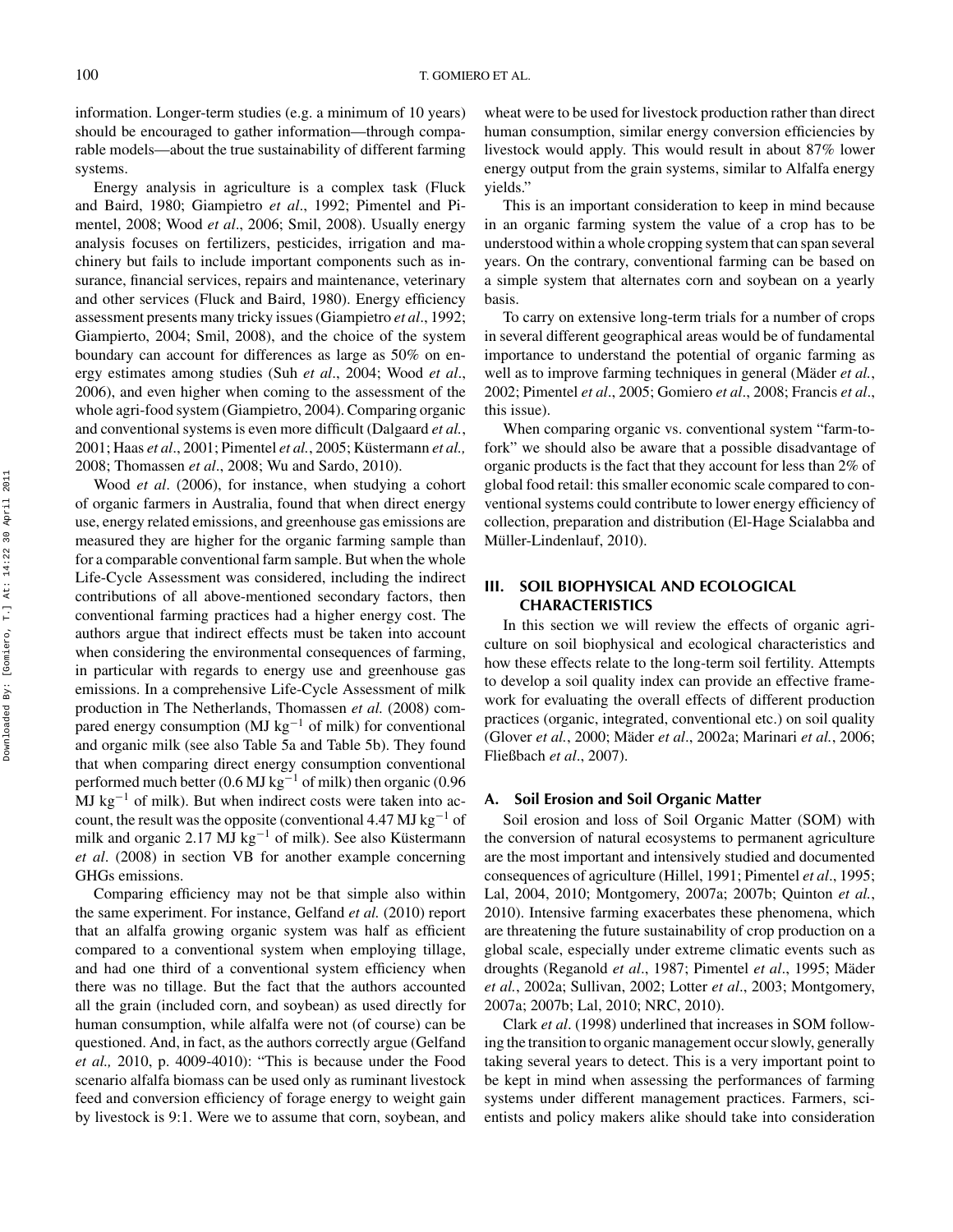information. Longer-term studies (e.g. a minimum of 10 years) should be encouraged to gather information—through comparable models—about the true sustainability of different farming systems.

Energy analysis in agriculture is a complex task (Fluck and Baird, 1980; Giampietro *et al*., 1992; Pimentel and Pimentel, 2008; Wood *et al*., 2006; Smil, 2008). Usually energy analysis focuses on fertilizers, pesticides, irrigation and machinery but fails to include important components such as insurance, financial services, repairs and maintenance, veterinary and other services (Fluck and Baird, 1980). Energy efficiency assessment presents many tricky issues (Giampietro *et al*., 1992; Giampierto, 2004; Smil, 2008), and the choice of the system boundary can account for differences as large as 50% on energy estimates among studies (Suh *et al*., 2004; Wood *et al*., 2006), and even higher when coming to the assessment of the whole agri-food system (Giampietro, 2004). Comparing organic and conventional systems is even more difficult (Dalgaard *et al.*, 2001; Haas *et al.*, 2001; Pimentel *et al.*, 2005; Küstermann *et al.*, 2008; Thomassen *et al*., 2008; Wu and Sardo, 2010).

Wood *et al*. (2006), for instance, when studying a cohort of organic farmers in Australia, found that when direct energy use, energy related emissions, and greenhouse gas emissions are measured they are higher for the organic farming sample than for a comparable conventional farm sample. But when the whole Life-Cycle Assessment was considered, including the indirect contributions of all above-mentioned secondary factors, then conventional farming practices had a higher energy cost. The authors argue that indirect effects must be taken into account when considering the environmental consequences of farming, in particular with regards to energy use and greenhouse gas emissions. In a comprehensive Life-Cycle Assessment of milk production in The Netherlands, Thomassen *et al.* (2008) compared energy consumption (MJ kg<sup>-1</sup> of milk) for conventional and organic milk (see also Table 5a and Table 5b). They found that when comparing direct energy consumption conventional performed much better (0.6 MJ kg<sup>-1</sup> of milk) then organic (0.96 MJ kg<sup>-1</sup> of milk). But when indirect costs were taken into account, the result was the opposite (conventional 4.47 MJ kg<sup>-1</sup> of milk and organic 2.17 MJ kg<sup>-1</sup> of milk). See also Küstermann *et al*. (2008) in section VB for another example concerning GHGs emissions.

Comparing efficiency may not be that simple also within the same experiment. For instance, Gelfand *et al.* (2010) report that an alfalfa growing organic system was half as efficient compared to a conventional system when employing tillage, and had one third of a conventional system efficiency when there was no tillage. But the fact that the authors accounted all the grain (included corn, and soybean) as used directly for human consumption, while alfalfa were not (of course) can be questioned. And, in fact, as the authors correctly argue (Gelfand *et al.,* 2010, p. 4009-4010): "This is because under the Food scenario alfalfa biomass can be used only as ruminant livestock feed and conversion efficiency of forage energy to weight gain by livestock is 9:1. Were we to assume that corn, soybean, and

wheat were to be used for livestock production rather than direct human consumption, similar energy conversion efficiencies by livestock would apply. This would result in about 87% lower energy output from the grain systems, similar to Alfalfa energy yields."

This is an important consideration to keep in mind because in an organic farming system the value of a crop has to be understood within a whole cropping system that can span several years. On the contrary, conventional farming can be based on a simple system that alternates corn and soybean on a yearly basis.

To carry on extensive long-term trials for a number of crops in several different geographical areas would be of fundamental importance to understand the potential of organic farming as well as to improve farming techniques in general (Mäder *et al.*, 2002; Pimentel *et al*., 2005; Gomiero *et al*., 2008; Francis *et al*., this issue).

When comparing organic vs. conventional system "farm-tofork" we should also be aware that a possible disadvantage of organic products is the fact that they account for less than 2% of global food retail: this smaller economic scale compared to conventional systems could contribute to lower energy efficiency of collection, preparation and distribution (El-Hage Scialabba and Müller-Lindenlauf, 2010).

## **III. SOIL BIOPHYSICAL AND ECOLOGICAL CHARACTERISTICS**

In this section we will review the effects of organic agriculture on soil biophysical and ecological characteristics and how these effects relate to the long-term soil fertility. Attempts to develop a soil quality index can provide an effective framework for evaluating the overall effects of different production practices (organic, integrated, conventional etc.) on soil quality (Glover et al., 2000; Mäder et al., 2002a; Marinari et al., 2006; Fließbach *et al*., 2007).

#### **A. Soil Erosion and Soil Organic Matter**

Soil erosion and loss of Soil Organic Matter (SOM) with the conversion of natural ecosystems to permanent agriculture are the most important and intensively studied and documented consequences of agriculture (Hillel, 1991; Pimentel *et al*., 1995; Lal, 2004, 2010; Montgomery, 2007a; 2007b; Quinton *et al.*, 2010). Intensive farming exacerbates these phenomena, which are threatening the future sustainability of crop production on a global scale, especially under extreme climatic events such as droughts (Reganold *et al.*, 1987; Pimentel *et al.*, 1995; Mäder *et al.*, 2002a; Sullivan, 2002; Lotter *et al*., 2003; Montgomery, 2007a; 2007b; Lal, 2010; NRC, 2010).

Clark *et al*. (1998) underlined that increases in SOM following the transition to organic management occur slowly, generally taking several years to detect. This is a very important point to be kept in mind when assessing the performances of farming systems under different management practices. Farmers, scientists and policy makers alike should take into consideration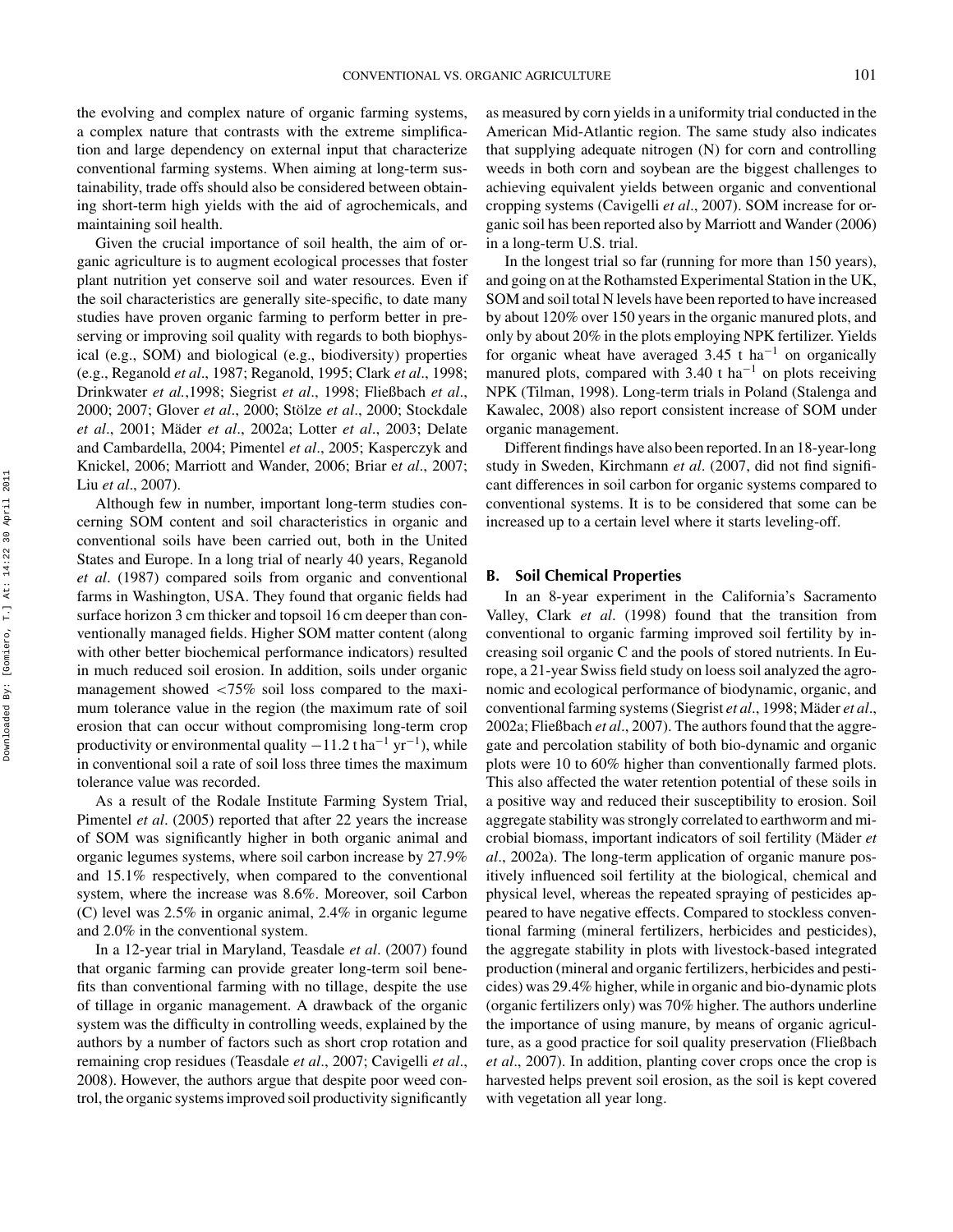the evolving and complex nature of organic farming systems, a complex nature that contrasts with the extreme simplification and large dependency on external input that characterize conventional farming systems. When aiming at long-term sustainability, trade offs should also be considered between obtaining short-term high yields with the aid of agrochemicals, and maintaining soil health.

Given the crucial importance of soil health, the aim of organic agriculture is to augment ecological processes that foster plant nutrition yet conserve soil and water resources. Even if the soil characteristics are generally site-specific, to date many studies have proven organic farming to perform better in preserving or improving soil quality with regards to both biophysical (e.g., SOM) and biological (e.g., biodiversity) properties (e.g., Reganold *et al*., 1987; Reganold, 1995; Clark *et al*., 1998; Drinkwater *et al.*,1998; Siegrist *et al*., 1998; Fließbach *et al*., 2000; 2007; Glover et al., 2000; Stölze et al., 2000; Stockdale *et al.*, 2001; Mäder *et al.*, 2002a; Lotter *et al.*, 2003; Delate and Cambardella, 2004; Pimentel *et al*., 2005; Kasperczyk and Knickel, 2006; Marriott and Wander, 2006; Briar e*t al*., 2007; Liu *et al*., 2007).

Although few in number, important long-term studies concerning SOM content and soil characteristics in organic and conventional soils have been carried out, both in the United States and Europe. In a long trial of nearly 40 years, Reganold *et al*. (1987) compared soils from organic and conventional farms in Washington, USA. They found that organic fields had surface horizon 3 cm thicker and topsoil 16 cm deeper than conventionally managed fields. Higher SOM matter content (along with other better biochemical performance indicators) resulted in much reduced soil erosion. In addition, soils under organic management showed *<*75% soil loss compared to the maximum tolerance value in the region (the maximum rate of soil erosion that can occur without compromising long-term crop productivity or environmental quality  $-11.2$  t ha<sup>-1</sup> yr<sup>-1</sup>), while in conventional soil a rate of soil loss three times the maximum tolerance value was recorded.

As a result of the Rodale Institute Farming System Trial, Pimentel *et al*. (2005) reported that after 22 years the increase of SOM was significantly higher in both organic animal and organic legumes systems, where soil carbon increase by 27.9% and 15.1% respectively, when compared to the conventional system, where the increase was 8.6%. Moreover, soil Carbon (C) level was 2.5% in organic animal, 2.4% in organic legume and 2.0% in the conventional system.

In a 12-year trial in Maryland, Teasdale *et al*. (2007) found that organic farming can provide greater long-term soil benefits than conventional farming with no tillage, despite the use of tillage in organic management. A drawback of the organic system was the difficulty in controlling weeds, explained by the authors by a number of factors such as short crop rotation and remaining crop residues (Teasdale *et al*., 2007; Cavigelli *et al*., 2008). However, the authors argue that despite poor weed control, the organic systems improved soil productivity significantly

as measured by corn yields in a uniformity trial conducted in the American Mid-Atlantic region. The same study also indicates that supplying adequate nitrogen (N) for corn and controlling weeds in both corn and soybean are the biggest challenges to achieving equivalent yields between organic and conventional cropping systems (Cavigelli *et al*., 2007). SOM increase for organic soil has been reported also by Marriott and Wander (2006) in a long-term U.S. trial.

In the longest trial so far (running for more than 150 years), and going on at the Rothamsted Experimental Station in the UK, SOM and soil total N levels have been reported to have increased by about 120% over 150 years in the organic manured plots, and only by about 20% in the plots employing NPK fertilizer. Yields for organic wheat have averaged 3.45 t ha<sup>-1</sup> on organically manured plots, compared with 3.40 t ha<sup> $-1$ </sup> on plots receiving NPK (Tilman, 1998). Long-term trials in Poland (Stalenga and Kawalec, 2008) also report consistent increase of SOM under organic management.

Different findings have also been reported. In an 18-year-long study in Sweden, Kirchmann *et al*. (2007, did not find significant differences in soil carbon for organic systems compared to conventional systems. It is to be considered that some can be increased up to a certain level where it starts leveling-off.

#### **B. Soil Chemical Properties**

In an 8-year experiment in the California's Sacramento Valley, Clark *et al*. (1998) found that the transition from conventional to organic farming improved soil fertility by increasing soil organic C and the pools of stored nutrients. In Europe, a 21-year Swiss field study on loess soil analyzed the agronomic and ecological performance of biodynamic, organic, and conventional farming systems (Siegrist et al., 1998; Mäder et al., 2002a; Fließbach *et al*., 2007). The authors found that the aggregate and percolation stability of both bio-dynamic and organic plots were 10 to 60% higher than conventionally farmed plots. This also affected the water retention potential of these soils in a positive way and reduced their susceptibility to erosion. Soil aggregate stability was strongly correlated to earthworm and microbial biomass, important indicators of soil fertility (Mäder et *al*., 2002a). The long-term application of organic manure positively influenced soil fertility at the biological, chemical and physical level, whereas the repeated spraying of pesticides appeared to have negative effects. Compared to stockless conventional farming (mineral fertilizers, herbicides and pesticides), the aggregate stability in plots with livestock-based integrated production (mineral and organic fertilizers, herbicides and pesticides) was 29.4% higher, while in organic and bio-dynamic plots (organic fertilizers only) was 70% higher. The authors underline the importance of using manure, by means of organic agriculture, as a good practice for soil quality preservation (Fließbach *et al*., 2007). In addition, planting cover crops once the crop is harvested helps prevent soil erosion, as the soil is kept covered with vegetation all year long.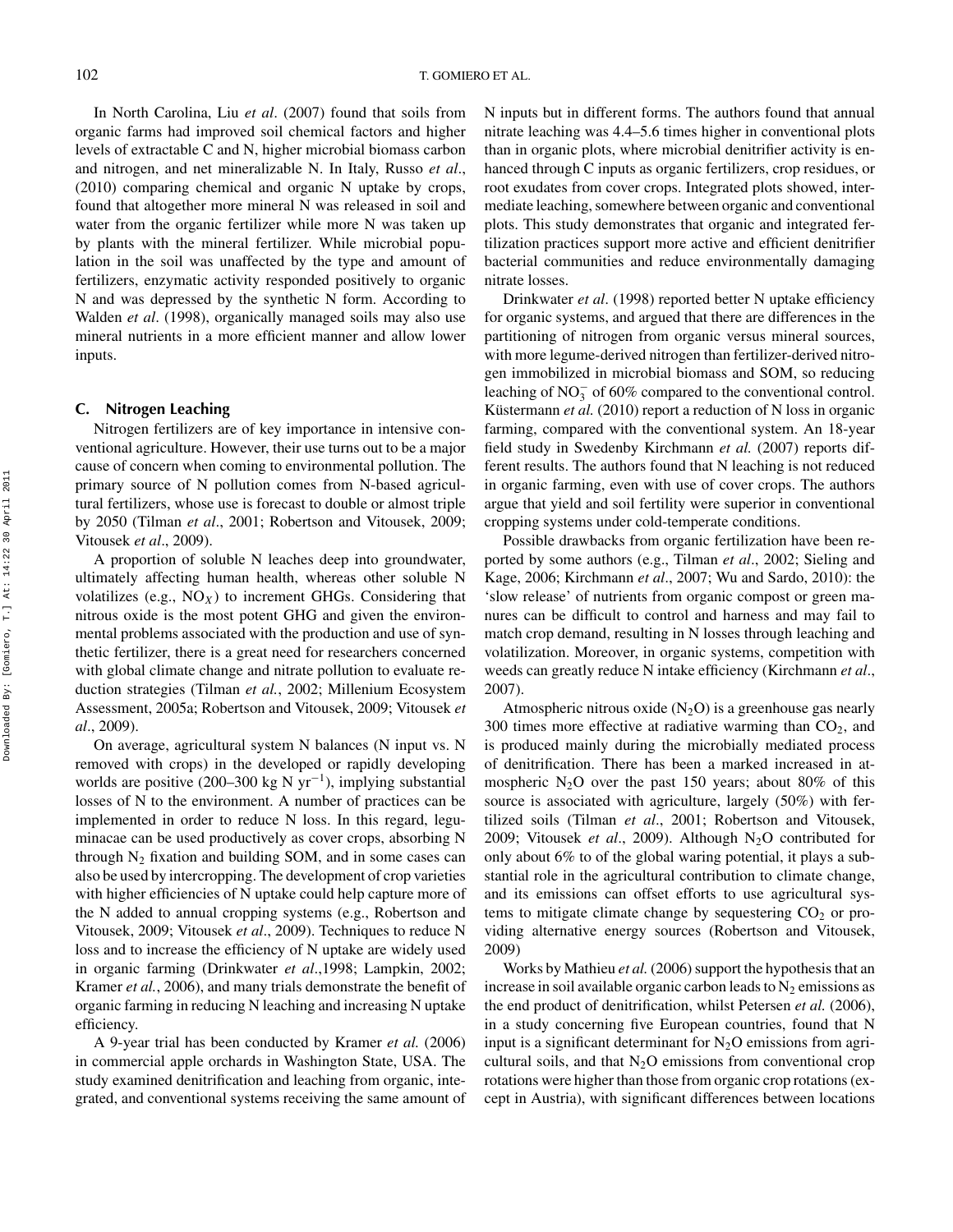In North Carolina, Liu *et al*. (2007) found that soils from organic farms had improved soil chemical factors and higher levels of extractable C and N, higher microbial biomass carbon and nitrogen, and net mineralizable N. In Italy, Russo *et al*., (2010) comparing chemical and organic N uptake by crops, found that altogether more mineral N was released in soil and water from the organic fertilizer while more N was taken up by plants with the mineral fertilizer. While microbial population in the soil was unaffected by the type and amount of fertilizers, enzymatic activity responded positively to organic N and was depressed by the synthetic N form. According to Walden *et al*. (1998), organically managed soils may also use mineral nutrients in a more efficient manner and allow lower inputs.

#### **C. Nitrogen Leaching**

Nitrogen fertilizers are of key importance in intensive conventional agriculture. However, their use turns out to be a major cause of concern when coming to environmental pollution. The primary source of N pollution comes from N-based agricultural fertilizers, whose use is forecast to double or almost triple by 2050 (Tilman *et al*., 2001; Robertson and Vitousek, 2009; Vitousek *et al*., 2009).

A proportion of soluble N leaches deep into groundwater, ultimately affecting human health, whereas other soluble N volatilizes (e.g.,  $NO_X$ ) to increment GHGs. Considering that nitrous oxide is the most potent GHG and given the environmental problems associated with the production and use of synthetic fertilizer, there is a great need for researchers concerned with global climate change and nitrate pollution to evaluate reduction strategies (Tilman *et al.*, 2002; Millenium Ecosystem Assessment, 2005a; Robertson and Vitousek, 2009; Vitousek *et al*., 2009).

On average, agricultural system N balances (N input vs. N removed with crops) in the developed or rapidly developing worlds are positive (200–300 kg N yr<sup>-1</sup>), implying substantial losses of N to the environment. A number of practices can be implemented in order to reduce N loss. In this regard, leguminacae can be used productively as cover crops, absorbing N through  $N_2$  fixation and building SOM, and in some cases can also be used by intercropping. The development of crop varieties with higher efficiencies of N uptake could help capture more of the N added to annual cropping systems (e.g., Robertson and Vitousek, 2009; Vitousek *et al*., 2009). Techniques to reduce N loss and to increase the efficiency of N uptake are widely used in organic farming (Drinkwater *et al*.,1998; Lampkin, 2002; Kramer *et al.*, 2006), and many trials demonstrate the benefit of organic farming in reducing N leaching and increasing N uptake efficiency.

A 9-year trial has been conducted by Kramer *et al.* (2006) in commercial apple orchards in Washington State, USA. The study examined denitrification and leaching from organic, integrated, and conventional systems receiving the same amount of N inputs but in different forms. The authors found that annual nitrate leaching was 4.4–5.6 times higher in conventional plots than in organic plots, where microbial denitrifier activity is enhanced through C inputs as organic fertilizers, crop residues, or root exudates from cover crops. Integrated plots showed, intermediate leaching, somewhere between organic and conventional plots. This study demonstrates that organic and integrated fertilization practices support more active and efficient denitrifier bacterial communities and reduce environmentally damaging nitrate losses.

Drinkwater *et al*. (1998) reported better N uptake efficiency for organic systems, and argued that there are differences in the partitioning of nitrogen from organic versus mineral sources, with more legume-derived nitrogen than fertilizer-derived nitrogen immobilized in microbial biomass and SOM, so reducing leaching of  $NO_3^-$  of 60% compared to the conventional control. Küstermann et al. (2010) report a reduction of N loss in organic farming, compared with the conventional system. An 18-year field study in Swedenby Kirchmann *et al.* (2007) reports different results. The authors found that N leaching is not reduced in organic farming, even with use of cover crops. The authors argue that yield and soil fertility were superior in conventional cropping systems under cold-temperate conditions.

Possible drawbacks from organic fertilization have been reported by some authors (e.g., Tilman *et al*., 2002; Sieling and Kage, 2006; Kirchmann *et al*., 2007; Wu and Sardo, 2010): the 'slow release' of nutrients from organic compost or green manures can be difficult to control and harness and may fail to match crop demand, resulting in N losses through leaching and volatilization. Moreover, in organic systems, competition with weeds can greatly reduce N intake efficiency (Kirchmann *et al*., 2007).

Atmospheric nitrous oxide  $(N_2O)$  is a greenhouse gas nearly 300 times more effective at radiative warming than  $CO<sub>2</sub>$ , and is produced mainly during the microbially mediated process of denitrification. There has been a marked increased in atmospheric  $N_2O$  over the past 150 years; about 80% of this source is associated with agriculture, largely (50%) with fertilized soils (Tilman *et al*., 2001; Robertson and Vitousek, 2009; Vitousek et al., 2009). Although N<sub>2</sub>O contributed for only about 6% to of the global waring potential, it plays a substantial role in the agricultural contribution to climate change, and its emissions can offset efforts to use agricultural systems to mitigate climate change by sequestering  $CO<sub>2</sub>$  or providing alternative energy sources (Robertson and Vitousek, 2009)

Works by Mathieu *et al.* (2006) support the hypothesis that an increase in soil available organic carbon leads to  $N_2$  emissions as the end product of denitrification, whilst Petersen *et al.* (2006), in a study concerning five European countries, found that N input is a significant determinant for  $N_2O$  emissions from agricultural soils, and that  $N_2O$  emissions from conventional crop rotations were higher than those from organic crop rotations (except in Austria), with significant differences between locations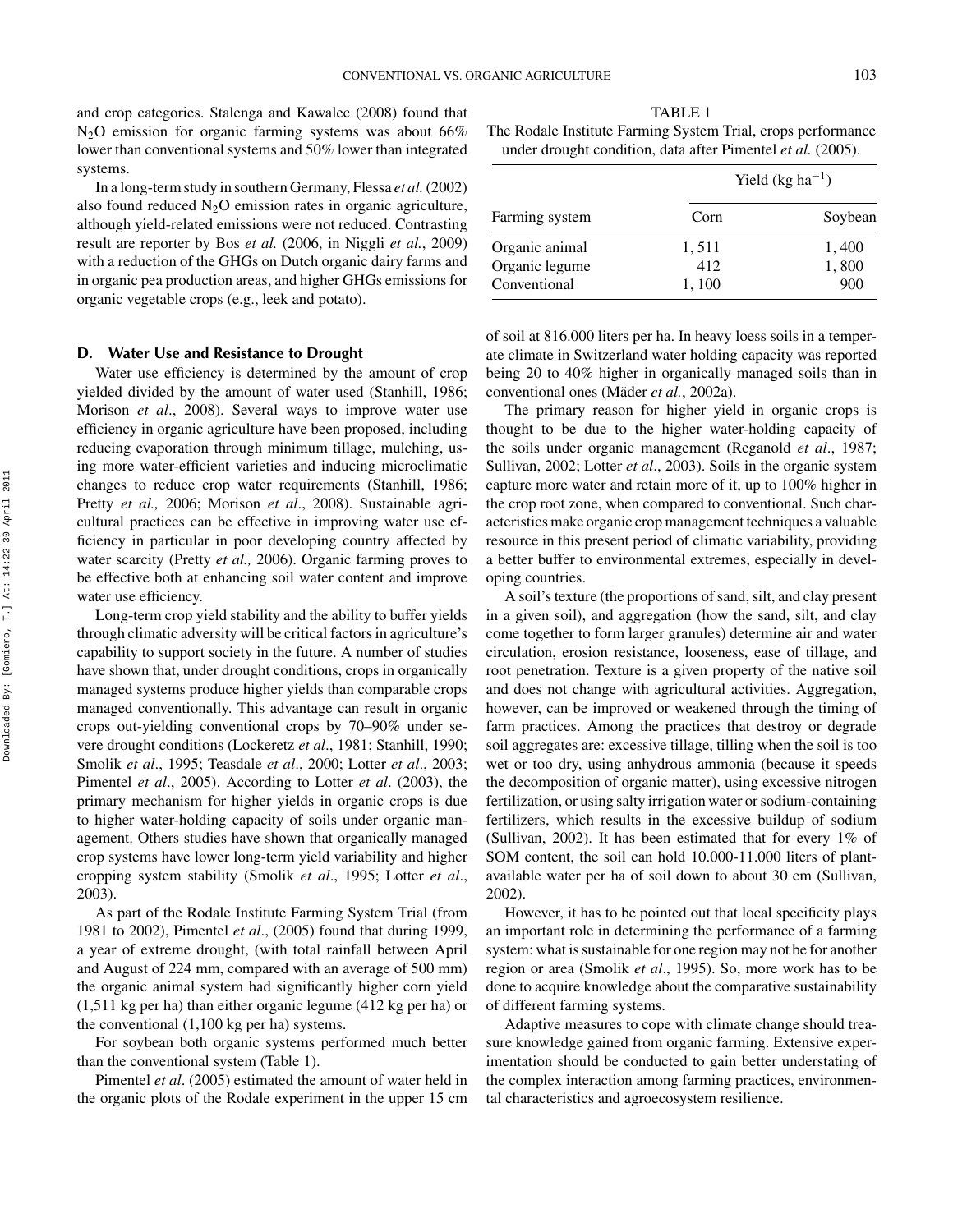and crop categories. Stalenga and Kawalec (2008) found that  $N<sub>2</sub>O$  emission for organic farming systems was about 66% lower than conventional systems and 50% lower than integrated systems.

In a long-term study in southern Germany, Flessa *et al.*(2002) also found reduced  $N_2O$  emission rates in organic agriculture, although yield-related emissions were not reduced. Contrasting result are reporter by Bos *et al.* (2006, in Niggli *et al.*, 2009) with a reduction of the GHGs on Dutch organic dairy farms and in organic pea production areas, and higher GHGs emissions for organic vegetable crops (e.g., leek and potato).

#### **D. Water Use and Resistance to Drought**

Water use efficiency is determined by the amount of crop yielded divided by the amount of water used (Stanhill, 1986; Morison *et al*., 2008). Several ways to improve water use efficiency in organic agriculture have been proposed, including reducing evaporation through minimum tillage, mulching, using more water-efficient varieties and inducing microclimatic changes to reduce crop water requirements (Stanhill, 1986; Pretty *et al.,* 2006; Morison *et al*., 2008). Sustainable agricultural practices can be effective in improving water use efficiency in particular in poor developing country affected by water scarcity (Pretty *et al.,* 2006). Organic farming proves to be effective both at enhancing soil water content and improve water use efficiency.

Long-term crop yield stability and the ability to buffer yields through climatic adversity will be critical factors in agriculture's capability to support society in the future. A number of studies have shown that, under drought conditions, crops in organically managed systems produce higher yields than comparable crops managed conventionally. This advantage can result in organic crops out-yielding conventional crops by 70–90% under severe drought conditions (Lockeretz *et al*., 1981; Stanhill, 1990; Smolik *et al*., 1995; Teasdale *et al*., 2000; Lotter *et al*., 2003; Pimentel *et al*., 2005). According to Lotter *et al*. (2003), the primary mechanism for higher yields in organic crops is due to higher water-holding capacity of soils under organic management. Others studies have shown that organically managed crop systems have lower long-term yield variability and higher cropping system stability (Smolik *et al*., 1995; Lotter *et al*., 2003).

As part of the Rodale Institute Farming System Trial (from 1981 to 2002), Pimentel *et al*., (2005) found that during 1999, a year of extreme drought, (with total rainfall between April and August of 224 mm, compared with an average of 500 mm) the organic animal system had significantly higher corn yield (1,511 kg per ha) than either organic legume (412 kg per ha) or the conventional (1,100 kg per ha) systems.

For soybean both organic systems performed much better than the conventional system (Table 1).

Pimentel *et al*. (2005) estimated the amount of water held in the organic plots of the Rodale experiment in the upper 15 cm

TABLE 1 The Rodale Institute Farming System Trial, crops performance under drought condition, data after Pimentel *et al.* (2005).

|                | Yield $(kg ha^{-1})$ |         |  |  |
|----------------|----------------------|---------|--|--|
| Farming system | Corn                 | Soybean |  |  |
| Organic animal | 1,511                | 1,400   |  |  |
| Organic legume | 412                  | 1,800   |  |  |
| Conventional   | 1, 100               | 900     |  |  |

of soil at 816.000 liters per ha. In heavy loess soils in a temperate climate in Switzerland water holding capacity was reported being 20 to 40% higher in organically managed soils than in conventional ones (Mäder et al., 2002a).

The primary reason for higher yield in organic crops is thought to be due to the higher water-holding capacity of the soils under organic management (Reganold *et al*., 1987; Sullivan, 2002; Lotter *et al*., 2003). Soils in the organic system capture more water and retain more of it, up to 100% higher in the crop root zone, when compared to conventional. Such characteristics make organic crop management techniques a valuable resource in this present period of climatic variability, providing a better buffer to environmental extremes, especially in developing countries.

A soil's texture (the proportions of sand, silt, and clay present in a given soil), and aggregation (how the sand, silt, and clay come together to form larger granules) determine air and water circulation, erosion resistance, looseness, ease of tillage, and root penetration. Texture is a given property of the native soil and does not change with agricultural activities. Aggregation, however, can be improved or weakened through the timing of farm practices. Among the practices that destroy or degrade soil aggregates are: excessive tillage, tilling when the soil is too wet or too dry, using anhydrous ammonia (because it speeds the decomposition of organic matter), using excessive nitrogen fertilization, or using salty irrigation water or sodium-containing fertilizers, which results in the excessive buildup of sodium (Sullivan, 2002). It has been estimated that for every 1% of SOM content, the soil can hold 10.000-11.000 liters of plantavailable water per ha of soil down to about 30 cm (Sullivan, 2002).

However, it has to be pointed out that local specificity plays an important role in determining the performance of a farming system: what is sustainable for one region may not be for another region or area (Smolik *et al*., 1995). So, more work has to be done to acquire knowledge about the comparative sustainability of different farming systems.

Adaptive measures to cope with climate change should treasure knowledge gained from organic farming. Extensive experimentation should be conducted to gain better understating of the complex interaction among farming practices, environmental characteristics and agroecosystem resilience.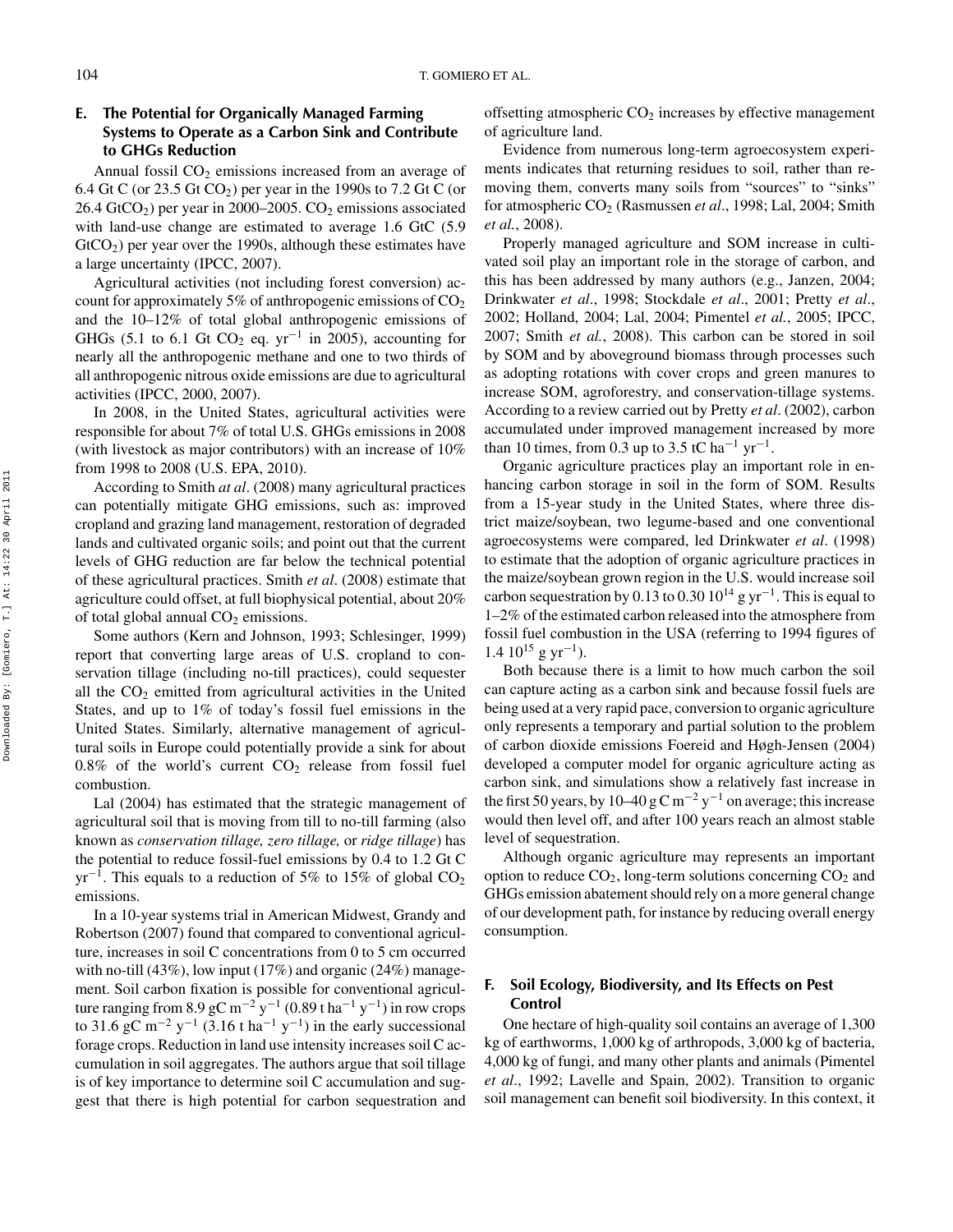## **E. The Potential for Organically Managed Farming Systems to Operate as a Carbon Sink and Contribute to GHGs Reduction**

Annual fossil  $CO<sub>2</sub>$  emissions increased from an average of 6.4 Gt C (or 23.5 Gt CO2) per year in the 1990s to 7.2 Gt C (or 26.4 GtCO<sub>2</sub>) per year in 2000–2005. CO<sub>2</sub> emissions associated with land-use change are estimated to average 1.6 GtC (5.9  $GtCO<sub>2</sub>$ ) per year over the 1990s, although these estimates have a large uncertainty (IPCC, 2007).

Agricultural activities (not including forest conversion) account for approximately 5% of anthropogenic emissions of  $CO<sub>2</sub>$ and the 10–12% of total global anthropogenic emissions of GHGs (5.1 to 6.1 Gt CO<sub>2</sub> eq. yr<sup>-1</sup> in 2005), accounting for nearly all the anthropogenic methane and one to two thirds of all anthropogenic nitrous oxide emissions are due to agricultural activities (IPCC, 2000, 2007).

In 2008, in the United States, agricultural activities were responsible for about 7% of total U.S. GHGs emissions in 2008 (with livestock as major contributors) with an increase of 10% from 1998 to 2008 (U.S. EPA, 2010).

According to Smith *at al*. (2008) many agricultural practices can potentially mitigate GHG emissions, such as: improved cropland and grazing land management, restoration of degraded lands and cultivated organic soils; and point out that the current levels of GHG reduction are far below the technical potential of these agricultural practices. Smith *et al*. (2008) estimate that agriculture could offset, at full biophysical potential, about 20% of total global annual  $CO<sub>2</sub>$  emissions.

Some authors (Kern and Johnson, 1993; Schlesinger, 1999) report that converting large areas of U.S. cropland to conservation tillage (including no-till practices), could sequester all the  $CO<sub>2</sub>$  emitted from agricultural activities in the United States, and up to 1% of today's fossil fuel emissions in the United States. Similarly, alternative management of agricultural soils in Europe could potentially provide a sink for about  $0.8\%$  of the world's current  $CO<sub>2</sub>$  release from fossil fuel combustion.

Lal (2004) has estimated that the strategic management of agricultural soil that is moving from till to no-till farming (also known as *conservation tillage, zero tillage,* or *ridge tillage*) has the potential to reduce fossil-fuel emissions by 0.4 to 1.2 Gt C  $yr^{-1}$ . This equals to a reduction of 5% to 15% of global  $CO<sub>2</sub>$ emissions.

In a 10-year systems trial in American Midwest, Grandy and Robertson (2007) found that compared to conventional agriculture, increases in soil C concentrations from 0 to 5 cm occurred with no-till (43%), low input (17%) and organic (24%) management. Soil carbon fixation is possible for conventional agriculture ranging from 8.9 gC m<sup>-2</sup> y<sup>-1</sup> (0.89 t ha<sup>-1</sup> y<sup>-1</sup>) in row crops to 31.6 gC m<sup>-2</sup> y<sup>-1</sup> (3.16 t ha<sup>-1</sup> y<sup>-1</sup>) in the early successional forage crops. Reduction in land use intensity increases soil C accumulation in soil aggregates. The authors argue that soil tillage is of key importance to determine soil C accumulation and suggest that there is high potential for carbon sequestration and offsetting atmospheric  $CO<sub>2</sub>$  increases by effective management of agriculture land.

Evidence from numerous long-term agroecosystem experiments indicates that returning residues to soil, rather than removing them, converts many soils from "sources" to "sinks" for atmospheric CO<sub>2</sub> (Rasmussen et al., 1998; Lal, 2004; Smith *et al.*, 2008).

Properly managed agriculture and SOM increase in cultivated soil play an important role in the storage of carbon, and this has been addressed by many authors (e.g., Janzen, 2004; Drinkwater *et al*., 1998; Stockdale *et al*., 2001; Pretty *et al*., 2002; Holland, 2004; Lal, 2004; Pimentel *et al.*, 2005; IPCC, 2007; Smith *et al.*, 2008). This carbon can be stored in soil by SOM and by aboveground biomass through processes such as adopting rotations with cover crops and green manures to increase SOM, agroforestry, and conservation-tillage systems. According to a review carried out by Pretty *et al*. (2002), carbon accumulated under improved management increased by more than 10 times, from 0.3 up to 3.5 tC ha<sup>-1</sup> yr<sup>-1</sup>.

Organic agriculture practices play an important role in enhancing carbon storage in soil in the form of SOM. Results from a 15-year study in the United States, where three district maize/soybean, two legume-based and one conventional agroecosystems were compared, led Drinkwater *et al*. (1998) to estimate that the adoption of organic agriculture practices in the maize/soybean grown region in the U.S. would increase soil carbon sequestration by 0.13 to 0.30  $10^{14}$  g yr<sup>-1</sup>. This is equal to 1–2% of the estimated carbon released into the atmosphere from fossil fuel combustion in the USA (referring to 1994 figures of  $1.4 \; 10^{15}$  g yr<sup>-1</sup>).

Both because there is a limit to how much carbon the soil can capture acting as a carbon sink and because fossil fuels are being used at a very rapid pace, conversion to organic agriculture only represents a temporary and partial solution to the problem of carbon dioxide emissions Foereid and Høgh-Jensen (2004) developed a computer model for organic agriculture acting as carbon sink, and simulations show a relatively fast increase in the first 50 years, by 10–40 g C m<sup>-2</sup> y<sup>-1</sup> on average; this increase would then level off, and after 100 years reach an almost stable level of sequestration.

Although organic agriculture may represents an important option to reduce  $CO<sub>2</sub>$ , long-term solutions concerning  $CO<sub>2</sub>$  and GHGs emission abatement should rely on a more general change of our development path, for instance by reducing overall energy consumption.

## **F. Soil Ecology, Biodiversity, and Its Effects on Pest Control**

One hectare of high-quality soil contains an average of 1,300 kg of earthworms, 1,000 kg of arthropods, 3,000 kg of bacteria, 4,000 kg of fungi, and many other plants and animals (Pimentel *et al*., 1992; Lavelle and Spain, 2002). Transition to organic soil management can benefit soil biodiversity. In this context, it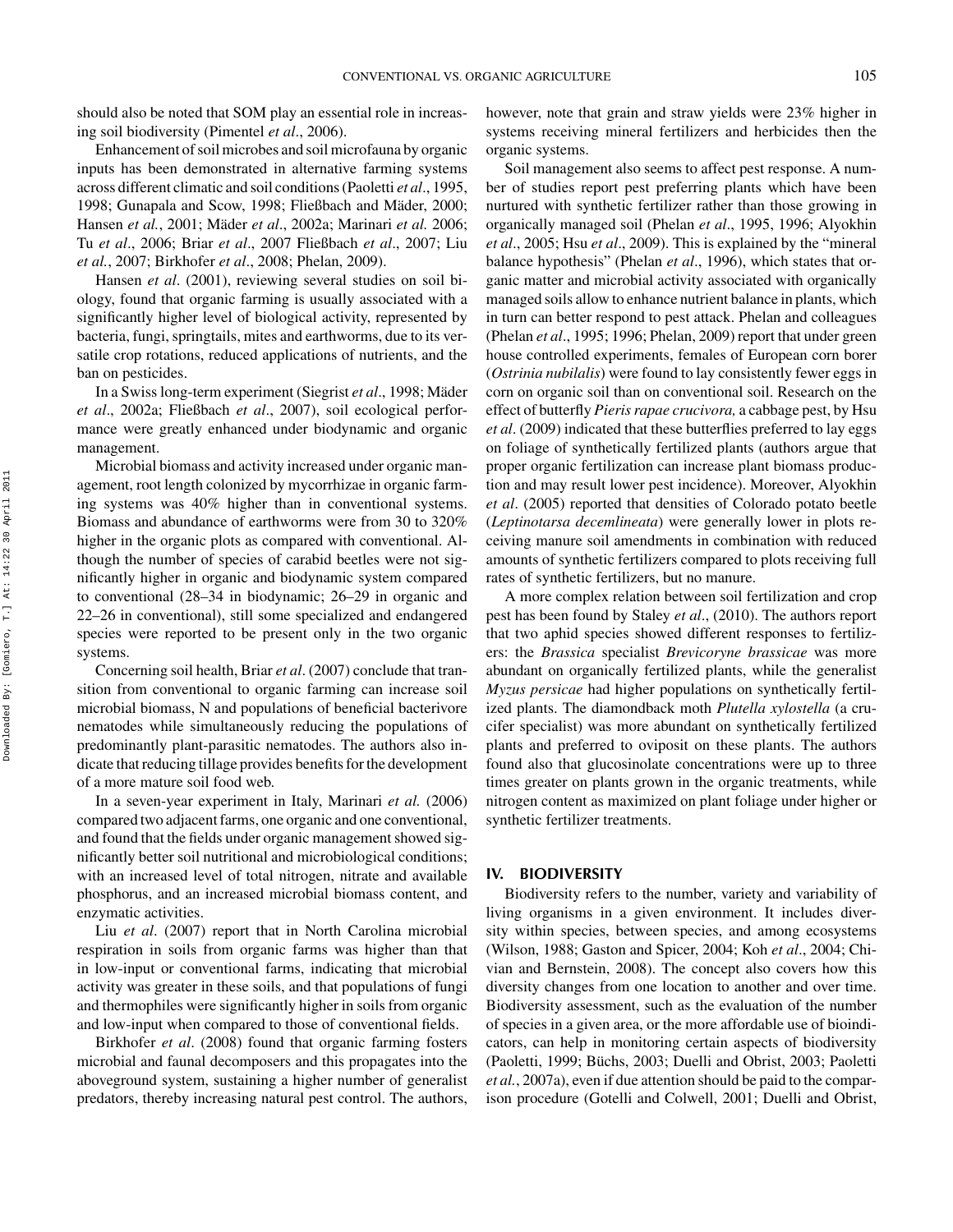should also be noted that SOM play an essential role in increasing soil biodiversity (Pimentel *et al*., 2006).

Enhancement of soil microbes and soil microfauna by organic inputs has been demonstrated in alternative farming systems across different climatic and soil conditions (Paoletti *et al*., 1995, 1998; Gunapala and Scow, 1998; Fließbach and Mäder, 2000; Hansen *et al.*, 2001; Mäder *et al.*, 2002a; Marinari *et al.* 2006; Tu *et al*., 2006; Briar *et al*., 2007 Fließbach *et al*., 2007; Liu *et al.*, 2007; Birkhofer *et al*., 2008; Phelan, 2009).

Hansen *et al*. (2001), reviewing several studies on soil biology, found that organic farming is usually associated with a significantly higher level of biological activity, represented by bacteria, fungi, springtails, mites and earthworms, due to its versatile crop rotations, reduced applications of nutrients, and the ban on pesticides.

In a Swiss long-term experiment (Siegrist *et al*., 1998; Mader ¨ *et al*., 2002a; Fließbach *et al*., 2007), soil ecological performance were greatly enhanced under biodynamic and organic management.

Microbial biomass and activity increased under organic management, root length colonized by mycorrhizae in organic farming systems was 40% higher than in conventional systems. Biomass and abundance of earthworms were from 30 to 320% higher in the organic plots as compared with conventional. Although the number of species of carabid beetles were not significantly higher in organic and biodynamic system compared to conventional (28–34 in biodynamic; 26–29 in organic and 22–26 in conventional), still some specialized and endangered species were reported to be present only in the two organic systems.

Concerning soil health, Briar *et al*. (2007) conclude that transition from conventional to organic farming can increase soil microbial biomass, N and populations of beneficial bacterivore nematodes while simultaneously reducing the populations of predominantly plant-parasitic nematodes. The authors also indicate that reducing tillage provides benefits for the development of a more mature soil food web.

In a seven-year experiment in Italy, Marinari *et al.* (2006) compared two adjacent farms, one organic and one conventional, and found that the fields under organic management showed significantly better soil nutritional and microbiological conditions; with an increased level of total nitrogen, nitrate and available phosphorus, and an increased microbial biomass content, and enzymatic activities.

Liu *et al*. (2007) report that in North Carolina microbial respiration in soils from organic farms was higher than that in low-input or conventional farms, indicating that microbial activity was greater in these soils, and that populations of fungi and thermophiles were significantly higher in soils from organic and low-input when compared to those of conventional fields.

Birkhofer *et al*. (2008) found that organic farming fosters microbial and faunal decomposers and this propagates into the aboveground system, sustaining a higher number of generalist predators, thereby increasing natural pest control. The authors, however, note that grain and straw yields were 23% higher in systems receiving mineral fertilizers and herbicides then the organic systems.

Soil management also seems to affect pest response. A number of studies report pest preferring plants which have been nurtured with synthetic fertilizer rather than those growing in organically managed soil (Phelan *et al*., 1995, 1996; Alyokhin *et al*., 2005; Hsu *et al*., 2009). This is explained by the "mineral balance hypothesis" (Phelan *et al*., 1996), which states that organic matter and microbial activity associated with organically managed soils allow to enhance nutrient balance in plants, which in turn can better respond to pest attack. Phelan and colleagues (Phelan *et al*., 1995; 1996; Phelan, 2009) report that under green house controlled experiments, females of European corn borer (*Ostrinia nubilalis*) were found to lay consistently fewer eggs in corn on organic soil than on conventional soil. Research on the effect of butterfly *Pieris rapae crucivora,* a cabbage pest, by Hsu *et al*. (2009) indicated that these butterflies preferred to lay eggs on foliage of synthetically fertilized plants (authors argue that proper organic fertilization can increase plant biomass production and may result lower pest incidence). Moreover, Alyokhin *et al*. (2005) reported that densities of Colorado potato beetle (*Leptinotarsa decemlineata*) were generally lower in plots receiving manure soil amendments in combination with reduced amounts of synthetic fertilizers compared to plots receiving full rates of synthetic fertilizers, but no manure.

A more complex relation between soil fertilization and crop pest has been found by Staley *et al*., (2010). The authors report that two aphid species showed different responses to fertilizers: the *Brassica* specialist *Brevicoryne brassicae* was more abundant on organically fertilized plants, while the generalist *Myzus persicae* had higher populations on synthetically fertilized plants. The diamondback moth *Plutella xylostella* (a crucifer specialist) was more abundant on synthetically fertilized plants and preferred to oviposit on these plants. The authors found also that glucosinolate concentrations were up to three times greater on plants grown in the organic treatments, while nitrogen content as maximized on plant foliage under higher or synthetic fertilizer treatments.

## **IV. BIODIVERSITY**

Biodiversity refers to the number, variety and variability of living organisms in a given environment. It includes diversity within species, between species, and among ecosystems (Wilson, 1988; Gaston and Spicer, 2004; Koh *et al*., 2004; Chivian and Bernstein, 2008). The concept also covers how this diversity changes from one location to another and over time. Biodiversity assessment, such as the evaluation of the number of species in a given area, or the more affordable use of bioindicators, can help in monitoring certain aspects of biodiversity (Paoletti, 1999; Büchs, 2003; Duelli and Obrist, 2003; Paoletti *et al.*, 2007a), even if due attention should be paid to the comparison procedure (Gotelli and Colwell, 2001; Duelli and Obrist,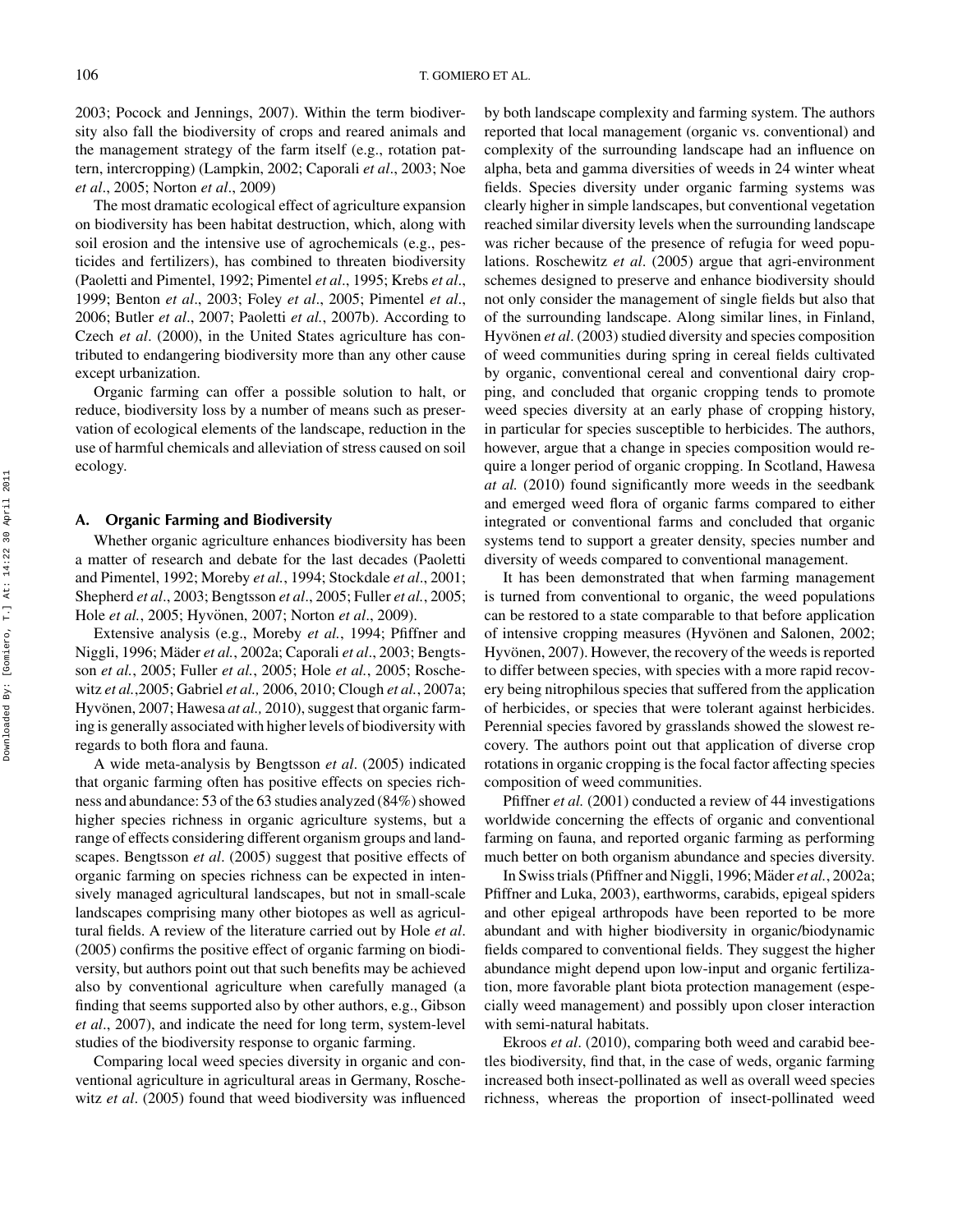2003; Pocock and Jennings, 2007). Within the term biodiversity also fall the biodiversity of crops and reared animals and the management strategy of the farm itself (e.g., rotation pattern, intercropping) (Lampkin, 2002; Caporali *et al*., 2003; Noe *et al*., 2005; Norton *et al*., 2009)

The most dramatic ecological effect of agriculture expansion on biodiversity has been habitat destruction, which, along with soil erosion and the intensive use of agrochemicals (e.g., pesticides and fertilizers), has combined to threaten biodiversity (Paoletti and Pimentel, 1992; Pimentel *et al*., 1995; Krebs *et al*., 1999; Benton *et al*., 2003; Foley *et al*., 2005; Pimentel *et al*., 2006; Butler *et al*., 2007; Paoletti *et al.*, 2007b). According to Czech *et al*. (2000), in the United States agriculture has contributed to endangering biodiversity more than any other cause except urbanization.

Organic farming can offer a possible solution to halt, or reduce, biodiversity loss by a number of means such as preservation of ecological elements of the landscape, reduction in the use of harmful chemicals and alleviation of stress caused on soil ecology.

#### **A. Organic Farming and Biodiversity**

Whether organic agriculture enhances biodiversity has been a matter of research and debate for the last decades (Paoletti and Pimentel, 1992; Moreby *et al.*, 1994; Stockdale *et al*., 2001; Shepherd *et al*., 2003; Bengtsson *et al*., 2005; Fuller *et al.*, 2005; Hole *et al.*, 2005; Hyvönen, 2007; Norton *et al.*, 2009).

Extensive analysis (e.g., Moreby *et al.*, 1994; Pfiffner and Niggli, 1996; Mäder *et al.*, 2002a; Caporali *et al.*, 2003; Bengtsson *et al.*, 2005; Fuller *et al.*, 2005; Hole *et al.*, 2005; Roschewitz *et al.*,2005; Gabriel *et al.,* 2006, 2010; Clough *et al.*, 2007a; Hyvönen, 2007; Hawesa at al., 2010), suggest that organic farming is generally associated with higher levels of biodiversity with regards to both flora and fauna.

A wide meta-analysis by Bengtsson *et al*. (2005) indicated that organic farming often has positive effects on species richness and abundance: 53 of the 63 studies analyzed (84%) showed higher species richness in organic agriculture systems, but a range of effects considering different organism groups and landscapes. Bengtsson *et al*. (2005) suggest that positive effects of organic farming on species richness can be expected in intensively managed agricultural landscapes, but not in small-scale landscapes comprising many other biotopes as well as agricultural fields. A review of the literature carried out by Hole *et al*. (2005) confirms the positive effect of organic farming on biodiversity, but authors point out that such benefits may be achieved also by conventional agriculture when carefully managed (a finding that seems supported also by other authors, e.g., Gibson *et al*., 2007), and indicate the need for long term, system-level studies of the biodiversity response to organic farming.

Comparing local weed species diversity in organic and conventional agriculture in agricultural areas in Germany, Roschewitz *et al*. (2005) found that weed biodiversity was influenced by both landscape complexity and farming system. The authors reported that local management (organic vs. conventional) and complexity of the surrounding landscape had an influence on alpha, beta and gamma diversities of weeds in 24 winter wheat fields. Species diversity under organic farming systems was clearly higher in simple landscapes, but conventional vegetation reached similar diversity levels when the surrounding landscape was richer because of the presence of refugia for weed populations. Roschewitz *et al*. (2005) argue that agri-environment schemes designed to preserve and enhance biodiversity should not only consider the management of single fields but also that of the surrounding landscape. Along similar lines, in Finland, Hyvönen *et al.* (2003) studied diversity and species composition of weed communities during spring in cereal fields cultivated by organic, conventional cereal and conventional dairy cropping, and concluded that organic cropping tends to promote weed species diversity at an early phase of cropping history, in particular for species susceptible to herbicides. The authors, however, argue that a change in species composition would require a longer period of organic cropping. In Scotland, Hawesa *at al.* (2010) found significantly more weeds in the seedbank and emerged weed flora of organic farms compared to either integrated or conventional farms and concluded that organic systems tend to support a greater density, species number and diversity of weeds compared to conventional management.

It has been demonstrated that when farming management is turned from conventional to organic, the weed populations can be restored to a state comparable to that before application of intensive cropping measures (Hyvönen and Salonen, 2002; Hyvönen, 2007). However, the recovery of the weeds is reported to differ between species, with species with a more rapid recovery being nitrophilous species that suffered from the application of herbicides, or species that were tolerant against herbicides. Perennial species favored by grasslands showed the slowest recovery. The authors point out that application of diverse crop rotations in organic cropping is the focal factor affecting species composition of weed communities.

Pfiffner *et al.* (2001) conducted a review of 44 investigations worldwide concerning the effects of organic and conventional farming on fauna, and reported organic farming as performing much better on both organism abundance and species diversity.

In Swiss trials (Pfiffner and Niggli, 1996; Mäder et al., 2002a; Pfiffner and Luka, 2003), earthworms, carabids, epigeal spiders and other epigeal arthropods have been reported to be more abundant and with higher biodiversity in organic/biodynamic fields compared to conventional fields. They suggest the higher abundance might depend upon low-input and organic fertilization, more favorable plant biota protection management (especially weed management) and possibly upon closer interaction with semi-natural habitats.

Ekroos *et al*. (2010), comparing both weed and carabid beetles biodiversity, find that, in the case of weds, organic farming increased both insect-pollinated as well as overall weed species richness, whereas the proportion of insect-pollinated weed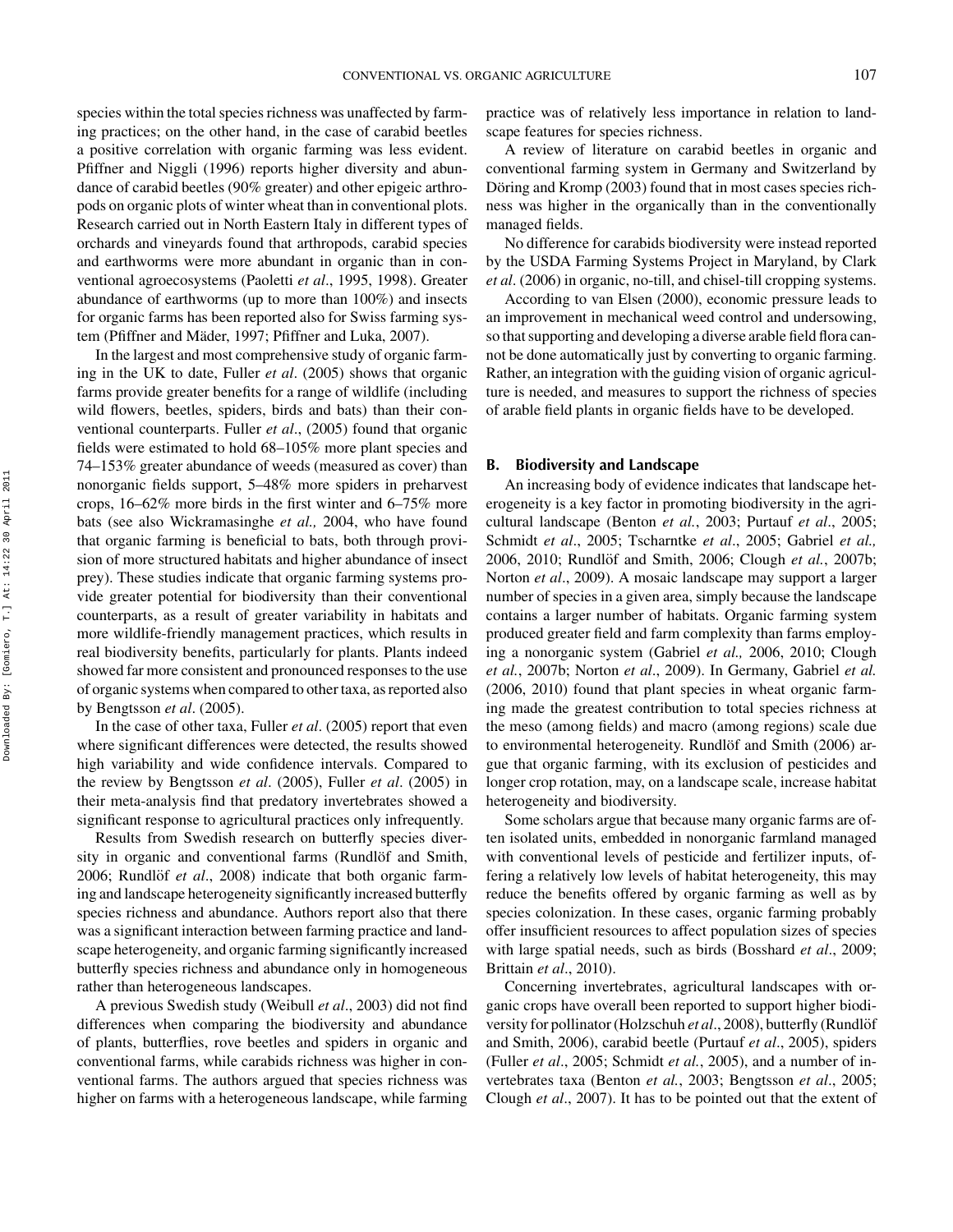species within the total species richness was unaffected by farming practices; on the other hand, in the case of carabid beetles a positive correlation with organic farming was less evident. Pfiffner and Niggli (1996) reports higher diversity and abundance of carabid beetles (90% greater) and other epigeic arthropods on organic plots of winter wheat than in conventional plots. Research carried out in North Eastern Italy in different types of orchards and vineyards found that arthropods, carabid species and earthworms were more abundant in organic than in conventional agroecosystems (Paoletti *et al*., 1995, 1998). Greater abundance of earthworms (up to more than 100%) and insects for organic farms has been reported also for Swiss farming system (Pfiffner and Mäder, 1997; Pfiffner and Luka, 2007).

In the largest and most comprehensive study of organic farming in the UK to date, Fuller *et al*. (2005) shows that organic farms provide greater benefits for a range of wildlife (including wild flowers, beetles, spiders, birds and bats) than their conventional counterparts. Fuller *et al*., (2005) found that organic fields were estimated to hold 68–105% more plant species and 74–153% greater abundance of weeds (measured as cover) than nonorganic fields support, 5–48% more spiders in preharvest crops, 16–62% more birds in the first winter and 6–75% more bats (see also Wickramasinghe *et al.,* 2004, who have found that organic farming is beneficial to bats, both through provision of more structured habitats and higher abundance of insect prey). These studies indicate that organic farming systems provide greater potential for biodiversity than their conventional counterparts, as a result of greater variability in habitats and more wildlife-friendly management practices, which results in real biodiversity benefits, particularly for plants. Plants indeed showed far more consistent and pronounced responses to the use of organic systems when compared to other taxa, as reported also by Bengtsson *et al*. (2005).

In the case of other taxa, Fuller *et al*. (2005) report that even where significant differences were detected, the results showed high variability and wide confidence intervals. Compared to the review by Bengtsson *et al*. (2005), Fuller *et al*. (2005) in their meta-analysis find that predatory invertebrates showed a significant response to agricultural practices only infrequently.

Results from Swedish research on butterfly species diversity in organic and conventional farms (Rundlöf and Smith, 2006; Rundlöf et al., 2008) indicate that both organic farming and landscape heterogeneity significantly increased butterfly species richness and abundance. Authors report also that there was a significant interaction between farming practice and landscape heterogeneity, and organic farming significantly increased butterfly species richness and abundance only in homogeneous rather than heterogeneous landscapes.

A previous Swedish study (Weibull *et al*., 2003) did not find differences when comparing the biodiversity and abundance of plants, butterflies, rove beetles and spiders in organic and conventional farms, while carabids richness was higher in conventional farms. The authors argued that species richness was higher on farms with a heterogeneous landscape, while farming practice was of relatively less importance in relation to landscape features for species richness.

A review of literature on carabid beetles in organic and conventional farming system in Germany and Switzerland by Döring and Kromp (2003) found that in most cases species richness was higher in the organically than in the conventionally managed fields.

No difference for carabids biodiversity were instead reported by the USDA Farming Systems Project in Maryland, by Clark *et al*. (2006) in organic, no-till, and chisel-till cropping systems.

According to van Elsen (2000), economic pressure leads to an improvement in mechanical weed control and undersowing, so that supporting and developing a diverse arable field flora cannot be done automatically just by converting to organic farming. Rather, an integration with the guiding vision of organic agriculture is needed, and measures to support the richness of species of arable field plants in organic fields have to be developed.

### **B. Biodiversity and Landscape**

An increasing body of evidence indicates that landscape heterogeneity is a key factor in promoting biodiversity in the agricultural landscape (Benton *et al.*, 2003; Purtauf *et al*., 2005; Schmidt *et al*., 2005; Tscharntke *et al*., 2005; Gabriel *et al.,* 2006, 2010; Rundlöf and Smith, 2006; Clough et al., 2007b; Norton *et al*., 2009). A mosaic landscape may support a larger number of species in a given area, simply because the landscape contains a larger number of habitats. Organic farming system produced greater field and farm complexity than farms employing a nonorganic system (Gabriel *et al.,* 2006, 2010; Clough *et al.*, 2007b; Norton *et al*., 2009). In Germany, Gabriel *et al.* (2006, 2010) found that plant species in wheat organic farming made the greatest contribution to total species richness at the meso (among fields) and macro (among regions) scale due to environmental heterogeneity. Rundlöf and Smith (2006) argue that organic farming, with its exclusion of pesticides and longer crop rotation, may, on a landscape scale, increase habitat heterogeneity and biodiversity.

Some scholars argue that because many organic farms are often isolated units, embedded in nonorganic farmland managed with conventional levels of pesticide and fertilizer inputs, offering a relatively low levels of habitat heterogeneity, this may reduce the benefits offered by organic farming as well as by species colonization. In these cases, organic farming probably offer insufficient resources to affect population sizes of species with large spatial needs, such as birds (Bosshard *et al*., 2009; Brittain *et al*., 2010).

Concerning invertebrates, agricultural landscapes with organic crops have overall been reported to support higher biodiversity for pollinator (Holzschuh et al., 2008), butterfly (Rundlöf and Smith, 2006), carabid beetle (Purtauf *et al*., 2005), spiders (Fuller *et al*., 2005; Schmidt *et al.*, 2005), and a number of invertebrates taxa (Benton *et al.*, 2003; Bengtsson *et al*., 2005; Clough *et al*., 2007). It has to be pointed out that the extent of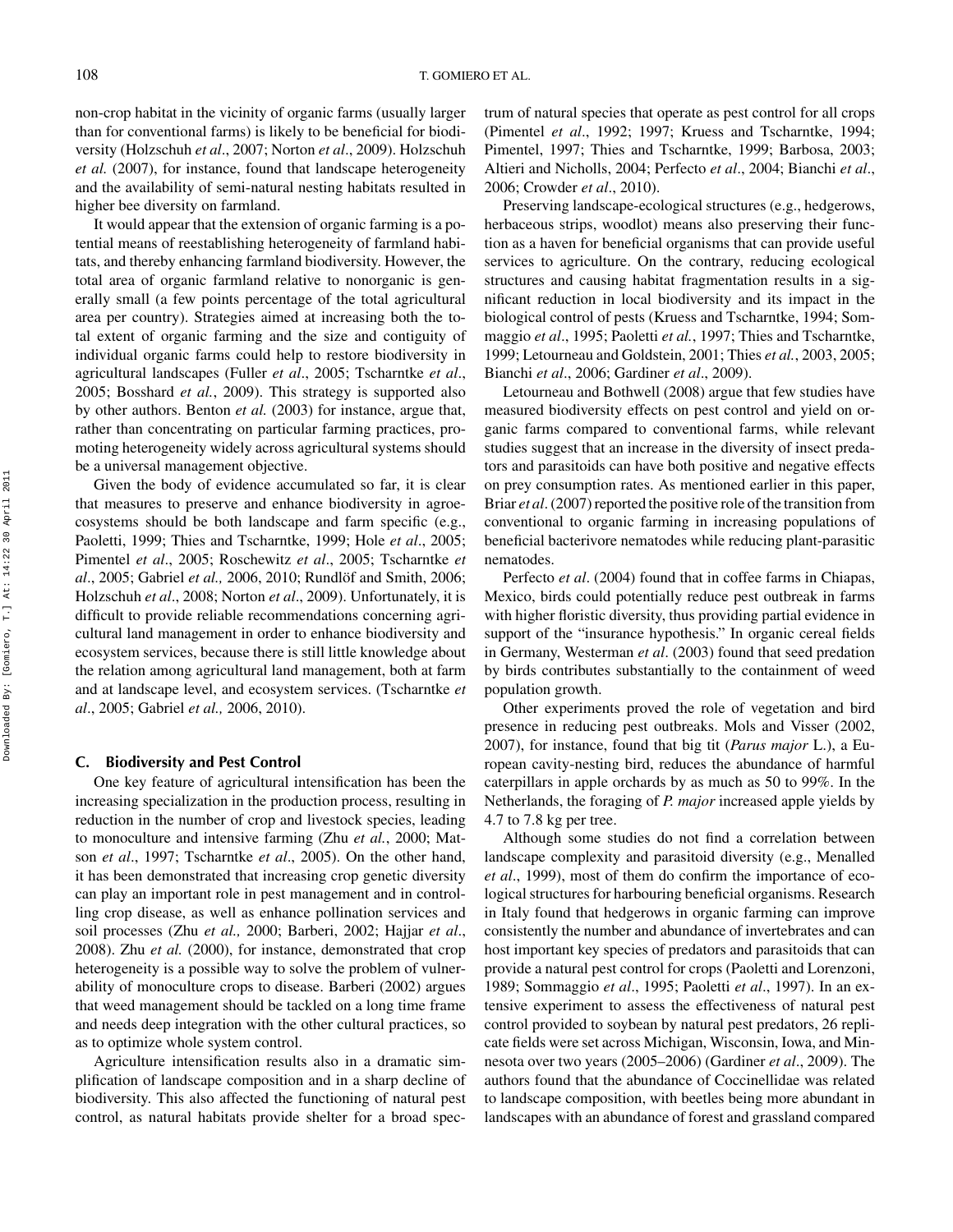non-crop habitat in the vicinity of organic farms (usually larger than for conventional farms) is likely to be beneficial for biodiversity (Holzschuh *et al*., 2007; Norton *et al*., 2009). Holzschuh *et al.* (2007), for instance, found that landscape heterogeneity and the availability of semi-natural nesting habitats resulted in higher bee diversity on farmland.

It would appear that the extension of organic farming is a potential means of reestablishing heterogeneity of farmland habitats, and thereby enhancing farmland biodiversity. However, the total area of organic farmland relative to nonorganic is generally small (a few points percentage of the total agricultural area per country). Strategies aimed at increasing both the total extent of organic farming and the size and contiguity of individual organic farms could help to restore biodiversity in agricultural landscapes (Fuller *et al*., 2005; Tscharntke *et al*., 2005; Bosshard *et al.*, 2009). This strategy is supported also by other authors. Benton *et al.* (2003) for instance, argue that, rather than concentrating on particular farming practices, promoting heterogeneity widely across agricultural systems should be a universal management objective.

Given the body of evidence accumulated so far, it is clear that measures to preserve and enhance biodiversity in agroecosystems should be both landscape and farm specific (e.g., Paoletti, 1999; Thies and Tscharntke, 1999; Hole *et al*., 2005; Pimentel *et al*., 2005; Roschewitz *et al*., 2005; Tscharntke *et al.*, 2005; Gabriel *et al.*, 2006, 2010; Rundlöf and Smith, 2006; Holzschuh *et al*., 2008; Norton *et al*., 2009). Unfortunately, it is difficult to provide reliable recommendations concerning agricultural land management in order to enhance biodiversity and ecosystem services, because there is still little knowledge about the relation among agricultural land management, both at farm and at landscape level, and ecosystem services. (Tscharntke *et al*., 2005; Gabriel *et al.,* 2006, 2010).

#### **C. Biodiversity and Pest Control**

One key feature of agricultural intensification has been the increasing specialization in the production process, resulting in reduction in the number of crop and livestock species, leading to monoculture and intensive farming (Zhu *et al.*, 2000; Matson *et al*., 1997; Tscharntke *et al*., 2005). On the other hand, it has been demonstrated that increasing crop genetic diversity can play an important role in pest management and in controlling crop disease, as well as enhance pollination services and soil processes (Zhu *et al.,* 2000; Barberi, 2002; Hajjar *et al*., 2008). Zhu *et al.* (2000), for instance, demonstrated that crop heterogeneity is a possible way to solve the problem of vulnerability of monoculture crops to disease. Barberi (2002) argues that weed management should be tackled on a long time frame and needs deep integration with the other cultural practices, so as to optimize whole system control.

Agriculture intensification results also in a dramatic simplification of landscape composition and in a sharp decline of biodiversity. This also affected the functioning of natural pest control, as natural habitats provide shelter for a broad spectrum of natural species that operate as pest control for all crops (Pimentel *et al*., 1992; 1997; Kruess and Tscharntke, 1994; Pimentel, 1997; Thies and Tscharntke, 1999; Barbosa, 2003; Altieri and Nicholls, 2004; Perfecto *et al*., 2004; Bianchi *et al*., 2006; Crowder *et al*., 2010).

Preserving landscape-ecological structures (e.g., hedgerows, herbaceous strips, woodlot) means also preserving their function as a haven for beneficial organisms that can provide useful services to agriculture. On the contrary, reducing ecological structures and causing habitat fragmentation results in a significant reduction in local biodiversity and its impact in the biological control of pests (Kruess and Tscharntke, 1994; Sommaggio *et al*., 1995; Paoletti *et al.*, 1997; Thies and Tscharntke, 1999; Letourneau and Goldstein, 2001; Thies *et al.*, 2003, 2005; Bianchi *et al*., 2006; Gardiner *et al*., 2009).

Letourneau and Bothwell (2008) argue that few studies have measured biodiversity effects on pest control and yield on organic farms compared to conventional farms, while relevant studies suggest that an increase in the diversity of insect predators and parasitoids can have both positive and negative effects on prey consumption rates. As mentioned earlier in this paper, Briar *et al*. (2007) reported the positive role of the transition from conventional to organic farming in increasing populations of beneficial bacterivore nematodes while reducing plant-parasitic nematodes.

Perfecto *et al*. (2004) found that in coffee farms in Chiapas, Mexico, birds could potentially reduce pest outbreak in farms with higher floristic diversity, thus providing partial evidence in support of the "insurance hypothesis." In organic cereal fields in Germany, Westerman *et al*. (2003) found that seed predation by birds contributes substantially to the containment of weed population growth.

Other experiments proved the role of vegetation and bird presence in reducing pest outbreaks. Mols and Visser (2002, 2007), for instance, found that big tit (*Parus major* L.), a European cavity-nesting bird, reduces the abundance of harmful caterpillars in apple orchards by as much as 50 to 99%. In the Netherlands, the foraging of *P. major* increased apple yields by 4.7 to 7.8 kg per tree.

Although some studies do not find a correlation between landscape complexity and parasitoid diversity (e.g., Menalled *et al*., 1999), most of them do confirm the importance of ecological structures for harbouring beneficial organisms. Research in Italy found that hedgerows in organic farming can improve consistently the number and abundance of invertebrates and can host important key species of predators and parasitoids that can provide a natural pest control for crops (Paoletti and Lorenzoni, 1989; Sommaggio *et al*., 1995; Paoletti *et al*., 1997). In an extensive experiment to assess the effectiveness of natural pest control provided to soybean by natural pest predators, 26 replicate fields were set across Michigan, Wisconsin, Iowa, and Minnesota over two years (2005–2006) (Gardiner *et al*., 2009). The authors found that the abundance of Coccinellidae was related to landscape composition, with beetles being more abundant in landscapes with an abundance of forest and grassland compared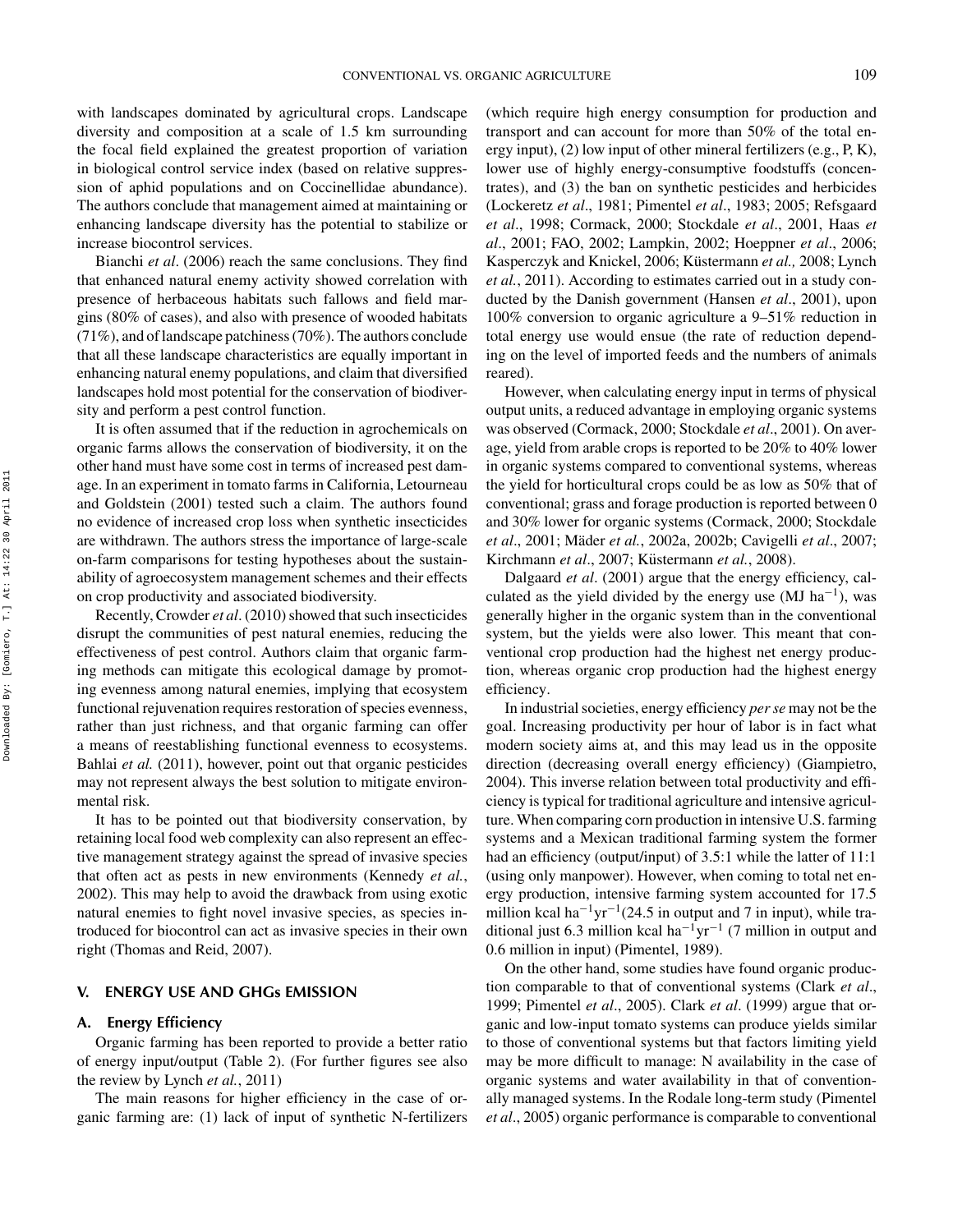with landscapes dominated by agricultural crops. Landscape diversity and composition at a scale of 1.5 km surrounding the focal field explained the greatest proportion of variation in biological control service index (based on relative suppression of aphid populations and on Coccinellidae abundance). The authors conclude that management aimed at maintaining or enhancing landscape diversity has the potential to stabilize or increase biocontrol services.

Bianchi *et al*. (2006) reach the same conclusions. They find that enhanced natural enemy activity showed correlation with presence of herbaceous habitats such fallows and field margins (80% of cases), and also with presence of wooded habitats (71%), and of landscape patchiness (70%). The authors conclude that all these landscape characteristics are equally important in enhancing natural enemy populations, and claim that diversified landscapes hold most potential for the conservation of biodiversity and perform a pest control function.

It is often assumed that if the reduction in agrochemicals on organic farms allows the conservation of biodiversity, it on the other hand must have some cost in terms of increased pest damage. In an experiment in tomato farms in California, Letourneau and Goldstein (2001) tested such a claim. The authors found no evidence of increased crop loss when synthetic insecticides are withdrawn. The authors stress the importance of large-scale on-farm comparisons for testing hypotheses about the sustainability of agroecosystem management schemes and their effects on crop productivity and associated biodiversity.

Recently, Crowder *et al*. (2010) showed that such insecticides disrupt the communities of pest natural enemies, reducing the effectiveness of pest control. Authors claim that organic farming methods can mitigate this ecological damage by promoting evenness among natural enemies, implying that ecosystem functional rejuvenation requires restoration of species evenness, rather than just richness, and that organic farming can offer a means of reestablishing functional evenness to ecosystems. Bahlai *et al.* (2011), however, point out that organic pesticides may not represent always the best solution to mitigate environmental risk.

It has to be pointed out that biodiversity conservation, by retaining local food web complexity can also represent an effective management strategy against the spread of invasive species that often act as pests in new environments (Kennedy *et al.*, 2002). This may help to avoid the drawback from using exotic natural enemies to fight novel invasive species, as species introduced for biocontrol can act as invasive species in their own right (Thomas and Reid, 2007).

#### **V. ENERGY USE AND GHGs EMISSION**

#### **A. Energy Efficiency**

Organic farming has been reported to provide a better ratio of energy input/output (Table 2). (For further figures see also the review by Lynch *et al.*, 2011)

The main reasons for higher efficiency in the case of organic farming are: (1) lack of input of synthetic N-fertilizers (which require high energy consumption for production and transport and can account for more than 50% of the total energy input), (2) low input of other mineral fertilizers (e.g., P, K), lower use of highly energy-consumptive foodstuffs (concentrates), and (3) the ban on synthetic pesticides and herbicides (Lockeretz *et al*., 1981; Pimentel *et al*., 1983; 2005; Refsgaard *et al*., 1998; Cormack, 2000; Stockdale *et al*., 2001, Haas *et al*., 2001; FAO, 2002; Lampkin, 2002; Hoeppner *et al*., 2006; Kasperczyk and Knickel, 2006; Küstermann *et al.*, 2008; Lynch *et al.*, 2011). According to estimates carried out in a study conducted by the Danish government (Hansen *et al*., 2001), upon 100% conversion to organic agriculture a 9–51% reduction in total energy use would ensue (the rate of reduction depending on the level of imported feeds and the numbers of animals reared).

However, when calculating energy input in terms of physical output units, a reduced advantage in employing organic systems was observed (Cormack, 2000; Stockdale *et al*., 2001). On average, yield from arable crops is reported to be 20% to 40% lower in organic systems compared to conventional systems, whereas the yield for horticultural crops could be as low as 50% that of conventional; grass and forage production is reported between 0 and 30% lower for organic systems (Cormack, 2000; Stockdale *et al.*, 2001; Mäder *et al.*, 2002a, 2002b; Cavigelli *et al.*, 2007; Kirchmann et al., 2007; Küstermann et al., 2008).

Dalgaard *et al*. (2001) argue that the energy efficiency, calculated as the yield divided by the energy use  $(MJ ha^{-1})$ , was generally higher in the organic system than in the conventional system, but the yields were also lower. This meant that conventional crop production had the highest net energy production, whereas organic crop production had the highest energy efficiency.

In industrial societies, energy efficiency *per se* may not be the goal. Increasing productivity per hour of labor is in fact what modern society aims at, and this may lead us in the opposite direction (decreasing overall energy efficiency) (Giampietro, 2004). This inverse relation between total productivity and efficiency is typical for traditional agriculture and intensive agriculture. When comparing corn production in intensive U.S. farming systems and a Mexican traditional farming system the former had an efficiency (output/input) of 3.5:1 while the latter of 11:1 (using only manpower). However, when coming to total net energy production, intensive farming system accounted for 17.5 million kcal ha<sup>-1</sup>yr<sup>-1</sup>(24.5 in output and 7 in input), while traditional just 6.3 million kcal ha<sup>-1</sup>yr<sup>-1</sup> (7 million in output and 0.6 million in input) (Pimentel, 1989).

On the other hand, some studies have found organic production comparable to that of conventional systems (Clark *et al*., 1999; Pimentel *et al*., 2005). Clark *et al*. (1999) argue that organic and low-input tomato systems can produce yields similar to those of conventional systems but that factors limiting yield may be more difficult to manage: N availability in the case of organic systems and water availability in that of conventionally managed systems. In the Rodale long-term study (Pimentel *et al*., 2005) organic performance is comparable to conventional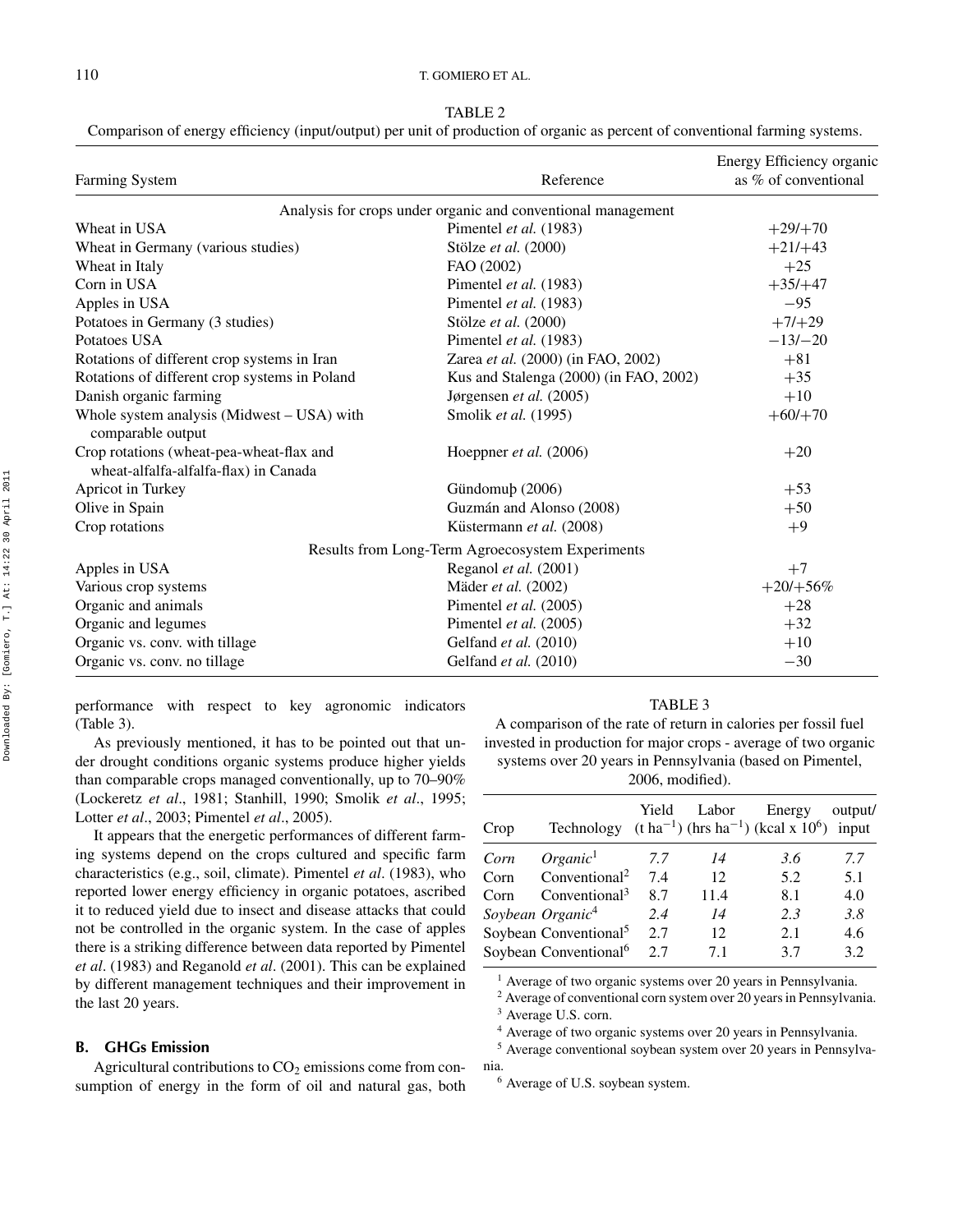Comparison of energy efficiency (input/output) per unit of production of organic as percent of conventional farming systems.

| Farming System                                                                    | Reference                                                    | Energy Efficiency organic<br>as % of conventional |
|-----------------------------------------------------------------------------------|--------------------------------------------------------------|---------------------------------------------------|
|                                                                                   | Analysis for crops under organic and conventional management |                                                   |
| Wheat in USA                                                                      | Pimentel et al. (1983)                                       | $+29/+70$                                         |
| Wheat in Germany (various studies)                                                | Stölze et al. (2000)                                         | $+21/+43$                                         |
| Wheat in Italy                                                                    | FAO (2002)                                                   | $+25$                                             |
| Corn in USA                                                                       | Pimentel et al. (1983)                                       | $+35/+47$                                         |
| Apples in USA                                                                     | Pimentel et al. (1983)                                       | $-95$                                             |
| Potatoes in Germany (3 studies)                                                   | Stölze et al. (2000)                                         | $+7/+29$                                          |
| Potatoes USA                                                                      | Pimentel et al. (1983)                                       | $-13/-20$                                         |
| Rotations of different crop systems in Iran                                       | Zarea et al. (2000) (in FAO, 2002)                           | $+81$                                             |
| Rotations of different crop systems in Poland                                     | Kus and Stalenga (2000) (in FAO, 2002)                       | $+35$                                             |
| Danish organic farming                                                            | Jørgensen et al. (2005)                                      | $+10$                                             |
| Whole system analysis (Midwest - USA) with<br>comparable output                   | Smolik et al. (1995)                                         | $+60/+70$                                         |
| Crop rotations (wheat-pea-wheat-flax and<br>wheat-alfalfa-alfalfa-flax) in Canada | Hoeppner et al. (2006)                                       | $+20$                                             |
| Apricot in Turkey                                                                 | Gündomub (2006)                                              | $+53$                                             |
| Olive in Spain                                                                    | Guzmán and Alonso (2008)                                     | $+50$                                             |
| Crop rotations                                                                    | Küstermann et al. (2008)                                     | $+9$                                              |
|                                                                                   | Results from Long-Term Agroecosystem Experiments             |                                                   |
| Apples in USA                                                                     | Reganol et al. (2001)                                        | $+7$                                              |
| Various crop systems                                                              | Mäder et al. (2002)                                          | $+20/+56%$                                        |
| Organic and animals                                                               | Pimentel et al. (2005)                                       | $+28$                                             |
| Organic and legumes                                                               | Pimentel et al. (2005)                                       | $+32$                                             |
| Organic vs. conv. with tillage                                                    | Gelfand et al. (2010)                                        | $+10$                                             |
| Organic vs. conv. no tillage                                                      | Gelfand et al. (2010)                                        | $-30$                                             |

performance with respect to key agronomic indicators (Table 3).

As previously mentioned, it has to be pointed out that under drought conditions organic systems produce higher yields than comparable crops managed conventionally, up to 70–90% (Lockeretz *et al*., 1981; Stanhill, 1990; Smolik *et al*., 1995; Lotter *et al*., 2003; Pimentel *et al*., 2005).

It appears that the energetic performances of different farming systems depend on the crops cultured and specific farm characteristics (e.g., soil, climate). Pimentel *et al*. (1983), who reported lower energy efficiency in organic potatoes, ascribed it to reduced yield due to insect and disease attacks that could not be controlled in the organic system. In the case of apples there is a striking difference between data reported by Pimentel *et al*. (1983) and Reganold *et al*. (2001). This can be explained by different management techniques and their improvement in the last 20 years.

### **B. GHGs Emission**

Agricultural contributions to  $CO<sub>2</sub>$  emissions come from consumption of energy in the form of oil and natural gas, both

#### TABLE 3

A comparison of the rate of return in calories per fossil fuel invested in production for major crops - average of two organic systems over 20 years in Pennsylvania (based on Pimentel,

## 2006, modified).

| Crop | Technology $(t \text{ ha}^{-1})$ (hrs ha <sup>-1</sup> ) (kcal x 10 <sup>6</sup> ) input | Yield | Labor | Energy | output/ |
|------|------------------------------------------------------------------------------------------|-------|-------|--------|---------|
| Corn | Organic <sup>1</sup>                                                                     | 7.7   | 14    | 3.6    | 7.7     |
| Corn | Conventional <sup>2</sup>                                                                | 7.4   | 12    | 5.2    | 5.1     |
| Corn | Conventional <sup>3</sup>                                                                | 8.7   | 11.4  | 8.1    | 4.0     |
|      | Soybean Organic <sup>4</sup>                                                             | 2.4   | 14    | 2.3    | 3.8     |
|      | Soybean Conventional <sup>5</sup>                                                        | 2.7   | 12    | 2.1    | 4.6     |
|      | Soybean Conventional <sup>6</sup>                                                        | 2.7   | 71    | 3.7    | 3.2     |

<sup>1</sup> Average of two organic systems over 20 years in Pennsylvania.

<sup>2</sup> Average of conventional corn system over 20 years in Pennsylvania. <sup>3</sup> Average U.S. corn.

<sup>4</sup> Average of two organic systems over 20 years in Pennsylvania.

<sup>5</sup> Average conventional soybean system over 20 years in Pennsylva-

nia.<br><sup>6</sup> Average of U.S. soybean system.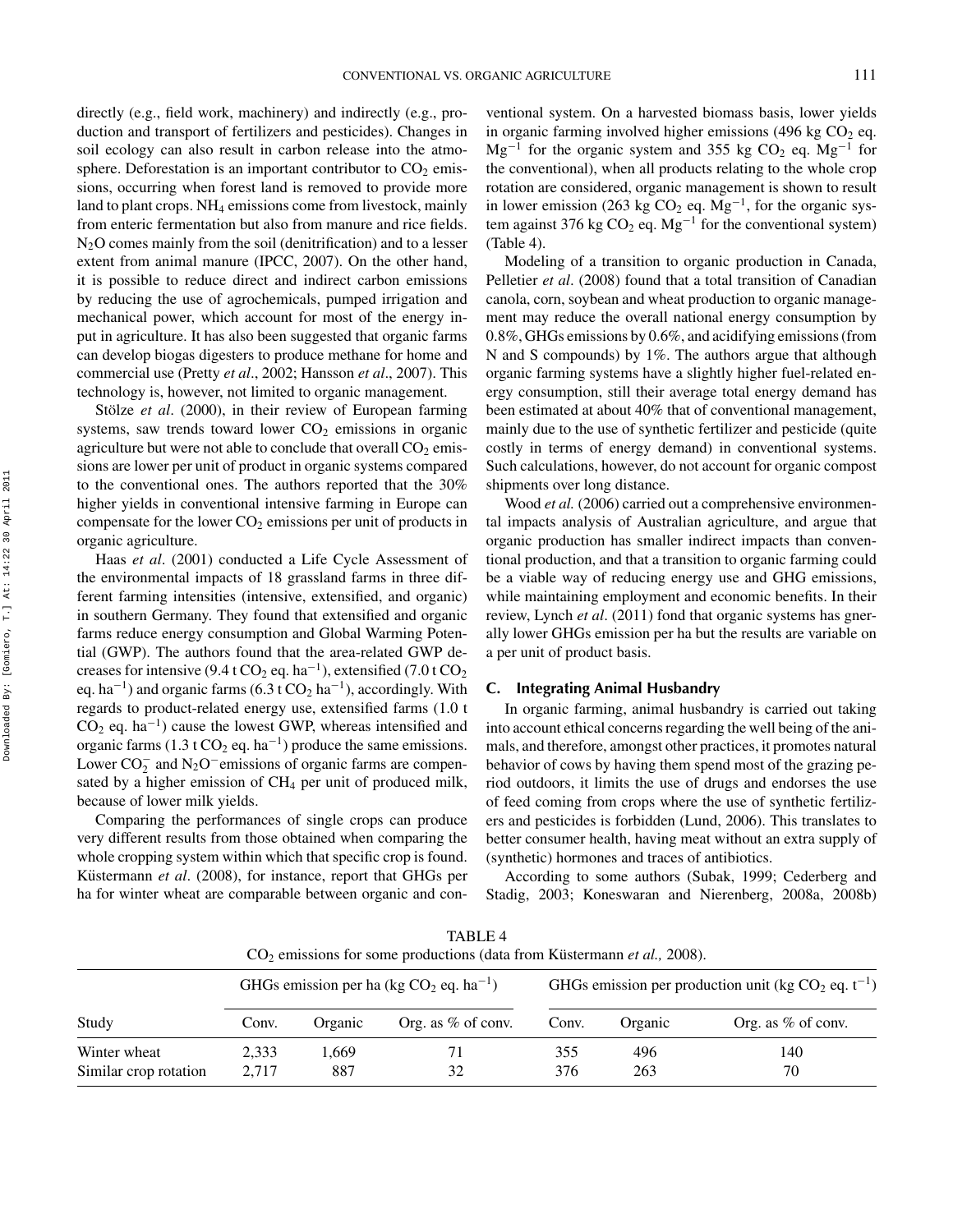directly (e.g., field work, machinery) and indirectly (e.g., production and transport of fertilizers and pesticides). Changes in soil ecology can also result in carbon release into the atmosphere. Deforestation is an important contributor to  $CO<sub>2</sub>$  emissions, occurring when forest land is removed to provide more land to plant crops. NH<sub>4</sub> emissions come from livestock, mainly from enteric fermentation but also from manure and rice fields.  $N<sub>2</sub>O$  comes mainly from the soil (denitrification) and to a lesser extent from animal manure (IPCC, 2007). On the other hand, it is possible to reduce direct and indirect carbon emissions by reducing the use of agrochemicals, pumped irrigation and mechanical power, which account for most of the energy input in agriculture. It has also been suggested that organic farms can develop biogas digesters to produce methane for home and commercial use (Pretty *et al*., 2002; Hansson *et al*., 2007). This technology is, however, not limited to organic management.

Stölze et al. (2000), in their review of European farming systems, saw trends toward lower  $CO<sub>2</sub>$  emissions in organic agriculture but were not able to conclude that overall  $CO<sub>2</sub>$  emissions are lower per unit of product in organic systems compared to the conventional ones. The authors reported that the 30% higher yields in conventional intensive farming in Europe can compensate for the lower  $CO<sub>2</sub>$  emissions per unit of products in organic agriculture.

Haas *et al*. (2001) conducted a Life Cycle Assessment of the environmental impacts of 18 grassland farms in three different farming intensities (intensive, extensified, and organic) in southern Germany. They found that extensified and organic farms reduce energy consumption and Global Warming Potential (GWP). The authors found that the area-related GWP decreases for intensive (9.4 t CO<sub>2</sub> eq. ha<sup>-1</sup>), extensified (7.0 t CO<sub>2</sub> eq. ha<sup>-1</sup>) and organic farms (6.3 t CO<sub>2</sub> ha<sup>-1</sup>), accordingly. With regards to product-related energy use, extensified farms (1.0 t  $CO<sub>2</sub>$  eq. ha<sup>-1</sup>) cause the lowest GWP, whereas intensified and organic farms (1.3 t CO<sub>2</sub> eq. ha<sup>-1</sup>) produce the same emissions. Lower  $CO_2^-$  and  $N_2O^-$  emissions of organic farms are compensated by a higher emission of CH<sub>4</sub> per unit of produced milk, because of lower milk yields.

Comparing the performances of single crops can produce very different results from those obtained when comparing the whole cropping system within which that specific crop is found. Küstermann *et al.* (2008), for instance, report that GHGs per ha for winter wheat are comparable between organic and conventional system. On a harvested biomass basis, lower yields in organic farming involved higher emissions (496 kg  $CO<sub>2</sub>$  eq. Mg<sup>-1</sup> for the organic system and 355 kg CO<sub>2</sub> eq. Mg<sup>-1</sup> for the conventional), when all products relating to the whole crop rotation are considered, organic management is shown to result in lower emission (263 kg CO<sub>2</sub> eq. Mg<sup>-1</sup>, for the organic system against 376 kg  $CO_2$  eq. Mg<sup>-1</sup> for the conventional system) (Table 4).

Modeling of a transition to organic production in Canada, Pelletier *et al*. (2008) found that a total transition of Canadian canola, corn, soybean and wheat production to organic management may reduce the overall national energy consumption by 0.8%, GHGs emissions by 0.6%, and acidifying emissions (from N and S compounds) by 1%. The authors argue that although organic farming systems have a slightly higher fuel-related energy consumption, still their average total energy demand has been estimated at about 40% that of conventional management, mainly due to the use of synthetic fertilizer and pesticide (quite costly in terms of energy demand) in conventional systems. Such calculations, however, do not account for organic compost shipments over long distance.

Wood *et al.* (2006) carried out a comprehensive environmental impacts analysis of Australian agriculture, and argue that organic production has smaller indirect impacts than conventional production, and that a transition to organic farming could be a viable way of reducing energy use and GHG emissions, while maintaining employment and economic benefits. In their review, Lynch *et al*. (2011) fond that organic systems has gnerally lower GHGs emission per ha but the results are variable on a per unit of product basis.

#### **C. Integrating Animal Husbandry**

In organic farming, animal husbandry is carried out taking into account ethical concerns regarding the well being of the animals, and therefore, amongst other practices, it promotes natural behavior of cows by having them spend most of the grazing period outdoors, it limits the use of drugs and endorses the use of feed coming from crops where the use of synthetic fertilizers and pesticides is forbidden (Lund, 2006). This translates to better consumer health, having meat without an extra supply of (synthetic) hormones and traces of antibiotics.

According to some authors (Subak, 1999; Cederberg and Stadig, 2003; Koneswaran and Nierenberg, 2008a, 2008b)

|                       |       |         | GHGs emission per ha (kg $CO2$ eq. ha <sup>-1</sup> ) | $CO2$ emissions for some productions (data from Kustermann <i>et al.</i> , 2008).<br>GHGs emission per production unit (kg $CO2$ eq. t <sup>-1</sup> ) |         |                      |  |  |
|-----------------------|-------|---------|-------------------------------------------------------|--------------------------------------------------------------------------------------------------------------------------------------------------------|---------|----------------------|--|--|
| Study                 | Conv. | Organic | Org. as $%$ of conv.                                  | Conv.                                                                                                                                                  | Organic | Org. as $%$ of conv. |  |  |
| Winter wheat          | 2,333 | 1,669   |                                                       | 355                                                                                                                                                    | 496     | 140                  |  |  |
| Similar crop rotation | 2.717 | 887     |                                                       | 376                                                                                                                                                    | 263     | 70                   |  |  |

TABLE 4 CO<sub>2</sub> emissions for some productions (data from Küstermann et al., 2008).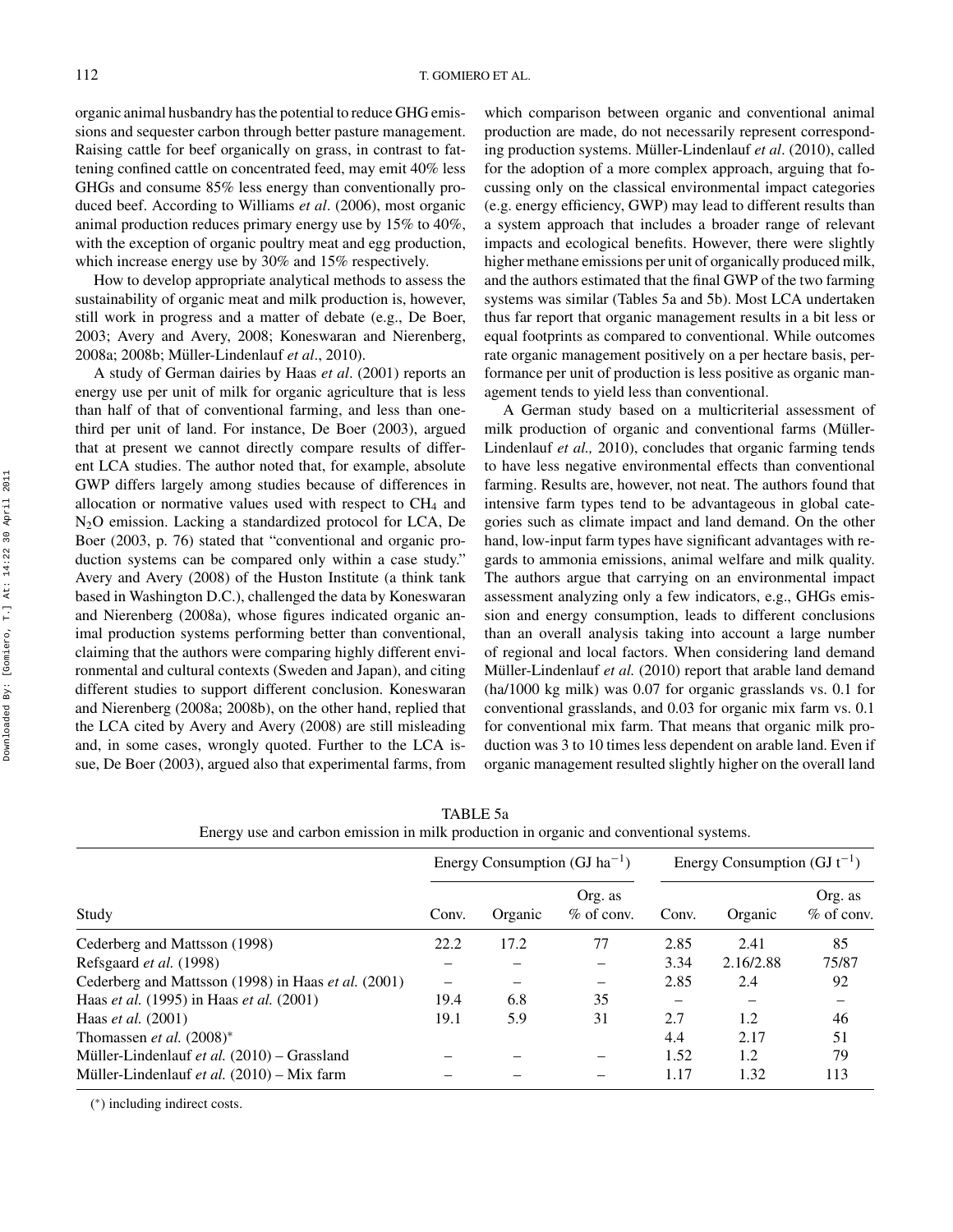organic animal husbandry has the potential to reduce GHG emissions and sequester carbon through better pasture management. Raising cattle for beef organically on grass, in contrast to fattening confined cattle on concentrated feed, may emit 40% less GHGs and consume 85% less energy than conventionally produced beef. According to Williams *et al*. (2006), most organic animal production reduces primary energy use by 15% to 40%, with the exception of organic poultry meat and egg production, which increase energy use by 30% and 15% respectively.

How to develop appropriate analytical methods to assess the sustainability of organic meat and milk production is, however, still work in progress and a matter of debate (e.g., De Boer, 2003; Avery and Avery, 2008; Koneswaran and Nierenberg, 2008a; 2008b; Müller-Lindenlauf et al., 2010).

A study of German dairies by Haas *et al*. (2001) reports an energy use per unit of milk for organic agriculture that is less than half of that of conventional farming, and less than onethird per unit of land. For instance, De Boer (2003), argued that at present we cannot directly compare results of different LCA studies. The author noted that, for example, absolute GWP differs largely among studies because of differences in allocation or normative values used with respect to  $CH<sub>4</sub>$  and N2O emission. Lacking a standardized protocol for LCA, De Boer (2003, p. 76) stated that "conventional and organic production systems can be compared only within a case study." Avery and Avery (2008) of the Huston Institute (a think tank based in Washington D.C.), challenged the data by Koneswaran and Nierenberg (2008a), whose figures indicated organic animal production systems performing better than conventional, claiming that the authors were comparing highly different environmental and cultural contexts (Sweden and Japan), and citing different studies to support different conclusion. Koneswaran and Nierenberg (2008a; 2008b), on the other hand, replied that the LCA cited by Avery and Avery (2008) are still misleading and, in some cases, wrongly quoted. Further to the LCA issue, De Boer (2003), argued also that experimental farms, from

which comparison between organic and conventional animal production are made, do not necessarily represent corresponding production systems. Müller-Lindenlauf et al. (2010), called for the adoption of a more complex approach, arguing that focussing only on the classical environmental impact categories (e.g. energy efficiency, GWP) may lead to different results than a system approach that includes a broader range of relevant impacts and ecological benefits. However, there were slightly higher methane emissions per unit of organically produced milk, and the authors estimated that the final GWP of the two farming systems was similar (Tables 5a and 5b). Most LCA undertaken thus far report that organic management results in a bit less or equal footprints as compared to conventional. While outcomes rate organic management positively on a per hectare basis, performance per unit of production is less positive as organic management tends to yield less than conventional.

A German study based on a multicriterial assessment of milk production of organic and conventional farms (Müller-Lindenlauf *et al.,* 2010), concludes that organic farming tends to have less negative environmental effects than conventional farming. Results are, however, not neat. The authors found that intensive farm types tend to be advantageous in global categories such as climate impact and land demand. On the other hand, low-input farm types have significant advantages with regards to ammonia emissions, animal welfare and milk quality. The authors argue that carrying on an environmental impact assessment analyzing only a few indicators, e.g., GHGs emission and energy consumption, leads to different conclusions than an overall analysis taking into account a large number of regional and local factors. When considering land demand Müller-Lindenlauf et al. (2010) report that arable land demand (ha/1000 kg milk) was 0.07 for organic grasslands vs. 0.1 for conventional grasslands, and 0.03 for organic mix farm vs. 0.1 for conventional mix farm. That means that organic milk production was 3 to 10 times less dependent on arable land. Even if organic management resulted slightly higher on the overall land

TABLE 5a Energy use and carbon emission in milk production in organic and conventional systems.

|                                                            |       |         | Energy Consumption (GJ $ha^{-1}$ ) | Energy Consumption (GJ $t^{-1}$ ) |           |                          |  |
|------------------------------------------------------------|-------|---------|------------------------------------|-----------------------------------|-----------|--------------------------|--|
| Study                                                      | Conv. | Organic | Org. as<br>$\%$ of conv.           | Conv.                             | Organic   | Org. as<br>$\%$ of conv. |  |
| Cederberg and Mattsson (1998)                              | 22.2  | 17.2    | 77                                 | 2.85                              | 2.41      | 85                       |  |
| Refsgaard <i>et al.</i> (1998)                             |       |         |                                    | 3.34                              | 2.16/2.88 | 75/87                    |  |
| Cederberg and Mattsson (1998) in Haas <i>et al.</i> (2001) |       |         |                                    | 2.85                              | 2.4       | 92                       |  |
| Haas et al. (1995) in Haas et al. (2001)                   | 19.4  | 6.8     | 35                                 |                                   |           |                          |  |
| Haas <i>et al.</i> (2001)                                  | 19.1  | 5.9     | 31                                 | 2.7                               | 1.2       | 46                       |  |
| Thomassen <i>et al.</i> $(2008)^*$                         |       |         |                                    | 4.4                               | 2.17      | 51                       |  |
| Müller-Lindenlauf et al. (2010) - Grassland                |       |         |                                    | 1.52                              | 1.2       | 79                       |  |
| Müller-Lindenlauf et al. (2010) - Mix farm                 |       |         |                                    | 1.17                              | 1.32      | 113                      |  |

( <sup>∗</sup>) including indirect costs.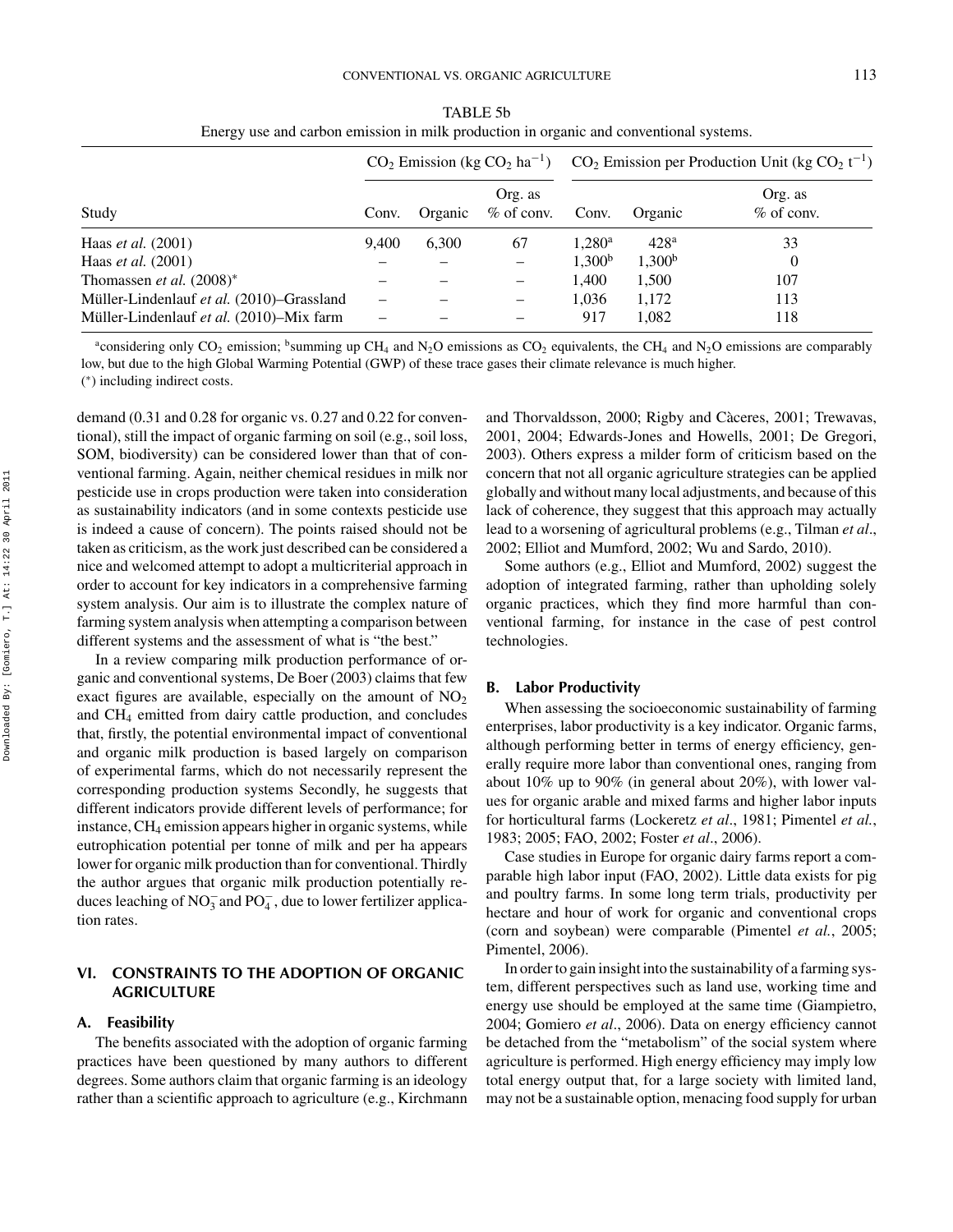TABLE 5b

|                                           | $CO2$ Emission (kg $CO2$ ha <sup>-1</sup> ) |         |                          |                 | $CO2$ Emission per Production Unit (kg $CO2$ t <sup>-1</sup> ) |                          |  |  |
|-------------------------------------------|---------------------------------------------|---------|--------------------------|-----------------|----------------------------------------------------------------|--------------------------|--|--|
| Study                                     | Conv.                                       | Organic | Org. as<br>$\%$ of conv. | Conv.           | Organic                                                        | Org. as<br>$\%$ of conv. |  |  |
| Haas <i>et al.</i> (2001)                 | 9.400                                       | 6,300   | 67                       | $1.280^{\rm a}$ | 428 <sup>a</sup>                                               | 33                       |  |  |
| Haas <i>et al.</i> $(2001)$               |                                             |         | $\overline{\phantom{0}}$ | $1,300^b$       | $1,300^{\rm b}$                                                | $\theta$                 |  |  |
| Thomassen <i>et al.</i> $(2008)^*$        |                                             |         |                          | 1.400           | 1,500                                                          | 107                      |  |  |
| Müller-Lindenlauf et al. (2010)-Grassland |                                             |         |                          | 1,036           | 1,172                                                          | 113                      |  |  |
| Müller-Lindenlauf et al. (2010)-Mix farm  | $\overline{\phantom{0}}$                    |         |                          | 917             | 1,082                                                          | 118                      |  |  |

<sup>a</sup>considering only CO<sub>2</sub> emission; <sup>b</sup>summing up CH<sub>4</sub> and N<sub>2</sub>O emissions as CO<sub>2</sub> equivalents, the CH<sub>4</sub> and N<sub>2</sub>O emissions are comparably low, but due to the high Global Warming Potential (GWP) of these trace gases their climate relevance is much higher. ( <sup>∗</sup>) including indirect costs.

demand (0.31 and 0.28 for organic vs. 0.27 and 0.22 for conventional), still the impact of organic farming on soil (e.g., soil loss, SOM, biodiversity) can be considered lower than that of conventional farming. Again, neither chemical residues in milk nor pesticide use in crops production were taken into consideration as sustainability indicators (and in some contexts pesticide use is indeed a cause of concern). The points raised should not be taken as criticism, as the work just described can be considered a nice and welcomed attempt to adopt a multicriterial approach in order to account for key indicators in a comprehensive farming system analysis. Our aim is to illustrate the complex nature of farming system analysis when attempting a comparison between different systems and the assessment of what is "the best."

In a review comparing milk production performance of organic and conventional systems, De Boer (2003) claims that few exact figures are available, especially on the amount of  $NO<sub>2</sub>$ and CH4 emitted from dairy cattle production, and concludes that, firstly, the potential environmental impact of conventional and organic milk production is based largely on comparison of experimental farms, which do not necessarily represent the corresponding production systems Secondly, he suggests that different indicators provide different levels of performance; for instance, CH<sub>4</sub> emission appears higher in organic systems, while eutrophication potential per tonne of milk and per ha appears lower for organic milk production than for conventional. Thirdly the author argues that organic milk production potentially reduces leaching of  $NO_3^-$  and  $PO_4^-$ , due to lower fertilizer application rates.

## **VI. CONSTRAINTS TO THE ADOPTION OF ORGANIC AGRICULTURE**

#### **A. Feasibility**

The benefits associated with the adoption of organic farming practices have been questioned by many authors to different degrees. Some authors claim that organic farming is an ideology rather than a scientific approach to agriculture (e.g., Kirchmann and Thorvaldsson, 2000; Rigby and Càceres, 2001; Trewavas, 2001, 2004; Edwards-Jones and Howells, 2001; De Gregori, 2003). Others express a milder form of criticism based on the concern that not all organic agriculture strategies can be applied globally and without many local adjustments, and because of this lack of coherence, they suggest that this approach may actually lead to a worsening of agricultural problems (e.g., Tilman *et al*., 2002; Elliot and Mumford, 2002; Wu and Sardo, 2010).

Some authors (e.g., Elliot and Mumford, 2002) suggest the adoption of integrated farming, rather than upholding solely organic practices, which they find more harmful than conventional farming, for instance in the case of pest control technologies.

#### **B. Labor Productivity**

When assessing the socioeconomic sustainability of farming enterprises, labor productivity is a key indicator. Organic farms, although performing better in terms of energy efficiency, generally require more labor than conventional ones, ranging from about 10% up to 90% (in general about 20%), with lower values for organic arable and mixed farms and higher labor inputs for horticultural farms (Lockeretz *et al*., 1981; Pimentel *et al.*, 1983; 2005; FAO, 2002; Foster *et al*., 2006).

Case studies in Europe for organic dairy farms report a comparable high labor input (FAO, 2002). Little data exists for pig and poultry farms. In some long term trials, productivity per hectare and hour of work for organic and conventional crops (corn and soybean) were comparable (Pimentel *et al.*, 2005; Pimentel, 2006).

In order to gain insight into the sustainability of a farming system, different perspectives such as land use, working time and energy use should be employed at the same time (Giampietro, 2004; Gomiero *et al*., 2006). Data on energy efficiency cannot be detached from the "metabolism" of the social system where agriculture is performed. High energy efficiency may imply low total energy output that, for a large society with limited land, may not be a sustainable option, menacing food supply for urban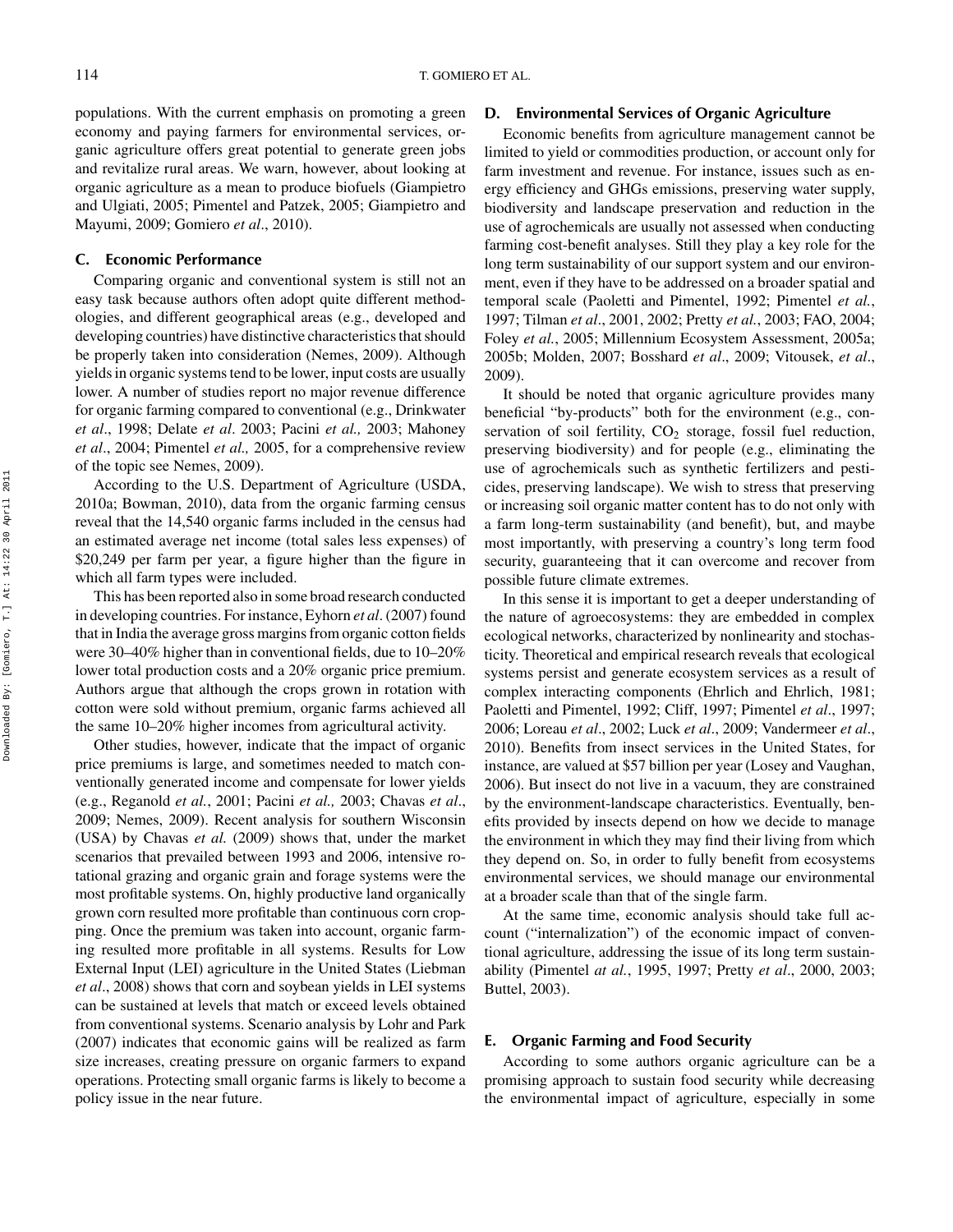populations. With the current emphasis on promoting a green economy and paying farmers for environmental services, organic agriculture offers great potential to generate green jobs and revitalize rural areas. We warn, however, about looking at organic agriculture as a mean to produce biofuels (Giampietro and Ulgiati, 2005; Pimentel and Patzek, 2005; Giampietro and Mayumi, 2009; Gomiero *et al*., 2010).

#### **C. Economic Performance**

Comparing organic and conventional system is still not an easy task because authors often adopt quite different methodologies, and different geographical areas (e.g., developed and developing countries) have distinctive characteristics that should be properly taken into consideration (Nemes, 2009). Although yields in organic systems tend to be lower, input costs are usually lower. A number of studies report no major revenue difference for organic farming compared to conventional (e.g., Drinkwater *et al*., 1998; Delate *et al*. 2003; Pacini *et al.,* 2003; Mahoney *et al*., 2004; Pimentel *et al.,* 2005, for a comprehensive review of the topic see Nemes, 2009).

According to the U.S. Department of Agriculture (USDA, 2010a; Bowman, 2010), data from the organic farming census reveal that the 14,540 organic farms included in the census had an estimated average net income (total sales less expenses) of \$20,249 per farm per year, a figure higher than the figure in which all farm types were included.

This has been reported also in some broad research conducted in developing countries. For instance, Eyhorn *et al*. (2007) found that in India the average gross margins from organic cotton fields were 30–40% higher than in conventional fields, due to 10–20% lower total production costs and a 20% organic price premium. Authors argue that although the crops grown in rotation with cotton were sold without premium, organic farms achieved all the same 10–20% higher incomes from agricultural activity.

Other studies, however, indicate that the impact of organic price premiums is large, and sometimes needed to match conventionally generated income and compensate for lower yields (e.g., Reganold *et al.*, 2001; Pacini *et al.,* 2003; Chavas *et al*., 2009; Nemes, 2009). Recent analysis for southern Wisconsin (USA) by Chavas *et al.* (2009) shows that, under the market scenarios that prevailed between 1993 and 2006, intensive rotational grazing and organic grain and forage systems were the most profitable systems. On, highly productive land organically grown corn resulted more profitable than continuous corn cropping. Once the premium was taken into account, organic farming resulted more profitable in all systems. Results for Low External Input (LEI) agriculture in the United States (Liebman *et al*., 2008) shows that corn and soybean yields in LEI systems can be sustained at levels that match or exceed levels obtained from conventional systems. Scenario analysis by Lohr and Park (2007) indicates that economic gains will be realized as farm size increases, creating pressure on organic farmers to expand operations. Protecting small organic farms is likely to become a policy issue in the near future.

#### **D. Environmental Services of Organic Agriculture**

Economic benefits from agriculture management cannot be limited to yield or commodities production, or account only for farm investment and revenue. For instance, issues such as energy efficiency and GHGs emissions, preserving water supply, biodiversity and landscape preservation and reduction in the use of agrochemicals are usually not assessed when conducting farming cost-benefit analyses. Still they play a key role for the long term sustainability of our support system and our environment, even if they have to be addressed on a broader spatial and temporal scale (Paoletti and Pimentel, 1992; Pimentel *et al.*, 1997; Tilman *et al*., 2001, 2002; Pretty *et al.*, 2003; FAO, 2004; Foley *et al.*, 2005; Millennium Ecosystem Assessment, 2005a; 2005b; Molden, 2007; Bosshard *et al*., 2009; Vitousek, *et al*., 2009).

It should be noted that organic agriculture provides many beneficial "by-products" both for the environment (e.g., conservation of soil fertility,  $CO<sub>2</sub>$  storage, fossil fuel reduction, preserving biodiversity) and for people (e.g., eliminating the use of agrochemicals such as synthetic fertilizers and pesticides, preserving landscape). We wish to stress that preserving or increasing soil organic matter content has to do not only with a farm long-term sustainability (and benefit), but, and maybe most importantly, with preserving a country's long term food security, guaranteeing that it can overcome and recover from possible future climate extremes.

In this sense it is important to get a deeper understanding of the nature of agroecosystems: they are embedded in complex ecological networks, characterized by nonlinearity and stochasticity. Theoretical and empirical research reveals that ecological systems persist and generate ecosystem services as a result of complex interacting components (Ehrlich and Ehrlich, 1981; Paoletti and Pimentel, 1992; Cliff, 1997; Pimentel *et al*., 1997; 2006; Loreau *et al*., 2002; Luck *et al*., 2009; Vandermeer *et al*., 2010). Benefits from insect services in the United States, for instance, are valued at \$57 billion per year (Losey and Vaughan, 2006). But insect do not live in a vacuum, they are constrained by the environment-landscape characteristics. Eventually, benefits provided by insects depend on how we decide to manage the environment in which they may find their living from which they depend on. So, in order to fully benefit from ecosystems environmental services, we should manage our environmental at a broader scale than that of the single farm.

At the same time, economic analysis should take full account ("internalization") of the economic impact of conventional agriculture, addressing the issue of its long term sustainability (Pimentel *at al.*, 1995, 1997; Pretty *et al*., 2000, 2003; Buttel, 2003).

## **E. Organic Farming and Food Security**

According to some authors organic agriculture can be a promising approach to sustain food security while decreasing the environmental impact of agriculture, especially in some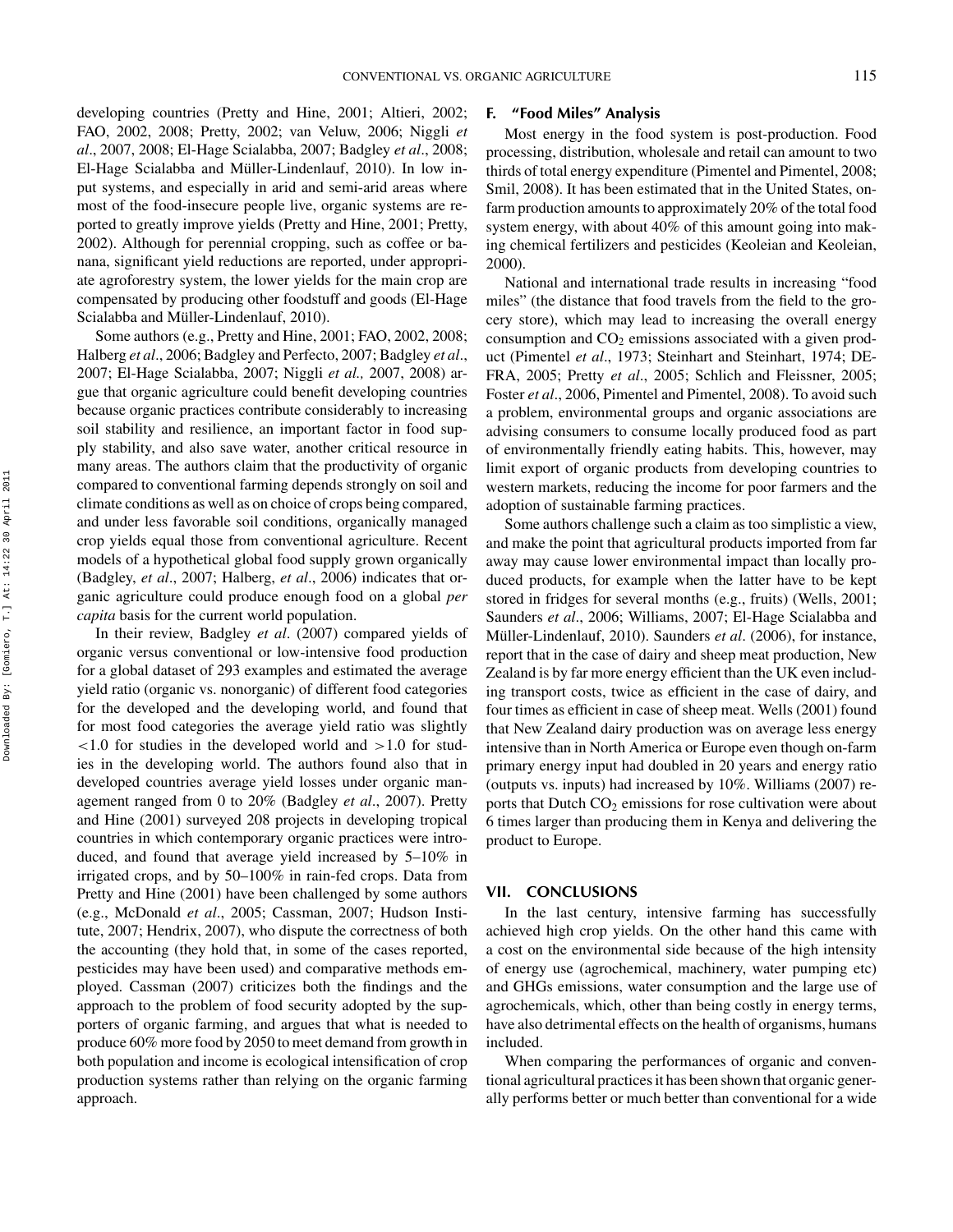developing countries (Pretty and Hine, 2001; Altieri, 2002; FAO, 2002, 2008; Pretty, 2002; van Veluw, 2006; Niggli *et al*., 2007, 2008; El-Hage Scialabba, 2007; Badgley *et al*., 2008; El-Hage Scialabba and Müller-Lindenlauf, 2010). In low input systems, and especially in arid and semi-arid areas where most of the food-insecure people live, organic systems are reported to greatly improve yields (Pretty and Hine, 2001; Pretty, 2002). Although for perennial cropping, such as coffee or banana, significant yield reductions are reported, under appropriate agroforestry system, the lower yields for the main crop are compensated by producing other foodstuff and goods (El-Hage Scialabba and Müller-Lindenlauf, 2010).

Some authors (e.g., Pretty and Hine, 2001; FAO, 2002, 2008; Halberg *et al*., 2006; Badgley and Perfecto, 2007; Badgley *et al*., 2007; El-Hage Scialabba, 2007; Niggli *et al.,* 2007, 2008) argue that organic agriculture could benefit developing countries because organic practices contribute considerably to increasing soil stability and resilience, an important factor in food supply stability, and also save water, another critical resource in many areas. The authors claim that the productivity of organic compared to conventional farming depends strongly on soil and climate conditions as well as on choice of crops being compared, and under less favorable soil conditions, organically managed crop yields equal those from conventional agriculture. Recent models of a hypothetical global food supply grown organically (Badgley, *et al*., 2007; Halberg, *et al*., 2006) indicates that organic agriculture could produce enough food on a global *per capita* basis for the current world population.

In their review, Badgley *et al*. (2007) compared yields of organic versus conventional or low-intensive food production for a global dataset of 293 examples and estimated the average yield ratio (organic vs. nonorganic) of different food categories for the developed and the developing world, and found that for most food categories the average yield ratio was slightly *<*1.0 for studies in the developed world and *>*1.0 for studies in the developing world. The authors found also that in developed countries average yield losses under organic management ranged from 0 to 20% (Badgley *et al*., 2007). Pretty and Hine (2001) surveyed 208 projects in developing tropical countries in which contemporary organic practices were introduced, and found that average yield increased by 5–10% in irrigated crops, and by 50–100% in rain-fed crops. Data from Pretty and Hine (2001) have been challenged by some authors (e.g., McDonald *et al*., 2005; Cassman, 2007; Hudson Institute, 2007; Hendrix, 2007), who dispute the correctness of both the accounting (they hold that, in some of the cases reported, pesticides may have been used) and comparative methods employed. Cassman (2007) criticizes both the findings and the approach to the problem of food security adopted by the supporters of organic farming, and argues that what is needed to produce 60% more food by 2050 to meet demand from growth in both population and income is ecological intensification of crop production systems rather than relying on the organic farming approach.

#### **F. "Food Miles" Analysis**

Most energy in the food system is post-production. Food processing, distribution, wholesale and retail can amount to two thirds of total energy expenditure (Pimentel and Pimentel, 2008; Smil, 2008). It has been estimated that in the United States, onfarm production amounts to approximately 20% of the total food system energy, with about 40% of this amount going into making chemical fertilizers and pesticides (Keoleian and Keoleian, 2000).

National and international trade results in increasing "food miles" (the distance that food travels from the field to the grocery store), which may lead to increasing the overall energy consumption and  $CO<sub>2</sub>$  emissions associated with a given product (Pimentel *et al*., 1973; Steinhart and Steinhart, 1974; DE-FRA, 2005; Pretty *et al*., 2005; Schlich and Fleissner, 2005; Foster *et al*., 2006, Pimentel and Pimentel, 2008). To avoid such a problem, environmental groups and organic associations are advising consumers to consume locally produced food as part of environmentally friendly eating habits. This, however, may limit export of organic products from developing countries to western markets, reducing the income for poor farmers and the adoption of sustainable farming practices.

Some authors challenge such a claim as too simplistic a view, and make the point that agricultural products imported from far away may cause lower environmental impact than locally produced products, for example when the latter have to be kept stored in fridges for several months (e.g., fruits) (Wells, 2001; Saunders *et al*., 2006; Williams, 2007; El-Hage Scialabba and Müller-Lindenlauf, 2010). Saunders *et al.* (2006), for instance, report that in the case of dairy and sheep meat production, New Zealand is by far more energy efficient than the UK even including transport costs, twice as efficient in the case of dairy, and four times as efficient in case of sheep meat. Wells (2001) found that New Zealand dairy production was on average less energy intensive than in North America or Europe even though on-farm primary energy input had doubled in 20 years and energy ratio (outputs vs. inputs) had increased by 10%. Williams (2007) reports that Dutch  $CO<sub>2</sub>$  emissions for rose cultivation were about 6 times larger than producing them in Kenya and delivering the product to Europe.

#### **VII. CONCLUSIONS**

In the last century, intensive farming has successfully achieved high crop yields. On the other hand this came with a cost on the environmental side because of the high intensity of energy use (agrochemical, machinery, water pumping etc) and GHGs emissions, water consumption and the large use of agrochemicals, which, other than being costly in energy terms, have also detrimental effects on the health of organisms, humans included.

When comparing the performances of organic and conventional agricultural practices it has been shown that organic generally performs better or much better than conventional for a wide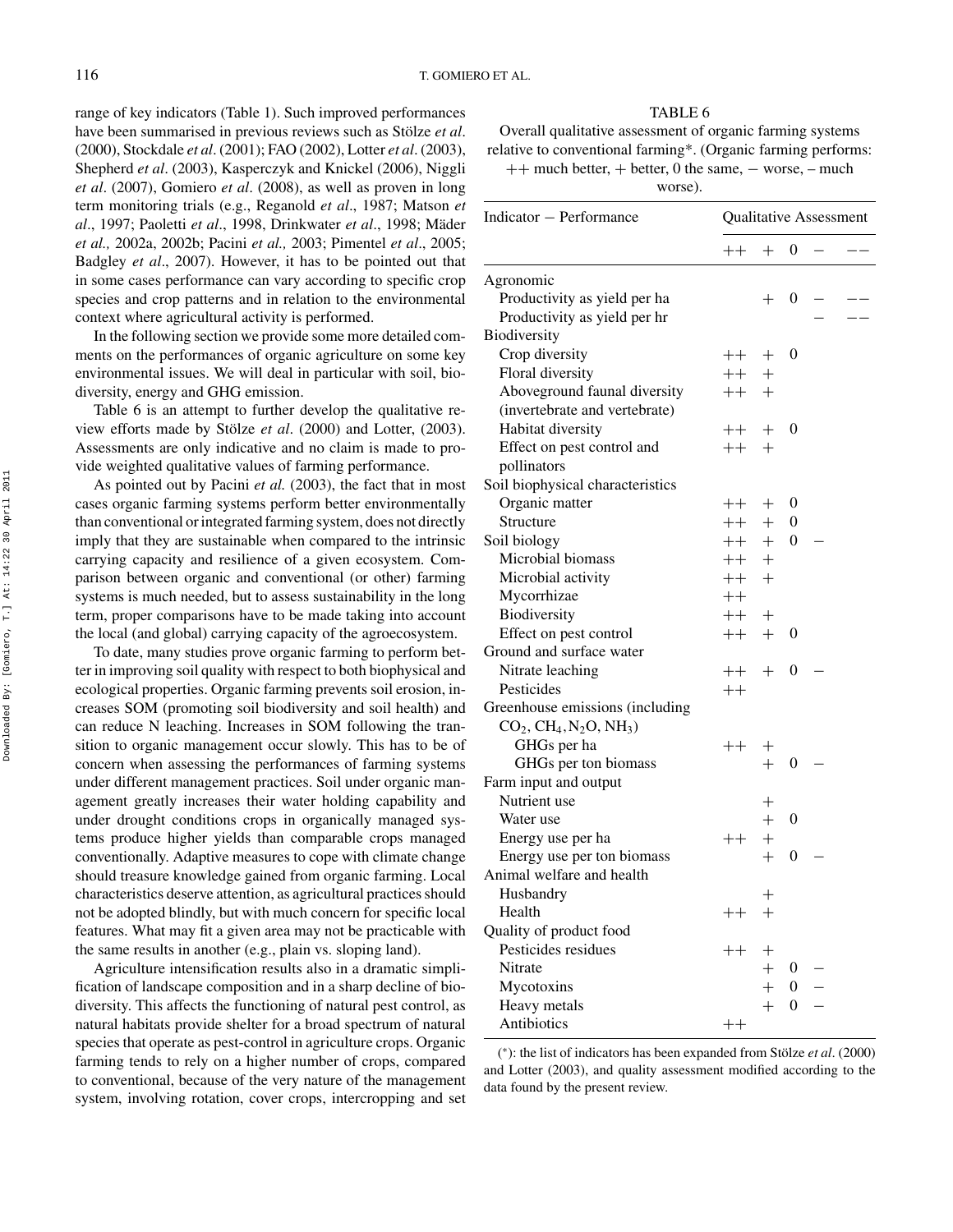range of key indicators (Table 1). Such improved performances have been summarised in previous reviews such as Stölze *et al*. (2000), Stockdale *et al*. (2001); FAO (2002), Lotter *et al*. (2003), Shepherd *et al*. (2003), Kasperczyk and Knickel (2006), Niggli *et al*. (2007), Gomiero *et al*. (2008), as well as proven in long term monitoring trials (e.g., Reganold *et al*., 1987; Matson *et al*., 1997; Paoletti *et al*., 1998, Drinkwater *et al*., 1998; Mader ¨ *et al.,* 2002a, 2002b; Pacini *et al.,* 2003; Pimentel *et al*., 2005; Badgley *et al*., 2007). However, it has to be pointed out that in some cases performance can vary according to specific crop species and crop patterns and in relation to the environmental context where agricultural activity is performed.

In the following section we provide some more detailed comments on the performances of organic agriculture on some key environmental issues. We will deal in particular with soil, biodiversity, energy and GHG emission.

Table 6 is an attempt to further develop the qualitative review efforts made by Stölze et al. (2000) and Lotter, (2003). Assessments are only indicative and no claim is made to provide weighted qualitative values of farming performance.

As pointed out by Pacini *et al.* (2003), the fact that in most cases organic farming systems perform better environmentally than conventional or integrated farming system, does not directly imply that they are sustainable when compared to the intrinsic carrying capacity and resilience of a given ecosystem. Comparison between organic and conventional (or other) farming systems is much needed, but to assess sustainability in the long term, proper comparisons have to be made taking into account the local (and global) carrying capacity of the agroecosystem.

To date, many studies prove organic farming to perform better in improving soil quality with respect to both biophysical and ecological properties. Organic farming prevents soil erosion, increases SOM (promoting soil biodiversity and soil health) and can reduce N leaching. Increases in SOM following the transition to organic management occur slowly. This has to be of concern when assessing the performances of farming systems under different management practices. Soil under organic management greatly increases their water holding capability and under drought conditions crops in organically managed systems produce higher yields than comparable crops managed conventionally. Adaptive measures to cope with climate change should treasure knowledge gained from organic farming. Local characteristics deserve attention, as agricultural practices should not be adopted blindly, but with much concern for specific local features. What may fit a given area may not be practicable with the same results in another (e.g., plain vs. sloping land).

Agriculture intensification results also in a dramatic simplification of landscape composition and in a sharp decline of biodiversity. This affects the functioning of natural pest control, as natural habitats provide shelter for a broad spectrum of natural species that operate as pest-control in agriculture crops. Organic farming tends to rely on a higher number of crops, compared to conventional, because of the very nature of the management system, involving rotation, cover crops, intercropping and set

## TABLE 6

Overall qualitative assessment of organic farming systems relative to conventional farming\*. (Organic farming performs:

++ much better, + better, 0 the same, − worse, – much

worse).

| Indicator - Performance             |          | Qualitative Assessment |                          |  |  |  |  |
|-------------------------------------|----------|------------------------|--------------------------|--|--|--|--|
|                                     | $++$     | $^{+}$                 | 0                        |  |  |  |  |
| Agronomic                           |          |                        |                          |  |  |  |  |
| Productivity as yield per ha        |          | $\pm$                  | $\overline{0}$           |  |  |  |  |
| Productivity as yield per hr        |          |                        |                          |  |  |  |  |
| Biodiversity                        |          |                        |                          |  |  |  |  |
| Crop diversity                      | $++$ $+$ |                        | 0                        |  |  |  |  |
| Floral diversity                    | $++ +$   |                        |                          |  |  |  |  |
| Aboveground faunal diversity        | $++$ $+$ |                        |                          |  |  |  |  |
| (invertebrate and vertebrate)       |          |                        |                          |  |  |  |  |
| Habitat diversity                   | $++ +$   |                        | $\overline{0}$           |  |  |  |  |
| Effect on pest control and          | $++ +$   |                        |                          |  |  |  |  |
| pollinators                         |          |                        |                          |  |  |  |  |
| Soil biophysical characteristics    |          |                        |                          |  |  |  |  |
| Organic matter                      | $++$     | $+$                    | 0                        |  |  |  |  |
| Structure                           | $++$ $+$ |                        | $\theta$                 |  |  |  |  |
| Soil biology                        | $++$ +   |                        | $\Omega$                 |  |  |  |  |
| Microbial biomass                   | $++$ +   |                        |                          |  |  |  |  |
| Microbial activity                  | $++$ +   |                        |                          |  |  |  |  |
| Mycorrhizae                         | $++$     |                        |                          |  |  |  |  |
| Biodiversity                        | $++$ $+$ |                        |                          |  |  |  |  |
| Effect on pest control              | $++$     | $+$                    | $\overline{0}$           |  |  |  |  |
| Ground and surface water            |          |                        |                          |  |  |  |  |
| Nitrate leaching                    | $++$     | $+$                    | $\Omega$                 |  |  |  |  |
| Pesticides                          | $++$     |                        |                          |  |  |  |  |
| Greenhouse emissions (including     |          |                        |                          |  |  |  |  |
| $CO_2$ , $CH_4$ , $N_2O$ , $NH_3$ ) |          |                        |                          |  |  |  |  |
| GHGs per ha                         | $++$     | $^{+}$                 |                          |  |  |  |  |
| GHGs per ton biomass                |          | $+$                    | 0                        |  |  |  |  |
| Farm input and output               |          |                        |                          |  |  |  |  |
| Nutrient use                        |          | $^+$                   |                          |  |  |  |  |
| Water use                           |          | $+$                    | $\theta$                 |  |  |  |  |
| Energy use per ha                   | $++$     | $\mathrm{+}$           |                          |  |  |  |  |
| Energy use per ton biomass          |          | $+$                    | $\overline{0}$           |  |  |  |  |
| Animal welfare and health           |          |                        |                          |  |  |  |  |
| Husbandry                           |          | $^{+}$                 |                          |  |  |  |  |
| Health                              |          |                        |                          |  |  |  |  |
| Quality of product food             | $++$     | $\pm$                  |                          |  |  |  |  |
| Pesticides residues                 | $++$     |                        |                          |  |  |  |  |
| Nitrate                             |          | $^+$                   | $\boldsymbol{0}$         |  |  |  |  |
|                                     |          | $^{+}$                 |                          |  |  |  |  |
| Mycotoxins                          |          | $+$                    | $\mathbf{0}$<br>$\theta$ |  |  |  |  |
| Heavy metals                        |          | $+$                    |                          |  |  |  |  |
| Antibiotics                         | $++$     |                        |                          |  |  |  |  |

(\*): the list of indicators has been expanded from Stölze et al. (2000) and Lotter (2003), and quality assessment modified according to the data found by the present review.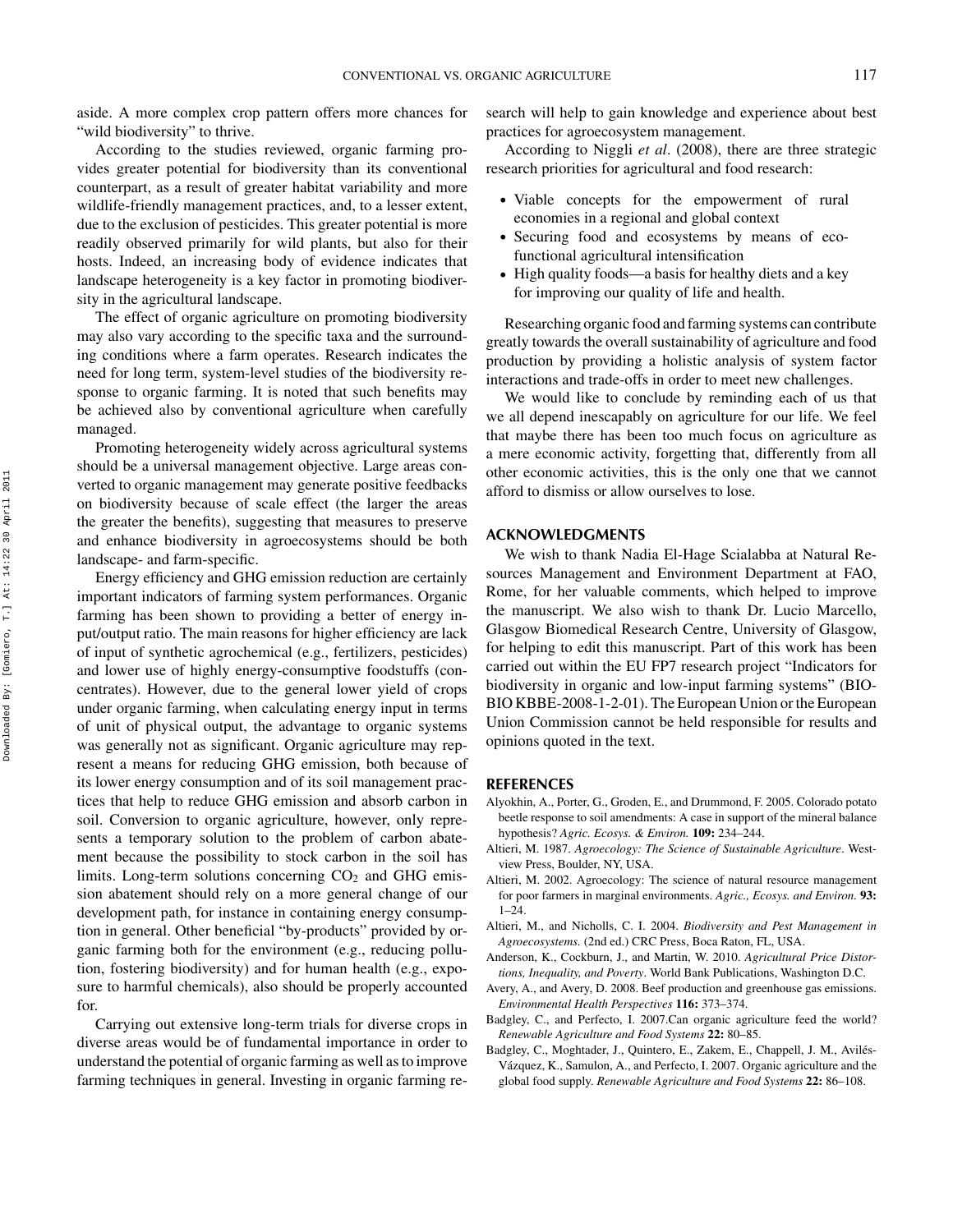aside. A more complex crop pattern offers more chances for "wild biodiversity" to thrive.

According to the studies reviewed, organic farming provides greater potential for biodiversity than its conventional counterpart, as a result of greater habitat variability and more wildlife-friendly management practices, and, to a lesser extent, due to the exclusion of pesticides. This greater potential is more readily observed primarily for wild plants, but also for their hosts. Indeed, an increasing body of evidence indicates that landscape heterogeneity is a key factor in promoting biodiversity in the agricultural landscape.

The effect of organic agriculture on promoting biodiversity may also vary according to the specific taxa and the surrounding conditions where a farm operates. Research indicates the need for long term, system-level studies of the biodiversity response to organic farming. It is noted that such benefits may be achieved also by conventional agriculture when carefully managed.

Promoting heterogeneity widely across agricultural systems should be a universal management objective. Large areas converted to organic management may generate positive feedbacks on biodiversity because of scale effect (the larger the areas the greater the benefits), suggesting that measures to preserve and enhance biodiversity in agroecosystems should be both landscape- and farm-specific.

Energy efficiency and GHG emission reduction are certainly important indicators of farming system performances. Organic farming has been shown to providing a better of energy input/output ratio. The main reasons for higher efficiency are lack of input of synthetic agrochemical (e.g., fertilizers, pesticides) and lower use of highly energy-consumptive foodstuffs (concentrates). However, due to the general lower yield of crops under organic farming, when calculating energy input in terms of unit of physical output, the advantage to organic systems was generally not as significant. Organic agriculture may represent a means for reducing GHG emission, both because of its lower energy consumption and of its soil management practices that help to reduce GHG emission and absorb carbon in soil. Conversion to organic agriculture, however, only represents a temporary solution to the problem of carbon abatement because the possibility to stock carbon in the soil has limits. Long-term solutions concerning  $CO<sub>2</sub>$  and GHG emission abatement should rely on a more general change of our development path, for instance in containing energy consumption in general. Other beneficial "by-products" provided by organic farming both for the environment (e.g., reducing pollution, fostering biodiversity) and for human health (e.g., exposure to harmful chemicals), also should be properly accounted for.

Carrying out extensive long-term trials for diverse crops in diverse areas would be of fundamental importance in order to understand the potential of organic farming as well as to improve farming techniques in general. Investing in organic farming research will help to gain knowledge and experience about best practices for agroecosystem management.

According to Niggli *et al*. (2008), there are three strategic research priorities for agricultural and food research:

- Viable concepts for the empowerment of rural economies in a regional and global context
- Securing food and ecosystems by means of ecofunctional agricultural intensification
- High quality foods—a basis for healthy diets and a key for improving our quality of life and health.

Researching organic food and farming systems can contribute greatly towards the overall sustainability of agriculture and food production by providing a holistic analysis of system factor interactions and trade-offs in order to meet new challenges.

We would like to conclude by reminding each of us that we all depend inescapably on agriculture for our life. We feel that maybe there has been too much focus on agriculture as a mere economic activity, forgetting that, differently from all other economic activities, this is the only one that we cannot afford to dismiss or allow ourselves to lose.

## **ACKNOWLEDGMENTS**

We wish to thank Nadia El-Hage Scialabba at Natural Resources Management and Environment Department at FAO, Rome, for her valuable comments, which helped to improve the manuscript. We also wish to thank Dr. Lucio Marcello, Glasgow Biomedical Research Centre, University of Glasgow, for helping to edit this manuscript. Part of this work has been carried out within the EU FP7 research project "Indicators for biodiversity in organic and low-input farming systems" (BIO-BIO KBBE-2008-1-2-01). The European Union or the European Union Commission cannot be held responsible for results and opinions quoted in the text.

#### **REFERENCES**

- Alyokhin, A., Porter, G., Groden, E., and Drummond, F. 2005. Colorado potato beetle response to soil amendments: A case in support of the mineral balance hypothesis? *Agric. Ecosys. & Environ.* **109:** 234–244.
- Altieri, M. 1987. *Agroecology: The Science of Sustainable Agriculture*. Westview Press, Boulder, NY, USA.
- Altieri, M. 2002. Agroecology: The science of natural resource management for poor farmers in marginal environments. *Agric., Ecosys. and Environ.* **93:** 1–24.
- Altieri, M., and Nicholls, C. I. 2004. *Biodiversity and Pest Management in Agroecosystems.* (2nd ed.) CRC Press, Boca Raton, FL, USA.
- Anderson, K., Cockburn, J., and Martin, W. 2010. *Agricultural Price Distortions, Inequality, and Poverty*. World Bank Publications, Washington D.C.
- Avery, A., and Avery, D. 2008. Beef production and greenhouse gas emissions. *Environmental Health Perspectives* **116:** 373–374.
- Badgley, C., and Perfecto, I. 2007.Can organic agriculture feed the world? *Renewable Agriculture and Food Systems* **22:** 80–85.
- Badgley, C., Moghtader, J., Quintero, E., Zakem, E., Chappell, J. M., Aviles- ´ Vázquez, K., Samulon, A., and Perfecto, I. 2007. Organic agriculture and the global food supply. *Renewable Agriculture and Food Systems* **22:** 86–108.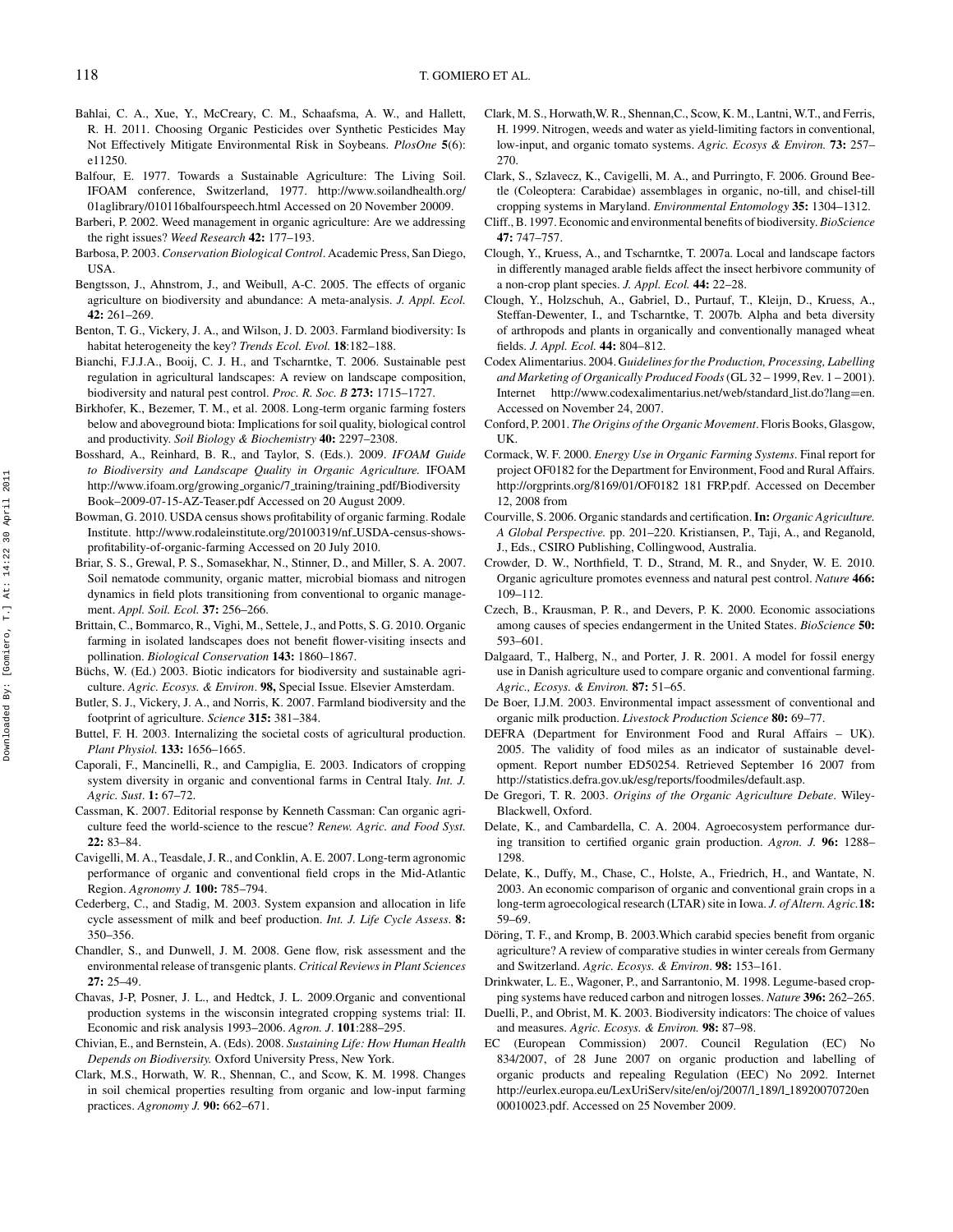- Bahlai, C. A., Xue, Y., McCreary, C. M., Schaafsma, A. W., and Hallett, R. H. 2011. Choosing Organic Pesticides over Synthetic Pesticides May Not Effectively Mitigate Environmental Risk in Soybeans. *PlosOne* **5**(6): e11250.
- Balfour, E. 1977. Towards a Sustainable Agriculture: The Living Soil. IFOAM conference, Switzerland, 1977. http://www.soilandhealth.org/ 01aglibrary/010116balfourspeech.html Accessed on 20 November 20009.
- Barberi, P. 2002. Weed management in organic agriculture: Are we addressing the right issues? *Weed Research* **42:** 177–193.
- Barbosa, P. 2003. *Conservation Biological Control*. Academic Press, San Diego, USA.
- Bengtsson, J., Ahnstrom, J., and Weibull, A-C. 2005. The effects of organic agriculture on biodiversity and abundance: A meta-analysis. *J. Appl. Ecol.* **42:** 261–269.
- Benton, T. G., Vickery, J. A., and Wilson, J. D. 2003. Farmland biodiversity: Is habitat heterogeneity the key? *Trends Ecol. Evol.* **18**:182–188.
- Bianchi, F.J.J.A., Booij, C. J. H., and Tscharntke, T. 2006. Sustainable pest regulation in agricultural landscapes: A review on landscape composition, biodiversity and natural pest control. *Proc. R. Soc. B* **273:** 1715–1727.
- Birkhofer, K., Bezemer, T. M., et al. 2008. Long-term organic farming fosters below and aboveground biota: Implications for soil quality, biological control and productivity. *Soil Biology & Biochemistry* **40:** 2297–2308.
- Bosshard, A., Reinhard, B. R., and Taylor, S. (Eds.). 2009. *IFOAM Guide to Biodiversity and Landscape Quality in Organic Agriculture.* IFOAM http://www.ifoam.org/growing\_organic/7\_training/training\_pdf/Biodiversity Book–2009-07-15-AZ-Teaser.pdf Accessed on 20 August 2009.
- Bowman, G. 2010. USDA census shows profitability of organic farming. Rodale Institute. http://www.rodaleinstitute.org/20100319/nf USDA-census-showsprofitability-of-organic-farming Accessed on 20 July 2010.
- Briar, S. S., Grewal, P. S., Somasekhar, N., Stinner, D., and Miller, S. A. 2007. Soil nematode community, organic matter, microbial biomass and nitrogen dynamics in field plots transitioning from conventional to organic management. *Appl. Soil. Ecol.* **37:** 256–266.
- Brittain, C., Bommarco, R., Vighi, M., Settele, J., and Potts, S. G. 2010. Organic farming in isolated landscapes does not benefit flower-visiting insects and pollination. *Biological Conservation* **143:** 1860–1867.
- Büchs, W. (Ed.) 2003. Biotic indicators for biodiversity and sustainable agriculture. *Agric. Ecosys. & Environ*. **98,** Special Issue. Elsevier Amsterdam.
- Butler, S. J., Vickery, J. A., and Norris, K. 2007. Farmland biodiversity and the footprint of agriculture. *Science* **315:** 381–384.
- Buttel, F. H. 2003. Internalizing the societal costs of agricultural production. *Plant Physiol.* **133:** 1656–1665.
- Caporali, F., Mancinelli, R., and Campiglia, E. 2003. Indicators of cropping system diversity in organic and conventional farms in Central Italy. *Int. J. Agric. Sust*. **1:** 67–72.
- Cassman, K. 2007. Editorial response by Kenneth Cassman: Can organic agriculture feed the world-science to the rescue? *Renew. Agric. and Food Syst.* **22:** 83–84.
- Cavigelli, M. A., Teasdale, J. R., and Conklin, A. E. 2007. Long-term agronomic performance of organic and conventional field crops in the Mid-Atlantic Region. *Agronomy J.* **100:** 785–794.
- Cederberg, C., and Stadig, M. 2003. System expansion and allocation in life cycle assessment of milk and beef production. *Int. J. Life Cycle Assess*. **8:** 350–356.
- Chandler, S., and Dunwell, J. M. 2008. Gene flow, risk assessment and the environmental release of transgenic plants. *Critical Reviews in Plant Sciences* **27:** 25–49.
- Chavas, J-P, Posner, J. L., and Hedtck, J. L. 2009.Organic and conventional production systems in the wisconsin integrated cropping systems trial: II. Economic and risk analysis 1993–2006. *Agron. J*. **101**:288–295.
- Chivian, E., and Bernstein, A. (Eds). 2008. *Sustaining Life: How Human Health Depends on Biodiversity.* Oxford University Press, New York.
- Clark, M.S., Horwath, W. R., Shennan, C., and Scow, K. M. 1998. Changes in soil chemical properties resulting from organic and low-input farming practices. *Agronomy J.* **90:** 662–671.
- Clark, M. S., Horwath,W. R., Shennan,C., Scow, K. M., Lantni, W.T., and Ferris, H. 1999. Nitrogen, weeds and water as yield-limiting factors in conventional, low-input, and organic tomato systems. *Agric. Ecosys & Environ.* **73:** 257– 270.
- Clark, S., Szlavecz, K., Cavigelli, M. A., and Purringto, F. 2006. Ground Beetle (Coleoptera: Carabidae) assemblages in organic, no-till, and chisel-till cropping systems in Maryland. *Environmental Entomology* **35:** 1304–1312.
- Cliff., B. 1997. Economic and environmental benefits of biodiversity. *BioScience* **47:** 747–757.
- Clough, Y., Kruess, A., and Tscharntke, T. 2007a. Local and landscape factors in differently managed arable fields affect the insect herbivore community of a non-crop plant species. *J. Appl. Ecol.* **44:** 22–28.
- Clough, Y., Holzschuh, A., Gabriel, D., Purtauf, T., Kleijn, D., Kruess, A., Steffan-Dewenter, I., and Tscharntke, T. 2007b. Alpha and beta diversity of arthropods and plants in organically and conventionally managed wheat fields. *J. Appl. Ecol.* **44:** 804–812.
- Codex Alimentarius. 2004. G*uidelines for the Production, Processing, Labelling and Marketing of Organically Produced Foods*(GL 32 – 1999, Rev. 1 – 2001). Internet http://www.codexalimentarius.net/web/standard list.do?lang=en. Accessed on November 24, 2007.
- Conford, P. 2001. *The Origins of the Organic Movement*. Floris Books, Glasgow, UK.
- Cormack, W. F. 2000. *Energy Use in Organic Farming Systems*. Final report for project OF0182 for the Department for Environment, Food and Rural Affairs. http://orgprints.org/8169/01/OF0182 181 FRP.pdf. Accessed on December 12, 2008 from
- Courville, S. 2006. Organic standards and certification.**In:** *Organic Agriculture. A Global Perspective.* pp. 201–220. Kristiansen, P., Taji, A., and Reganold, J., Eds., CSIRO Publishing, Collingwood, Australia.
- Crowder, D. W., Northfield, T. D., Strand, M. R., and Snyder, W. E. 2010. Organic agriculture promotes evenness and natural pest control. *Nature* **466:** 109–112.
- Czech, B., Krausman, P. R., and Devers, P. K. 2000. Economic associations among causes of species endangerment in the United States. *BioScience* **50:** 593–601.
- Dalgaard, T., Halberg, N., and Porter, J. R. 2001. A model for fossil energy use in Danish agriculture used to compare organic and conventional farming. *Agric., Ecosys. & Environ.* **87:** 51–65.
- De Boer, I.J.M. 2003. Environmental impact assessment of conventional and organic milk production. *Livestock Production Science* **80:** 69–77.
- DEFRA (Department for Environment Food and Rural Affairs UK). 2005. The validity of food miles as an indicator of sustainable development. Report number ED50254. Retrieved September 16 2007 from http://statistics.defra.gov.uk/esg/reports/foodmiles/default.asp.
- De Gregori, T. R. 2003. *Origins of the Organic Agriculture Debate*. Wiley-Blackwell, Oxford.
- Delate, K., and Cambardella, C. A. 2004. Agroecosystem performance during transition to certified organic grain production. *Agron. J.* **96:** 1288– 1298.
- Delate, K., Duffy, M., Chase, C., Holste, A., Friedrich, H., and Wantate, N. 2003. An economic comparison of organic and conventional grain crops in a long-term agroecological research (LTAR) site in Iowa. *J. of Altern. Agric.***18:** 59–69.
- Döring, T. F., and Kromp, B. 2003. Which carabid species benefit from organic agriculture? A review of comparative studies in winter cereals from Germany and Switzerland. *Agric. Ecosys. & Environ*. **98:** 153–161.
- Drinkwater, L. E., Wagoner, P., and Sarrantonio, M. 1998. Legume-based cropping systems have reduced carbon and nitrogen losses. *Nature* **396:** 262–265.
- Duelli, P., and Obrist, M. K. 2003. Biodiversity indicators: The choice of values and measures. *Agric. Ecosys. & Environ.* **98:** 87–98.
- EC (European Commission) 2007. Council Regulation (EC) No 834/2007, of 28 June 2007 on organic production and labelling of organic products and repealing Regulation (EEC) No 2092. Internet http://eurlex.europa.eu/LexUriServ/site/en/oj/2007/l 189/l 18920070720en 00010023.pdf. Accessed on 25 November 2009.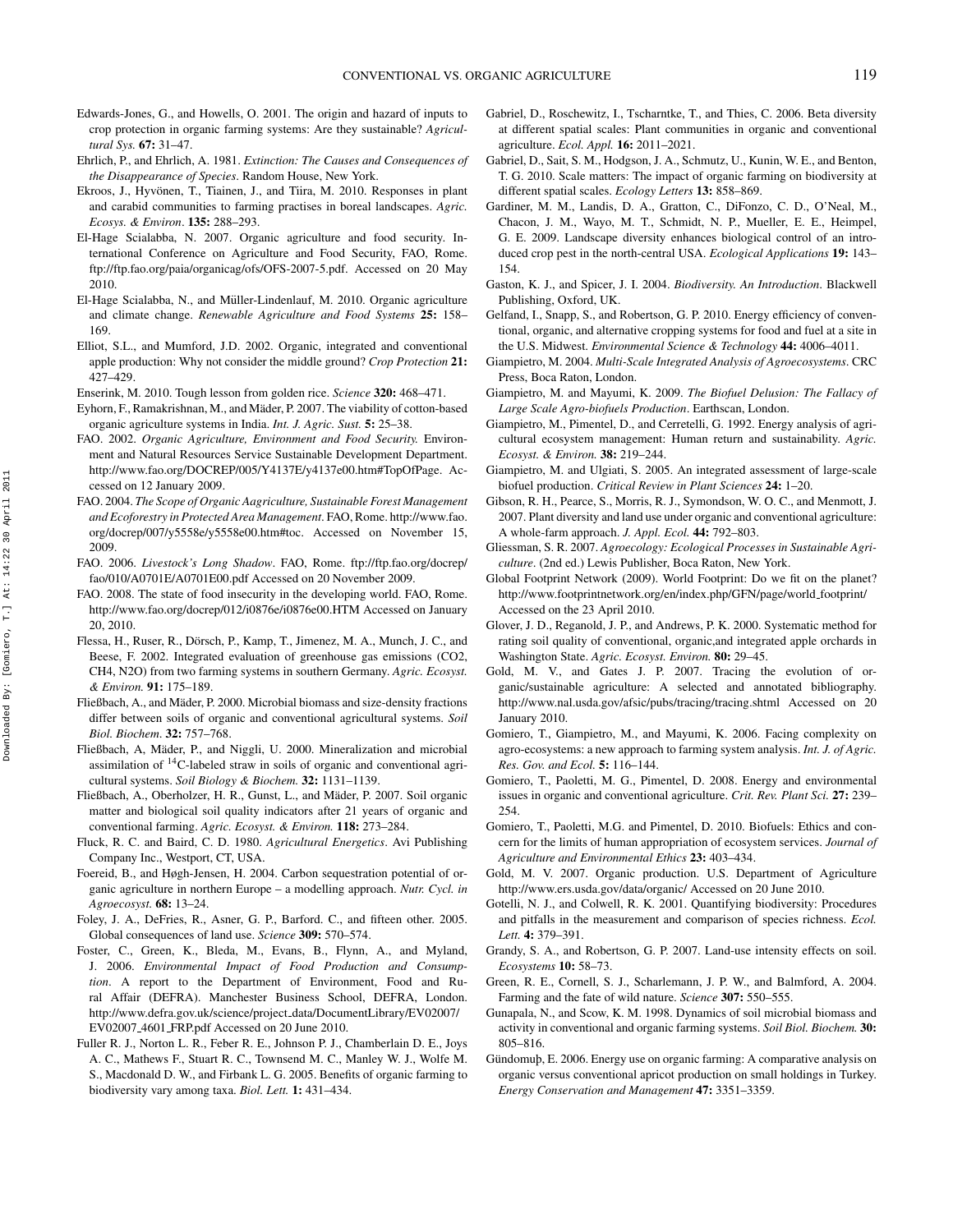- Edwards-Jones, G., and Howells, O. 2001. The origin and hazard of inputs to crop protection in organic farming systems: Are they sustainable? *Agricultural Sys.* **67:** 31–47.
- Ehrlich, P., and Ehrlich, A. 1981. *Extinction: The Causes and Consequences of the Disappearance of Species*. Random House, New York.
- Ekroos, J., Hyvönen, T., Tiainen, J., and Tiira, M. 2010. Responses in plant and carabid communities to farming practises in boreal landscapes. *Agric. Ecosys. & Environ*. **135:** 288–293.
- El-Hage Scialabba, N. 2007. Organic agriculture and food security. International Conference on Agriculture and Food Security, FAO, Rome. ftp://ftp.fao.org/paia/organicag/ofs/OFS-2007-5.pdf. Accessed on 20 May 2010.
- El-Hage Scialabba, N., and Müller-Lindenlauf, M. 2010. Organic agriculture and climate change. *Renewable Agriculture and Food Systems* **25:** 158– 169.
- Elliot, S.L., and Mumford, J.D. 2002. Organic, integrated and conventional apple production: Why not consider the middle ground? *Crop Protection* **21:** 427–429.
- Enserink, M. 2010. Tough lesson from golden rice. *Science* **320:** 468–471.
- Eyhorn, F., Ramakrishnan, M., and Mader, P. 2007. The viability of cotton-based ¨ organic agriculture systems in India. *Int. J. Agric. Sust.* **5:** 25–38.
- FAO. 2002. *Organic Agriculture, Environment and Food Security.* Environment and Natural Resources Service Sustainable Development Department. http://www.fao.org/DOCREP/005/Y4137E/y4137e00.htm#TopOfPage. Accessed on 12 January 2009.
- FAO. 2004. *The Scope of Organic Aagriculture, Sustainable Forest Management and Ecoforestry in Protected Area Management*. FAO, Rome. http://www.fao. org/docrep/007/y5558e/y5558e00.htm#toc. Accessed on November 15, 2009.
- FAO. 2006. *Livestock's Long Shadow*. FAO, Rome. ftp://ftp.fao.org/docrep/ fao/010/A0701E/A0701E00.pdf Accessed on 20 November 2009.
- FAO. 2008. The state of food insecurity in the developing world. FAO, Rome. http://www.fao.org/docrep/012/i0876e/i0876e00.HTM Accessed on January 20, 2010.
- Flessa, H., Ruser, R., Dörsch, P., Kamp, T., Jimenez, M. A., Munch, J. C., and Beese, F. 2002. Integrated evaluation of greenhouse gas emissions (CO2, CH4, N2O) from two farming systems in southern Germany. *Agric. Ecosyst. & Environ.* **91:** 175–189.
- Fließbach, A., and Mader, P. 2000. Microbial biomass and size-density fractions ¨ differ between soils of organic and conventional agricultural systems. *Soil Biol. Biochem*. **32:** 757–768.
- Fließbach, A, Mader, P., and Niggli, U. 2000. Mineralization and microbial ¨ assimilation of 14C-labeled straw in soils of organic and conventional agricultural systems. *Soil Biology & Biochem.* **32:** 1131–1139.
- Fließbach, A., Oberholzer, H. R., Gunst, L., and Mader, P. 2007. Soil organic ¨ matter and biological soil quality indicators after 21 years of organic and conventional farming. *Agric. Ecosyst. & Environ.* **118:** 273–284.
- Fluck, R. C. and Baird, C. D. 1980. *Agricultural Energetics*. Avi Publishing Company Inc., Westport, CT, USA.
- Foereid, B., and Høgh-Jensen, H. 2004. Carbon sequestration potential of organic agriculture in northern Europe – a modelling approach. *Nutr. Cycl. in Agroecosyst.* **68:** 13–24.
- Foley, J. A., DeFries, R., Asner, G. P., Barford. C., and fifteen other. 2005. Global consequences of land use. *Science* **309:** 570–574.
- Foster, C., Green, K., Bleda, M., Evans, B., Flynn, A., and Myland, J. 2006. *Environmental Impact of Food Production and Consumption*. A report to the Department of Environment, Food and Rural Affair (DEFRA). Manchester Business School, DEFRA, London. http://www.defra.gov.uk/science/project data/DocumentLibrary/EV02007/ EV02007 4601 FRP.pdf Accessed on 20 June 2010.
- Fuller R. J., Norton L. R., Feber R. E., Johnson P. J., Chamberlain D. E., Joys A. C., Mathews F., Stuart R. C., Townsend M. C., Manley W. J., Wolfe M. S., Macdonald D. W., and Firbank L. G. 2005. Benefits of organic farming to biodiversity vary among taxa. *Biol. Lett.* **1:** 431–434.
- Gabriel, D., Roschewitz, I., Tscharntke, T., and Thies, C. 2006. Beta diversity at different spatial scales: Plant communities in organic and conventional agriculture. *Ecol. Appl.* **16:** 2011–2021.
- Gabriel, D., Sait, S. M., Hodgson, J. A., Schmutz, U., Kunin, W. E., and Benton, T. G. 2010. Scale matters: The impact of organic farming on biodiversity at different spatial scales. *Ecology Letters* **13:** 858–869.
- Gardiner, M. M., Landis, D. A., Gratton, C., DiFonzo, C. D., O'Neal, M., Chacon, J. M., Wayo, M. T., Schmidt, N. P., Mueller, E. E., Heimpel, G. E. 2009. Landscape diversity enhances biological control of an introduced crop pest in the north-central USA. *Ecological Applications* **19:** 143– 154.
- Gaston, K. J., and Spicer, J. I. 2004. *Biodiversity. An Introduction*. Blackwell Publishing, Oxford, UK.
- Gelfand, I., Snapp, S., and Robertson, G. P. 2010. Energy efficiency of conventional, organic, and alternative cropping systems for food and fuel at a site in the U.S. Midwest. *Environmental Science & Technology* **44:** 4006–4011.
- Giampietro, M. 2004. *Multi-Scale Integrated Analysis of Agroecosystems*. CRC Press, Boca Raton, London.
- Giampietro, M. and Mayumi, K. 2009. *The Biofuel Delusion: The Fallacy of Large Scale Agro-biofuels Production*. Earthscan, London.
- Giampietro, M., Pimentel, D., and Cerretelli, G. 1992. Energy analysis of agricultural ecosystem management: Human return and sustainability. *Agric. Ecosyst. & Environ.* **38:** 219–244.
- Giampietro, M. and Ulgiati, S. 2005. An integrated assessment of large-scale biofuel production. *Critical Review in Plant Sciences* **24:** 1–20.
- Gibson, R. H., Pearce, S., Morris, R. J., Symondson, W. O. C., and Menmott, J. 2007. Plant diversity and land use under organic and conventional agriculture: A whole-farm approach. *J. Appl. Ecol.* **44:** 792–803.
- Gliessman, S. R. 2007. *Agroecology: Ecological Processes in Sustainable Agriculture*. (2nd ed.) Lewis Publisher, Boca Raton, New York.
- Global Footprint Network (2009). World Footprint: Do we fit on the planet? http://www.footprintnetwork.org/en/index.php/GFN/page/world footprint/ Accessed on the 23 April 2010.
- Glover, J. D., Reganold, J. P., and Andrews, P. K. 2000. Systematic method for rating soil quality of conventional, organic,and integrated apple orchards in Washington State. *Agric. Ecosyst. Environ.* **80:** 29–45.
- Gold, M. V., and Gates J. P. 2007. Tracing the evolution of organic/sustainable agriculture: A selected and annotated bibliography. http://www.nal.usda.gov/afsic/pubs/tracing/tracing.shtml Accessed on 20 January 2010.
- Gomiero, T., Giampietro, M., and Mayumi, K. 2006. Facing complexity on agro-ecosystems: a new approach to farming system analysis. *Int. J. of Agric. Res. Gov. and Ecol.* **5:** 116–144.
- Gomiero, T., Paoletti, M. G., Pimentel, D. 2008. Energy and environmental issues in organic and conventional agriculture. *Crit. Rev. Plant Sci.* **27:** 239– 254.
- Gomiero, T., Paoletti, M.G. and Pimentel, D. 2010. Biofuels: Ethics and concern for the limits of human appropriation of ecosystem services. *Journal of Agriculture and Environmental Ethics* **23:** 403–434.
- Gold, M. V. 2007. Organic production. U.S. Department of Agriculture http://www.ers.usda.gov/data/organic/ Accessed on 20 June 2010.
- Gotelli, N. J., and Colwell, R. K. 2001. Quantifying biodiversity: Procedures and pitfalls in the measurement and comparison of species richness. *Ecol. Lett.* **4:** 379–391.
- Grandy, S. A., and Robertson, G. P. 2007. Land-use intensity effects on soil. *Ecosystems* **10:** 58–73.
- Green, R. E., Cornell, S. J., Scharlemann, J. P. W., and Balmford, A. 2004. Farming and the fate of wild nature. *Science* **307:** 550–555.
- Gunapala, N., and Scow, K. M. 1998. Dynamics of soil microbial biomass and activity in conventional and organic farming systems. *Soil Biol. Biochem.* **30:** 805–816.
- Gündomuþ, E. 2006. Energy use on organic farming: A comparative analysis on organic versus conventional apricot production on small holdings in Turkey. *Energy Conservation and Management* **47:** 3351–3359.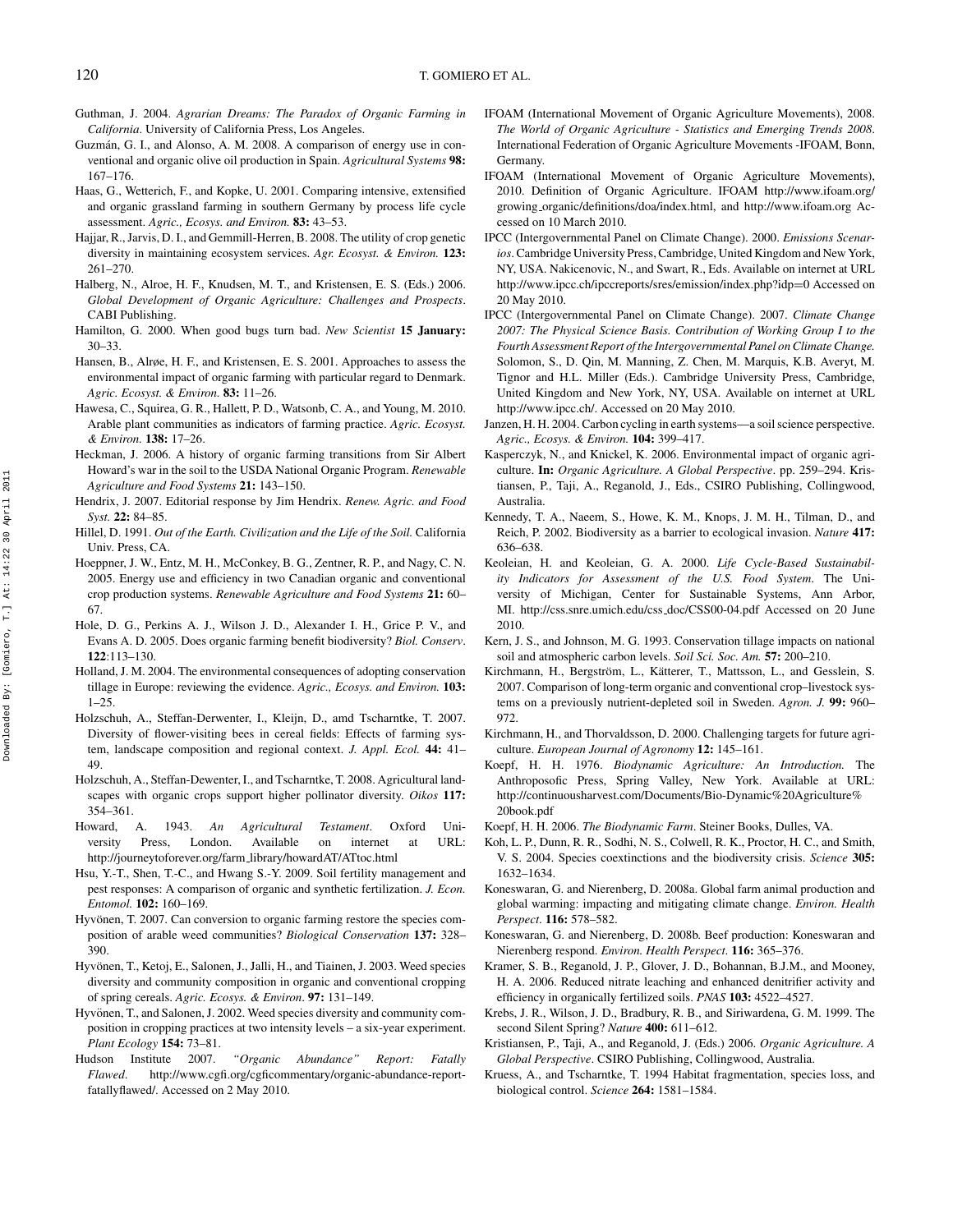- Guthman, J. 2004. *Agrarian Dreams: The Paradox of Organic Farming in California*. University of California Press, Los Angeles.
- Guzmán, G. I., and Alonso, A. M. 2008. A comparison of energy use in conventional and organic olive oil production in Spain. *Agricultural Systems* **98:** 167–176.
- Haas, G., Wetterich, F., and Kopke, U. 2001. Comparing intensive, extensified and organic grassland farming in southern Germany by process life cycle assessment. *Agric., Ecosys. and Environ.* **83:** 43–53.
- Hajjar, R., Jarvis, D. I., and Gemmill-Herren, B. 2008. The utility of crop genetic diversity in maintaining ecosystem services. *Agr. Ecosyst. & Environ.* **123:** 261–270.
- Halberg, N., Alroe, H. F., Knudsen, M. T., and Kristensen, E. S. (Eds.) 2006. *Global Development of Organic Agriculture: Challenges and Prospects*. CABI Publishing.
- Hamilton, G. 2000. When good bugs turn bad. *New Scientist* **15 January:** 30–33.
- Hansen, B., Alrøe, H. F., and Kristensen, E. S. 2001. Approaches to assess the environmental impact of organic farming with particular regard to Denmark. *Agric. Ecosyst. & Environ.* **83:** 11–26.
- Hawesa, C., Squirea, G. R., Hallett, P. D., Watsonb, C. A., and Young, M. 2010. Arable plant communities as indicators of farming practice. *Agric. Ecosyst. & Environ.* **138:** 17–26.
- Heckman, J. 2006. A history of organic farming transitions from Sir Albert Howard's war in the soil to the USDA National Organic Program. *Renewable Agriculture and Food Systems* **21:** 143–150.
- Hendrix, J. 2007. Editorial response by Jim Hendrix. *Renew. Agric. and Food Syst.* **22:** 84–85.
- Hillel, D. 1991. *Out of the Earth. Civilization and the Life of the Soil.* California Univ. Press, CA.
- Hoeppner, J. W., Entz, M. H., McConkey, B. G., Zentner, R. P., and Nagy, C. N. 2005. Energy use and efficiency in two Canadian organic and conventional crop production systems. *Renewable Agriculture and Food Systems* **21:** 60– 67.
- Hole, D. G., Perkins A. J., Wilson J. D., Alexander I. H., Grice P. V., and Evans A. D. 2005. Does organic farming benefit biodiversity? *Biol. Conserv*. **122**:113–130.
- Holland, J. M. 2004. The environmental consequences of adopting conservation tillage in Europe: reviewing the evidence. *Agric., Ecosys. and Environ.* **103:** 1–25.
- Holzschuh, A., Steffan-Derwenter, I., Kleijn, D., amd Tscharntke, T. 2007. Diversity of flower-visiting bees in cereal fields: Effects of farming system, landscape composition and regional context. *J. Appl. Ecol.* **44:** 41– 49.
- Holzschuh, A., Steffan-Dewenter, I., and Tscharntke, T. 2008. Agricultural landscapes with organic crops support higher pollinator diversity. *Oikos* **117:** 354–361.
- Howard, A. 1943. *An Agricultural Testament*. Oxford University Press, London. Available on internet at URL: http://journeytoforever.org/farm library/howardAT/ATtoc.html
- Hsu, Y.-T., Shen, T.-C., and Hwang S.-Y. 2009. Soil fertility management and pest responses: A comparison of organic and synthetic fertilization. *J. Econ. Entomol.* **102:** 160–169.
- Hyvönen, T. 2007. Can conversion to organic farming restore the species composition of arable weed communities? *Biological Conservation* **137:** 328– 390.
- Hyvönen, T., Ketoj, E., Salonen, J., Jalli, H., and Tiainen, J. 2003. Weed species diversity and community composition in organic and conventional cropping of spring cereals. *Agric. Ecosys. & Environ*. **97:** 131–149.
- Hyvönen, T., and Salonen, J. 2002. Weed species diversity and community composition in cropping practices at two intensity levels – a six-year experiment. *Plant Ecology* **154:** 73–81.
- Hudson Institute 2007. *"Organic Abundance" Report: Fatally Flawed*. http://www.cgfi.org/cgficommentary/organic-abundance-reportfatallyflawed/. Accessed on 2 May 2010.
- IFOAM (International Movement of Organic Agriculture Movements), 2008. *The World of Organic Agriculture - Statistics and Emerging Trends 2008*. International Federation of Organic Agriculture Movements -IFOAM, Bonn, Germany.
- IFOAM (International Movement of Organic Agriculture Movements), 2010. Definition of Organic Agriculture. IFOAM http://www.ifoam.org/ growing organic/definitions/doa/index.html, and http://www.ifoam.org Accessed on 10 March 2010.
- IPCC (Intergovernmental Panel on Climate Change). 2000. *Emissions Scenarios*. Cambridge University Press, Cambridge, United Kingdom and New York, NY, USA. Nakicenovic, N., and Swart, R., Eds. Available on internet at URL http://www.ipcc.ch/ipccreports/sres/emission/index.php?idp=0 Accessed on 20 May 2010.
- IPCC (Intergovernmental Panel on Climate Change). 2007. *Climate Change 2007: The Physical Science Basis. Contribution of Working Group I to the Fourth Assessment Report of the Intergovernmental Panel on Climate Change.* Solomon, S., D. Qin, M. Manning, Z. Chen, M. Marquis, K.B. Averyt, M. Tignor and H.L. Miller (Eds.). Cambridge University Press, Cambridge, United Kingdom and New York, NY, USA. Available on internet at URL http://www.ipcc.ch/. Accessed on 20 May 2010.
- Janzen, H. H. 2004. Carbon cycling in earth systems—a soil science perspective. *Agric., Ecosys. & Environ.* **104:** 399–417.
- Kasperczyk, N., and Knickel, K. 2006. Environmental impact of organic agriculture. **In:** *Organic Agriculture. A Global Perspective*. pp. 259–294. Kristiansen, P., Taji, A., Reganold, J., Eds., CSIRO Publishing, Collingwood, Australia.
- Kennedy, T. A., Naeem, S., Howe, K. M., Knops, J. M. H., Tilman, D., and Reich, P. 2002. Biodiversity as a barrier to ecological invasion. *Nature* **417:** 636–638.
- Keoleian, H. and Keoleian, G. A. 2000. *Life Cycle-Based Sustainability Indicators for Assessment of the U.S. Food System*. The University of Michigan, Center for Sustainable Systems, Ann Arbor, MI. http://css.snre.umich.edu/css doc/CSS00-04.pdf Accessed on 20 June 2010.
- Kern, J. S., and Johnson, M. G. 1993. Conservation tillage impacts on national soil and atmospheric carbon levels. *Soil Sci. Soc. Am.* **57:** 200–210.
- Kirchmann, H., Bergström, L., Kätterer, T., Mattsson, L., and Gesslein, S. 2007. Comparison of long-term organic and conventional crop–livestock systems on a previously nutrient-depleted soil in Sweden. *Agron. J.* **99:** 960– 972.
- Kirchmann, H., and Thorvaldsson, D. 2000. Challenging targets for future agriculture. *European Journal of Agronomy* **12:** 145–161.
- Koepf, H. H. 1976. *Biodynamic Agriculture: An Introduction.* The Anthroposofic Press, Spring Valley, New York. Available at URL: http://continuousharvest.com/Documents/Bio-Dynamic%20Agriculture% 20book.pdf
- Koepf, H. H. 2006. *The Biodynamic Farm*. Steiner Books, Dulles, VA.
- Koh, L. P., Dunn, R. R., Sodhi, N. S., Colwell, R. K., Proctor, H. C., and Smith, V. S. 2004. Species coextinctions and the biodiversity crisis. *Science* **305:** 1632–1634.
- Koneswaran, G. and Nierenberg, D. 2008a. Global farm animal production and global warming: impacting and mitigating climate change. *Environ. Health Perspect*. **116:** 578–582.
- Koneswaran, G. and Nierenberg, D. 2008b. Beef production: Koneswaran and Nierenberg respond. *Environ. Health Perspect*. **116:** 365–376.
- Kramer, S. B., Reganold, J. P., Glover, J. D., Bohannan, B.J.M., and Mooney, H. A. 2006. Reduced nitrate leaching and enhanced denitrifier activity and efficiency in organically fertilized soils. *PNAS* **103:** 4522–4527.
- Krebs, J. R., Wilson, J. D., Bradbury, R. B., and Siriwardena, G. M. 1999. The second Silent Spring? *Nature* **400:** 611–612.
- Kristiansen, P., Taji, A., and Reganold, J. (Eds.) 2006. *Organic Agriculture. A Global Perspective*. CSIRO Publishing, Collingwood, Australia.
- Kruess, A., and Tscharntke, T. 1994 Habitat fragmentation, species loss, and biological control. *Science* **264:** 1581–1584.

 $2011$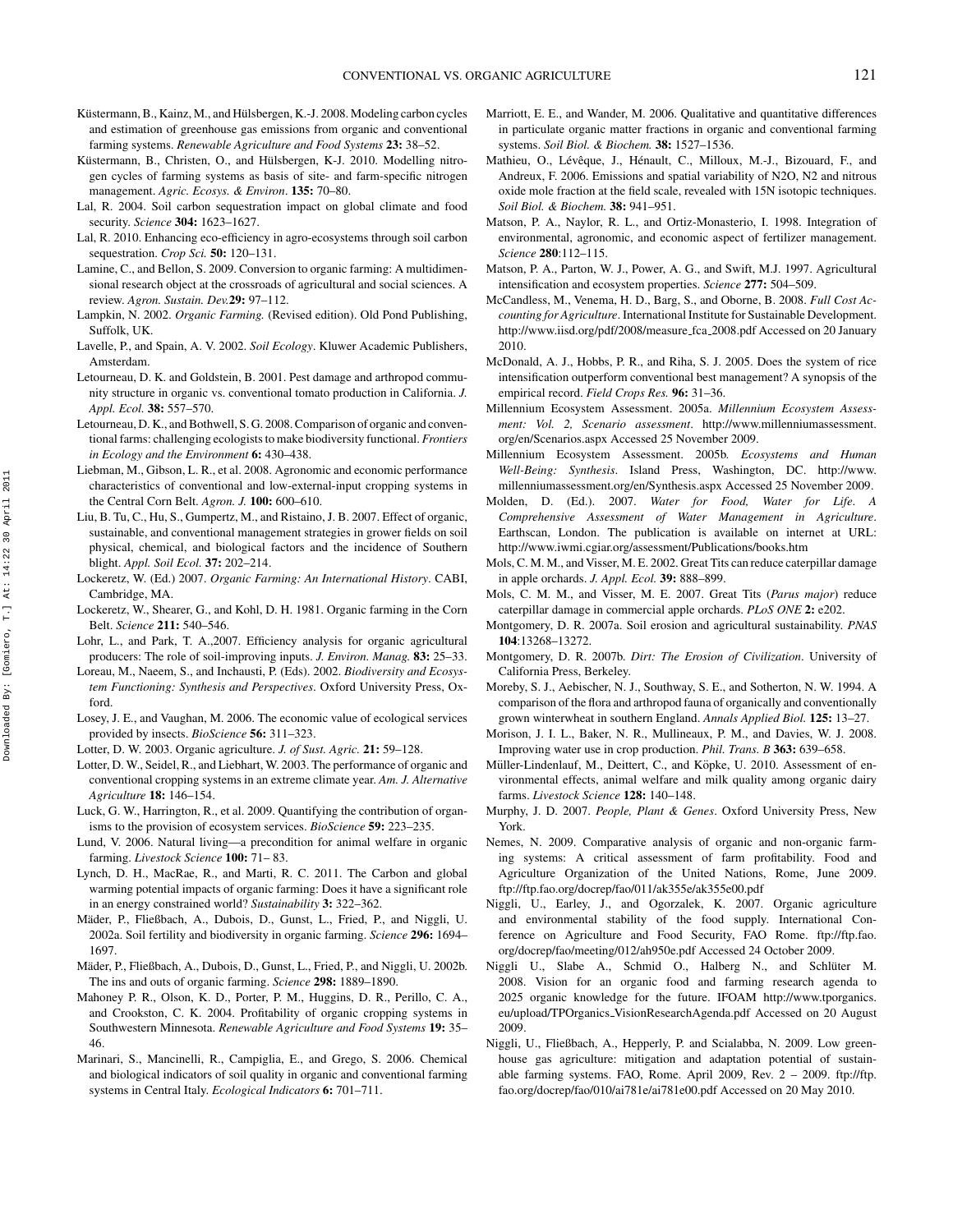- Küstermann, B., Kainz, M., and Hülsbergen, K.-J. 2008. Modeling carbon cycles and estimation of greenhouse gas emissions from organic and conventional farming systems. *Renewable Agriculture and Food Systems* **23:** 38–52.
- Küstermann, B., Christen, O., and Hülsbergen, K-J. 2010. Modelling nitrogen cycles of farming systems as basis of site- and farm-specific nitrogen management. *Agric. Ecosys. & Environ*. **135:** 70–80.
- Lal, R. 2004. Soil carbon sequestration impact on global climate and food security. *Science* **304:** 1623–1627.
- Lal, R. 2010. Enhancing eco-efficiency in agro-ecosystems through soil carbon sequestration. *Crop Sci.* **50:** 120–131.
- Lamine, C., and Bellon, S. 2009. Conversion to organic farming: A multidimensional research object at the crossroads of agricultural and social sciences. A review. *Agron. Sustain. Dev.***29:** 97–112.
- Lampkin, N. 2002. *Organic Farming.* (Revised edition). Old Pond Publishing, Suffolk, UK.
- Lavelle, P., and Spain, A. V. 2002. *Soil Ecology*. Kluwer Academic Publishers, Amsterdam.
- Letourneau, D. K. and Goldstein, B. 2001. Pest damage and arthropod community structure in organic vs. conventional tomato production in California. *J. Appl. Ecol.* **38:** 557–570.
- Letourneau, D. K., and Bothwell, S. G. 2008. Comparison of organic and conventional farms: challenging ecologists to make biodiversity functional. *Frontiers in Ecology and the Environment* **6:** 430–438.
- Liebman, M., Gibson, L. R., et al. 2008. Agronomic and economic performance characteristics of conventional and low-external-input cropping systems in the Central Corn Belt. *Agron. J.* **100:** 600–610.
- Liu, B. Tu, C., Hu, S., Gumpertz, M., and Ristaino, J. B. 2007. Effect of organic, sustainable, and conventional management strategies in grower fields on soil physical, chemical, and biological factors and the incidence of Southern blight. *Appl. Soil Ecol.* **37:** 202–214.
- Lockeretz, W. (Ed.) 2007. *Organic Farming: An International History*. CABI, Cambridge, MA.
- Lockeretz, W., Shearer, G., and Kohl, D. H. 1981. Organic farming in the Corn Belt. *Science* **211:** 540–546.
- Lohr, L., and Park, T. A.,2007. Efficiency analysis for organic agricultural producers: The role of soil-improving inputs. *J. Environ. Manag.* **83:** 25–33.
- Loreau, M., Naeem, S., and Inchausti, P. (Eds). 2002. *Biodiversity and Ecosystem Functioning: Synthesis and Perspectives*. Oxford University Press, Oxford.
- Losey, J. E., and Vaughan, M. 2006. The economic value of ecological services provided by insects. *BioScience* **56:** 311–323.
- Lotter, D. W. 2003. Organic agriculture. *J. of Sust. Agric.* **21:** 59–128.
- Lotter, D. W., Seidel, R., and Liebhart, W. 2003. The performance of organic and conventional cropping systems in an extreme climate year. *Am. J. Alternative Agriculture* **18:** 146–154.
- Luck, G. W., Harrington, R., et al. 2009. Quantifying the contribution of organisms to the provision of ecosystem services. *BioScience* **59:** 223–235.
- Lund, V. 2006. Natural living—a precondition for animal welfare in organic farming. *Livestock Science* **100:** 71– 83.
- Lynch, D. H., MacRae, R., and Marti, R. C. 2011. The Carbon and global warming potential impacts of organic farming: Does it have a significant role in an energy constrained world? *Sustainability* **3:** 322–362.
- Mäder, P., Fließbach, A., Dubois, D., Gunst, L., Fried, P., and Niggli, U. 2002a. Soil fertility and biodiversity in organic farming. *Science* **296:** 1694– 1697.
- Mäder, P., Fließbach, A., Dubois, D., Gunst, L., Fried, P., and Niggli, U. 2002b. The ins and outs of organic farming. *Science* **298:** 1889–1890.
- Mahoney P. R., Olson, K. D., Porter, P. M., Huggins, D. R., Perillo, C. A., and Crookston, C. K. 2004. Profitability of organic cropping systems in Southwestern Minnesota. *Renewable Agriculture and Food Systems* **19:** 35– 46.
- Marinari, S., Mancinelli, R., Campiglia, E., and Grego, S. 2006. Chemical and biological indicators of soil quality in organic and conventional farming systems in Central Italy. *Ecological Indicators* **6:** 701–711.
- Marriott, E. E., and Wander, M. 2006. Qualitative and quantitative differences in particulate organic matter fractions in organic and conventional farming systems. *Soil Biol. & Biochem.* **38:** 1527–1536.
- Mathieu, O., Lévêque, J., Hénault, C., Milloux, M.-J., Bizouard, F., and Andreux, F. 2006. Emissions and spatial variability of N2O, N2 and nitrous oxide mole fraction at the field scale, revealed with 15N isotopic techniques. *Soil Biol. & Biochem.* **38:** 941–951.
- Matson, P. A., Naylor, R. L., and Ortiz-Monasterio, I. 1998. Integration of environmental, agronomic, and economic aspect of fertilizer management. *Science* **280**:112–115.
- Matson, P. A., Parton, W. J., Power, A. G., and Swift, M.J. 1997. Agricultural intensification and ecosystem properties. *Science* **277:** 504–509.
- McCandless, M., Venema, H. D., Barg, S., and Oborne, B. 2008. *Full Cost Accounting for Agriculture*. International Institute for Sustainable Development. http://www.iisd.org/pdf/2008/measure fca 2008.pdf Accessed on 20 January 2010.
- McDonald, A. J., Hobbs, P. R., and Riha, S. J. 2005. Does the system of rice intensification outperform conventional best management? A synopsis of the empirical record. *Field Crops Res.* **96:** 31–36.
- Millennium Ecosystem Assessment. 2005a. *Millennium Ecosystem Assessment: Vol. 2, Scenario assessment*. http://www.millenniumassessment. org/en/Scenarios.aspx Accessed 25 November 2009.
- Millennium Ecosystem Assessment. 2005b. *Ecosystems and Human Well-Being: Synthesis*. Island Press, Washington, DC. http://www. millenniumassessment.org/en/Synthesis.aspx Accessed 25 November 2009.
- Molden, D. (Ed.). 2007. *Water for Food, Water for Life*. *A Comprehensive Assessment of Water Management in Agriculture*. Earthscan, London. The publication is available on internet at URL: http://www.iwmi.cgiar.org/assessment/Publications/books.htm
- Mols, C. M. M., and Visser, M. E. 2002. Great Tits can reduce caterpillar damage in apple orchards. *J. Appl. Ecol.* **39:** 888–899.
- Mols, C. M. M., and Visser, M. E. 2007. Great Tits (*Parus major*) reduce caterpillar damage in commercial apple orchards. *PLoS ONE* **2:** e202.
- Montgomery, D. R. 2007a. Soil erosion and agricultural sustainability. *PNAS* **104**:13268–13272.
- Montgomery, D. R. 2007b. *Dirt: The Erosion of Civilization*. University of California Press, Berkeley.
- Moreby, S. J., Aebischer, N. J., Southway, S. E., and Sotherton, N. W. 1994. A comparison of the flora and arthropod fauna of organically and conventionally grown winterwheat in southern England. *Annals Applied Biol.* **125:** 13–27.
- Morison, J. I. L., Baker, N. R., Mullineaux, P. M., and Davies, W. J. 2008. Improving water use in crop production. *Phil. Trans. B* **363:** 639–658.
- Müller-Lindenlauf, M., Deittert, C., and Köpke, U. 2010. Assessment of environmental effects, animal welfare and milk quality among organic dairy farms. *Livestock Science* **128:** 140–148.
- Murphy, J. D. 2007. *People, Plant & Genes*. Oxford University Press, New York.
- Nemes, N. 2009. Comparative analysis of organic and non-organic farming systems: A critical assessment of farm profitability. Food and Agriculture Organization of the United Nations, Rome, June 2009. ftp://ftp.fao.org/docrep/fao/011/ak355e/ak355e00.pdf
- Niggli, U., Earley, J., and Ogorzalek, K. 2007. Organic agriculture and environmental stability of the food supply. International Conference on Agriculture and Food Security, FAO Rome. ftp://ftp.fao. org/docrep/fao/meeting/012/ah950e.pdf Accessed 24 October 2009.
- Niggli U., Slabe A., Schmid O., Halberg N., and Schlüter M. 2008. Vision for an organic food and farming research agenda to 2025 organic knowledge for the future. IFOAM http://www.tporganics. eu/upload/TPOrganics VisionResearchAgenda.pdf Accessed on 20 August 2009.
- Niggli, U., Fließbach, A., Hepperly, P. and Scialabba, N. 2009. Low greenhouse gas agriculture: mitigation and adaptation potential of sustainable farming systems. FAO, Rome. April 2009, Rev. 2 – 2009. ftp://ftp. fao.org/docrep/fao/010/ai781e/ai781e00.pdf Accessed on 20 May 2010.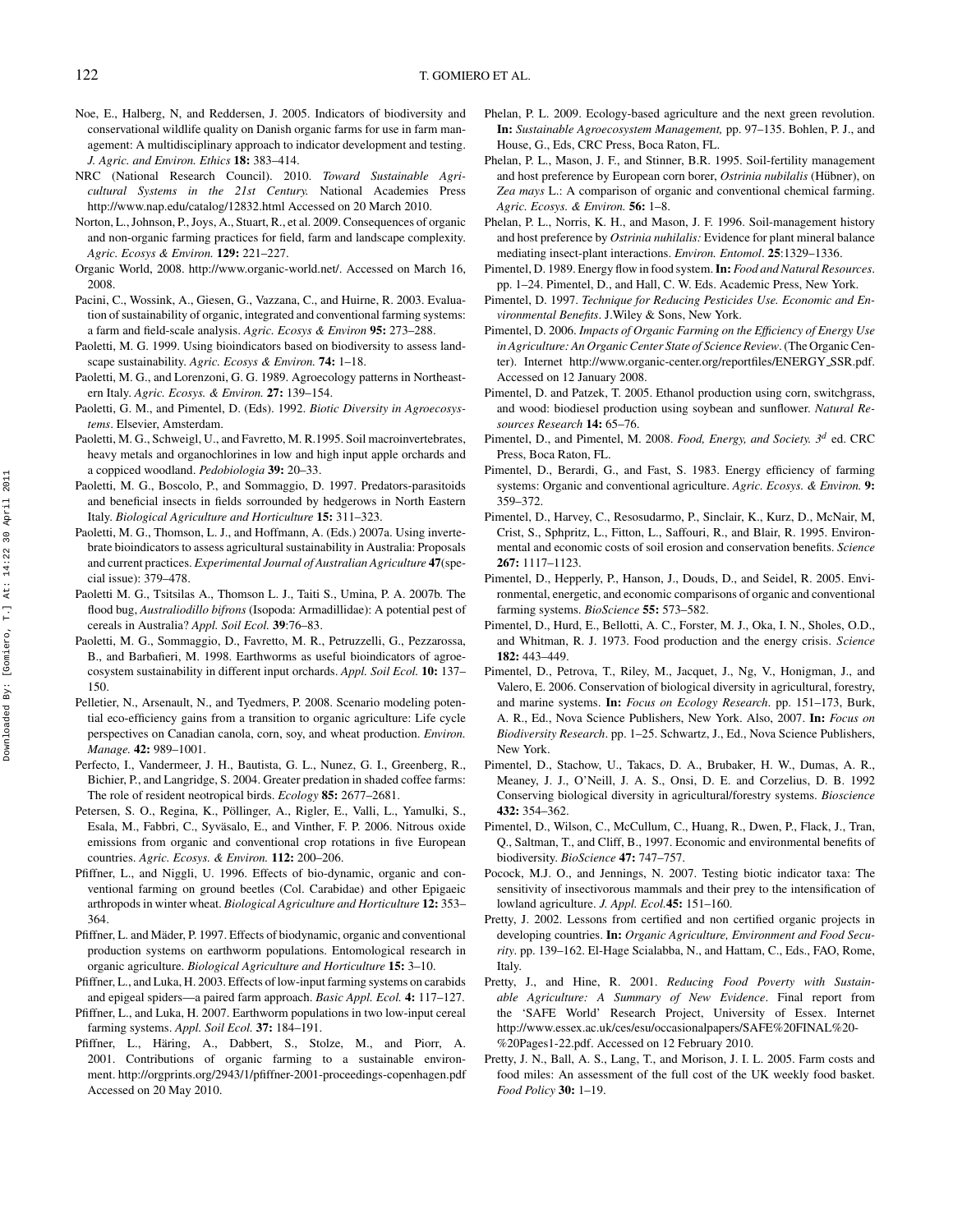- Noe, E., Halberg, N, and Reddersen, J. 2005. Indicators of biodiversity and conservational wildlife quality on Danish organic farms for use in farm management: A multidisciplinary approach to indicator development and testing. *J. Agric. and Environ. Ethics* **18:** 383–414.
- NRC (National Research Council). 2010. *Toward Sustainable Agricultural Systems in the 21st Century.* National Academies Press http://www.nap.edu/catalog/12832.html Accessed on 20 March 2010.
- Norton, L., Johnson, P., Joys, A., Stuart, R., et al. 2009. Consequences of organic and non-organic farming practices for field, farm and landscape complexity. *Agric. Ecosys & Environ.* **129:** 221–227.
- Organic World, 2008. http://www.organic-world.net/. Accessed on March 16, 2008.
- Pacini, C., Wossink, A., Giesen, G., Vazzana, C., and Huirne, R. 2003. Evaluation of sustainability of organic, integrated and conventional farming systems: a farm and field-scale analysis. *Agric. Ecosys & Environ* **95:** 273–288.
- Paoletti, M. G. 1999. Using bioindicators based on biodiversity to assess landscape sustainability. *Agric. Ecosys & Environ.* **74:** 1–18.
- Paoletti, M. G., and Lorenzoni, G. G. 1989. Agroecology patterns in Northeastern Italy. *Agric. Ecosys. & Environ.* **27:** 139–154.
- Paoletti, G. M., and Pimentel, D. (Eds). 1992. *Biotic Diversity in Agroecosystems*. Elsevier, Amsterdam.
- Paoletti, M. G., Schweigl, U., and Favretto, M. R.1995. Soil macroinvertebrates, heavy metals and organochlorines in low and high input apple orchards and a coppiced woodland. *Pedobiologia* **39:** 20–33.
- Paoletti, M. G., Boscolo, P., and Sommaggio, D. 1997. Predators-parasitoids and beneficial insects in fields sorrounded by hedgerows in North Eastern Italy. *Biological Agriculture and Horticulture* **15:** 311–323.
- Paoletti, M. G., Thomson, L. J., and Hoffmann, A. (Eds.) 2007a. Using invertebrate bioindicators to assess agricultural sustainability in Australia: Proposals and current practices. *Experimental Journal of Australian Agriculture* **47**(special issue): 379–478.
- Paoletti M. G., Tsitsilas A., Thomson L. J., Taiti S., Umina, P. A. 2007b. The flood bug, *Australiodillo bifrons* (Isopoda: Armadillidae): A potential pest of cereals in Australia? *Appl. Soil Ecol.* **39**:76–83.
- Paoletti, M. G., Sommaggio, D., Favretto, M. R., Petruzzelli, G., Pezzarossa, B., and Barbafieri, M. 1998. Earthworms as useful bioindicators of agroecosystem sustainability in different input orchards. *Appl. Soil Ecol.* **10:** 137– 150.
- Pelletier, N., Arsenault, N., and Tyedmers, P. 2008. Scenario modeling potential eco-efficiency gains from a transition to organic agriculture: Life cycle perspectives on Canadian canola, corn, soy, and wheat production. *Environ. Manage.* **42:** 989–1001.
- Perfecto, I., Vandermeer, J. H., Bautista, G. L., Nunez, G. I., Greenberg, R., Bichier, P., and Langridge, S. 2004. Greater predation in shaded coffee farms: The role of resident neotropical birds. *Ecology* **85:** 2677–2681.
- Petersen, S. O., Regina, K., Pöllinger, A., Rigler, E., Valli, L., Yamulki, S., Esala, M., Fabbri, C., Syväsalo, E., and Vinther, F. P. 2006. Nitrous oxide emissions from organic and conventional crop rotations in five European countries. *Agric. Ecosys. & Environ.* **112:** 200–206.
- Pfiffner, L., and Niggli, U. 1996. Effects of bio-dynamic, organic and conventional farming on ground beetles (Col. Carabidae) and other Epigaeic arthropods in winter wheat. *Biological Agriculture and Horticulture* **12:** 353– 364.
- Pfiffner, L. and Mäder, P. 1997. Effects of biodynamic, organic and conventional production systems on earthworm populations. Entomological research in organic agriculture. *Biological Agriculture and Horticulture* **15:** 3–10.
- Pfiffner, L., and Luka, H. 2003. Effects of low-input farming systems on carabids and epigeal spiders—a paired farm approach. *Basic Appl. Ecol.* **4:** 117–127.
- Pfiffner, L., and Luka, H. 2007. Earthworm populations in two low-input cereal farming systems. *Appl. Soil Ecol.* **37:** 184–191.
- Pfiffner, L., Häring, A., Dabbert, S., Stolze, M., and Piorr, A. 2001. Contributions of organic farming to a sustainable environment. http://orgprints.org/2943/1/pfiffner-2001-proceedings-copenhagen.pdf Accessed on 20 May 2010.
- Phelan, P. L. 2009. Ecology-based agriculture and the next green revolution. **In:** *Sustainable Agroecosystem Management,* pp. 97–135. Bohlen, P. J., and House, G., Eds, CRC Press, Boca Raton, FL.
- Phelan, P. L., Mason, J. F., and Stinner, B.R. 1995. Soil-fertility management and host preference by European corn borer, *Ostrinia nubilalis* (Hübner), on *Zea mays* L.: A comparison of organic and conventional chemical farming. *Agric. Ecosys. & Environ.* **56:** 1–8.
- Phelan, P. L., Norris, K. H., and Mason, J. F. 1996. Soil-management history and host preference by *Ostrinia nuhilalis:* Evidence for plant mineral balance mediating insect-plant interactions. *Environ. Entomol*. **25**:1329–1336.
- Pimentel, D. 1989. Energy flow in food system.**In:** *Food and Natural Resources*. pp. 1–24. Pimentel, D., and Hall, C. W. Eds. Academic Press, New York.
- Pimentel, D. 1997. *Technique for Reducing Pesticides Use. Economic and Environmental Benefits*. J.Wiley & Sons, New York.
- Pimentel, D. 2006. *Impacts of Organic Farming on the Efficiency of Energy Use in Agriculture: An Organic Center State of Science Review*. (The Organic Center). Internet http://www.organic-center.org/reportfiles/ENERGY\_SSR.pdf. Accessed on 12 January 2008.
- Pimentel, D. and Patzek, T. 2005. Ethanol production using corn, switchgrass, and wood: biodiesel production using soybean and sunflower. *Natural Resources Research* **14:** 65–76.
- Pimentel, D., and Pimentel, M. 2008. *Food, Energy, and Society. 3<sup>d</sup>* ed. CRC Press, Boca Raton, FL.
- Pimentel, D., Berardi, G., and Fast, S. 1983. Energy efficiency of farming systems: Organic and conventional agriculture. *Agric. Ecosys. & Environ.* **9:** 359–372.
- Pimentel, D., Harvey, C., Resosudarmo, P., Sinclair, K., Kurz, D., McNair, M, Crist, S., Sphpritz, L., Fitton, L., Saffouri, R., and Blair, R. 1995. Environmental and economic costs of soil erosion and conservation benefits. *Science* **267:** 1117–1123.
- Pimentel, D., Hepperly, P., Hanson, J., Douds, D., and Seidel, R. 2005. Environmental, energetic, and economic comparisons of organic and conventional farming systems. *BioScience* **55:** 573–582.
- Pimentel, D., Hurd, E., Bellotti, A. C., Forster, M. J., Oka, I. N., Sholes, O.D., and Whitman, R. J. 1973. Food production and the energy crisis. *Science* **182:** 443–449.
- Pimentel, D., Petrova, T., Riley, M., Jacquet, J., Ng, V., Honigman, J., and Valero, E. 2006. Conservation of biological diversity in agricultural, forestry, and marine systems. **In:** *Focus on Ecology Research*. pp. 151–173, Burk, A. R., Ed., Nova Science Publishers, New York. Also, 2007. **In:** *Focus on Biodiversity Research*. pp. 1–25. Schwartz, J., Ed., Nova Science Publishers, New York.
- Pimentel, D., Stachow, U., Takacs, D. A., Brubaker, H. W., Dumas, A. R., Meaney, J. J., O'Neill, J. A. S., Onsi, D. E. and Corzelius, D. B. 1992 Conserving biological diversity in agricultural/forestry systems. *Bioscience* **432:** 354–362.
- Pimentel, D., Wilson, C., McCullum, C., Huang, R., Dwen, P., Flack, J., Tran, Q., Saltman, T., and Cliff, B., 1997. Economic and environmental benefits of biodiversity. *BioScience* **47:** 747–757.
- Pocock, M.J. O., and Jennings, N. 2007. Testing biotic indicator taxa: The sensitivity of insectivorous mammals and their prey to the intensification of lowland agriculture. *J. Appl. Ecol.***45:** 151–160.
- Pretty, J. 2002. Lessons from certified and non certified organic projects in developing countries. **In:** *Organic Agriculture, Environment and Food Security*. pp. 139–162. El-Hage Scialabba, N., and Hattam, C., Eds., FAO, Rome, Italy.
- Pretty, J., and Hine, R. 2001. *Reducing Food Poverty with Sustainable Agriculture: A Summary of New Evidence*. Final report from the 'SAFE World' Research Project, University of Essex. Internet http://www.essex.ac.uk/ces/esu/occasionalpapers/SAFE%20FINAL%20- %20Pages1-22.pdf. Accessed on 12 February 2010.
- Pretty, J. N., Ball, A. S., Lang, T., and Morison, J. I. L. 2005. Farm costs and food miles: An assessment of the full cost of the UK weekly food basket. *Food Policy* **30:** 1–19.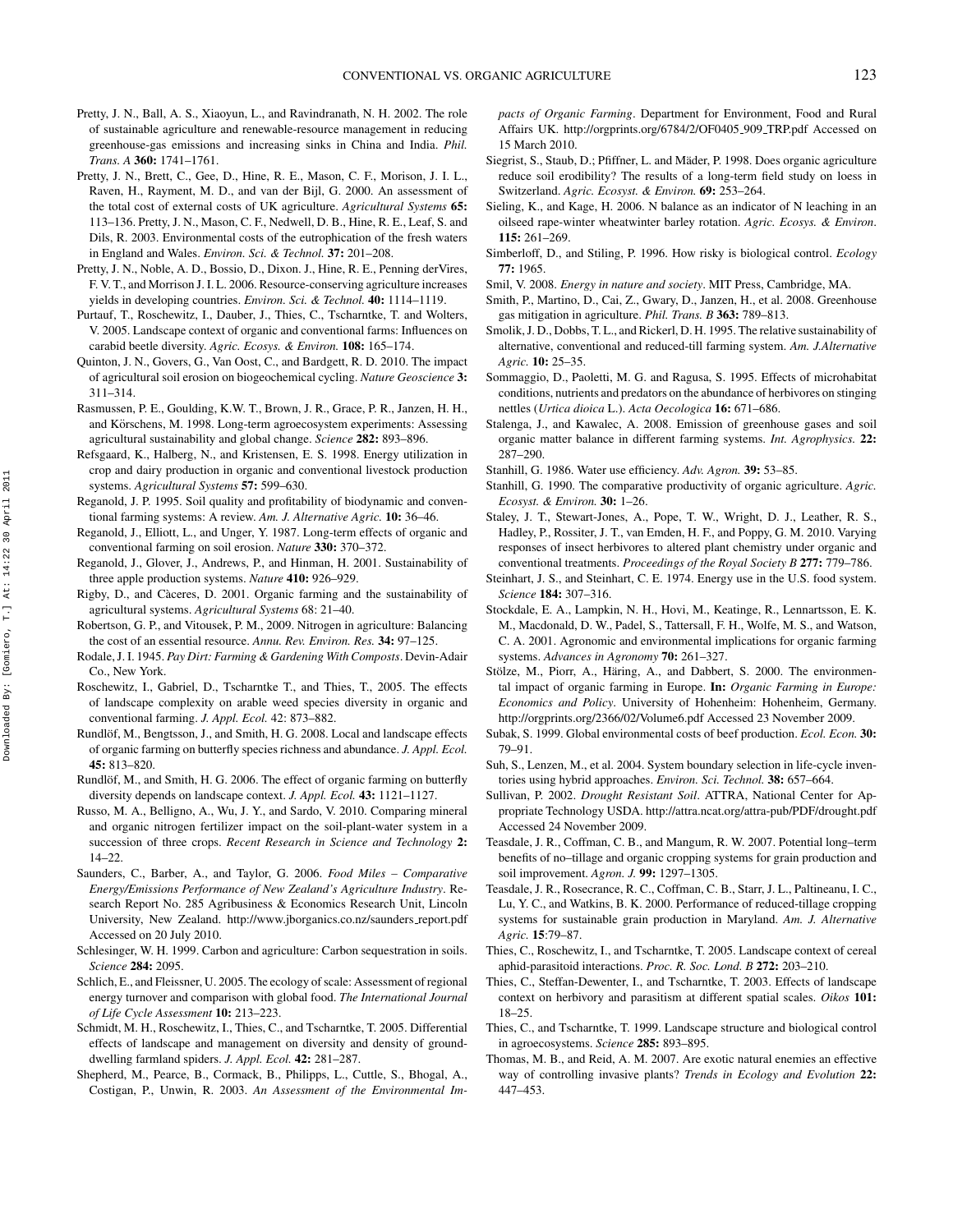- Pretty, J. N., Ball, A. S., Xiaoyun, L., and Ravindranath, N. H. 2002. The role of sustainable agriculture and renewable-resource management in reducing greenhouse-gas emissions and increasing sinks in China and India. *Phil. Trans. A* **360:** 1741–1761.
- Pretty, J. N., Brett, C., Gee, D., Hine, R. E., Mason, C. F., Morison, J. I. L., Raven, H., Rayment, M. D., and van der Bijl, G. 2000. An assessment of the total cost of external costs of UK agriculture. *Agricultural Systems* **65:** 113–136. Pretty, J. N., Mason, C. F., Nedwell, D. B., Hine, R. E., Leaf, S. and Dils, R. 2003. Environmental costs of the eutrophication of the fresh waters in England and Wales. *Environ. Sci. & Technol.* **37:** 201–208.
- Pretty, J. N., Noble, A. D., Bossio, D., Dixon. J., Hine, R. E., Penning derVires, F. V. T., and Morrison J. I. L. 2006. Resource-conserving agriculture increases yields in developing countries. *Environ. Sci. & Technol.* **40:** 1114–1119.
- Purtauf, T., Roschewitz, I., Dauber, J., Thies, C., Tscharntke, T. and Wolters, V. 2005. Landscape context of organic and conventional farms: Influences on carabid beetle diversity. *Agric. Ecosys. & Environ.* **108:** 165–174.
- Quinton, J. N., Govers, G., Van Oost, C., and Bardgett, R. D. 2010. The impact of agricultural soil erosion on biogeochemical cycling. *Nature Geoscience* **3:** 311–314.
- Rasmussen, P. E., Goulding, K.W. T., Brown, J. R., Grace, P. R., Janzen, H. H., and Körschens, M. 1998. Long-term agroecosystem experiments: Assessing agricultural sustainability and global change. *Science* **282:** 893–896.
- Refsgaard, K., Halberg, N., and Kristensen, E. S. 1998. Energy utilization in crop and dairy production in organic and conventional livestock production systems. *Agricultural Systems* **57:** 599–630.
- Reganold, J. P. 1995. Soil quality and profitability of biodynamic and conventional farming systems: A review. *Am. J. Alternative Agric.* **10:** 36–46.
- Reganold, J., Elliott, L., and Unger, Y. 1987. Long-term effects of organic and conventional farming on soil erosion. *Nature* **330:** 370–372.
- Reganold, J., Glover, J., Andrews, P., and Hinman, H. 2001. Sustainability of three apple production systems. *Nature* **410:** 926–929.
- Rigby, D., and Càceres, D. 2001. Organic farming and the sustainability of agricultural systems. *Agricultural Systems* 68: 21–40.
- Robertson, G. P., and Vitousek, P. M., 2009. Nitrogen in agriculture: Balancing the cost of an essential resource. *Annu. Rev. Environ. Res.* **34:** 97–125.
- Rodale, J. I. 1945. *Pay Dirt: Farming & Gardening With Composts*. Devin-Adair Co., New York.
- Roschewitz, I., Gabriel, D., Tscharntke T., and Thies, T., 2005. The effects of landscape complexity on arable weed species diversity in organic and conventional farming. *J. Appl. Ecol.* 42: 873–882.
- Rundlöf, M., Bengtsson, J., and Smith, H. G. 2008. Local and landscape effects of organic farming on butterfly species richness and abundance. *J. Appl. Ecol.* **45:** 813–820.
- Rundlöf, M., and Smith, H. G. 2006. The effect of organic farming on butterfly diversity depends on landscape context. *J. Appl. Ecol.* **43:** 1121–1127.
- Russo, M. A., Belligno, A., Wu, J. Y., and Sardo, V. 2010. Comparing mineral and organic nitrogen fertilizer impact on the soil-plant-water system in a succession of three crops. *Recent Research in Science and Technology* **2:** 14–22.
- Saunders, C., Barber, A., and Taylor, G. 2006. *Food Miles Comparative Energy/Emissions Performance of New Zealand's Agriculture Industry*. Research Report No. 285 Agribusiness & Economics Research Unit, Lincoln University, New Zealand. http://www.jborganics.co.nz/saunders\_report.pdf Accessed on 20 July 2010.
- Schlesinger, W. H. 1999. Carbon and agriculture: Carbon sequestration in soils. *Science* **284:** 2095.
- Schlich, E., and Fleissner, U. 2005. The ecology of scale: Assessment of regional energy turnover and comparison with global food. *The International Journal of Life Cycle Assessment* **10:** 213–223.
- Schmidt, M. H., Roschewitz, I., Thies, C., and Tscharntke, T. 2005. Differential effects of landscape and management on diversity and density of grounddwelling farmland spiders. *J. Appl. Ecol.* **42:** 281–287.
- Shepherd, M., Pearce, B., Cormack, B., Philipps, L., Cuttle, S., Bhogal, A., Costigan, P., Unwin, R. 2003. *An Assessment of the Environmental Im-*

*pacts of Organic Farming*. Department for Environment, Food and Rural Affairs UK. http://orgprints.org/6784/2/OF0405\_909\_TRP.pdf Accessed on 15 March 2010.

- Siegrist, S., Staub, D.; Pfiffner, L. and Mäder, P. 1998. Does organic agriculture reduce soil erodibility? The results of a long-term field study on loess in Switzerland. *Agric. Ecosyst. & Environ.* **69:** 253–264.
- Sieling, K., and Kage, H. 2006. N balance as an indicator of N leaching in an oilseed rape-winter wheatwinter barley rotation. *Agric. Ecosys. & Environ*. **115:** 261–269.
- Simberloff, D., and Stiling, P. 1996. How risky is biological control. *Ecology* **77:** 1965.
- Smil, V. 2008. *Energy in nature and society*. MIT Press, Cambridge, MA.
- Smith, P., Martino, D., Cai, Z., Gwary, D., Janzen, H., et al. 2008. Greenhouse gas mitigation in agriculture. *Phil. Trans. B* **363:** 789–813.
- Smolik, J. D., Dobbs, T. L., and Rickerl, D. H. 1995. The relative sustainability of alternative, conventional and reduced-till farming system. *Am. J.Alternative Agric.* **10:** 25–35.
- Sommaggio, D., Paoletti, M. G. and Ragusa, S. 1995. Effects of microhabitat conditions, nutrients and predators on the abundance of herbivores on stinging nettles (*Urtica dioica* L.). *Acta Oecologica* **16:** 671–686.
- Stalenga, J., and Kawalec, A. 2008. Emission of greenhouse gases and soil organic matter balance in different farming systems. *Int. Agrophysics.* **22:** 287–290.
- Stanhill, G. 1986. Water use efficiency. *Adv. Agron.* **39:** 53–85.
- Stanhill, G. 1990. The comparative productivity of organic agriculture. *Agric. Ecosyst. & Environ.* **30:** 1–26.
- Staley, J. T., Stewart-Jones, A., Pope, T. W., Wright, D. J., Leather, R. S., Hadley, P., Rossiter, J. T., van Emden, H. F., and Poppy, G. M. 2010. Varying responses of insect herbivores to altered plant chemistry under organic and conventional treatments. *Proceedings of the Royal Society B* **277:** 779–786.
- Steinhart, J. S., and Steinhart, C. E. 1974. Energy use in the U.S. food system. *Science* **184:** 307–316.
- Stockdale, E. A., Lampkin, N. H., Hovi, M., Keatinge, R., Lennartsson, E. K. M., Macdonald, D. W., Padel, S., Tattersall, F. H., Wolfe, M. S., and Watson, C. A. 2001. Agronomic and environmental implications for organic farming systems. *Advances in Agronomy* **70:** 261–327.
- Stölze, M., Piorr, A., Häring, A., and Dabbert, S. 2000. The environmental impact of organic farming in Europe. **In:** *Organic Farming in Europe: Economics and Policy*. University of Hohenheim: Hohenheim, Germany. http://orgprints.org/2366/02/Volume6.pdf Accessed 23 November 2009.
- Subak, S. 1999. Global environmental costs of beef production. *Ecol. Econ.* **30:** 79–91.
- Suh, S., Lenzen, M., et al. 2004. System boundary selection in life-cycle inventories using hybrid approaches. *Environ. Sci. Technol.* **38:** 657–664.
- Sullivan, P. 2002. *Drought Resistant Soil*. ATTRA, National Center for Appropriate Technology USDA. http://attra.ncat.org/attra-pub/PDF/drought.pdf Accessed 24 November 2009.
- Teasdale, J. R., Coffman, C. B., and Mangum, R. W. 2007. Potential long–term benefits of no–tillage and organic cropping systems for grain production and soil improvement. *Agron. J.* **99:** 1297–1305.
- Teasdale, J. R., Rosecrance, R. C., Coffman, C. B., Starr, J. L., Paltineanu, I. C., Lu, Y. C., and Watkins, B. K. 2000. Performance of reduced-tillage cropping systems for sustainable grain production in Maryland. *Am. J. Alternative Agric.* **15**:79–87.
- Thies, C., Roschewitz, I., and Tscharntke, T. 2005. Landscape context of cereal aphid-parasitoid interactions. *Proc. R. Soc. Lond. B* **272:** 203–210.
- Thies, C., Steffan-Dewenter, I., and Tscharntke, T. 2003. Effects of landscape context on herbivory and parasitism at different spatial scales. *Oikos* **101:** 18–25.
- Thies, C., and Tscharntke, T. 1999. Landscape structure and biological control in agroecosystems. *Science* **285:** 893–895.
- Thomas, M. B., and Reid, A. M. 2007. Are exotic natural enemies an effective way of controlling invasive plants? *Trends in Ecology and Evolution* **22:** 447–453.